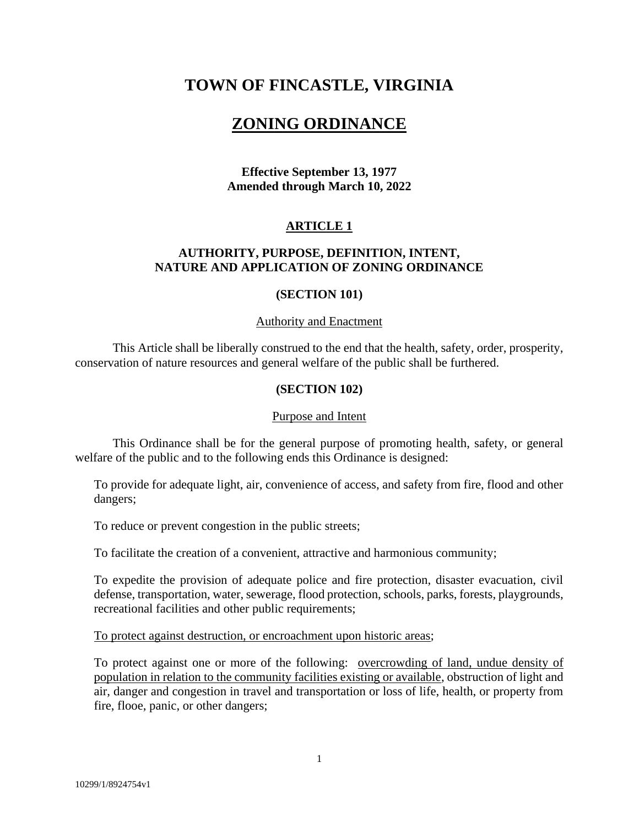# **TOWN OF FINCASTLE, VIRGINIA**

# **ZONING ORDINANCE**

# **Effective September 13, 1977 Amended through March 10, 2022**

# **ARTICLE 1**

# **AUTHORITY, PURPOSE, DEFINITION, INTENT, NATURE AND APPLICATION OF ZONING ORDINANCE**

#### **(SECTION 101)**

#### Authority and Enactment

This Article shall be liberally construed to the end that the health, safety, order, prosperity, conservation of nature resources and general welfare of the public shall be furthered.

### **(SECTION 102)**

#### Purpose and Intent

This Ordinance shall be for the general purpose of promoting health, safety, or general welfare of the public and to the following ends this Ordinance is designed:

To provide for adequate light, air, convenience of access, and safety from fire, flood and other dangers;

To reduce or prevent congestion in the public streets;

To facilitate the creation of a convenient, attractive and harmonious community;

To expedite the provision of adequate police and fire protection, disaster evacuation, civil defense, transportation, water, sewerage, flood protection, schools, parks, forests, playgrounds, recreational facilities and other public requirements;

To protect against destruction, or encroachment upon historic areas;

To protect against one or more of the following: overcrowding of land, undue density of population in relation to the community facilities existing or available, obstruction of light and air, danger and congestion in travel and transportation or loss of life, health, or property from fire, flooe, panic, or other dangers;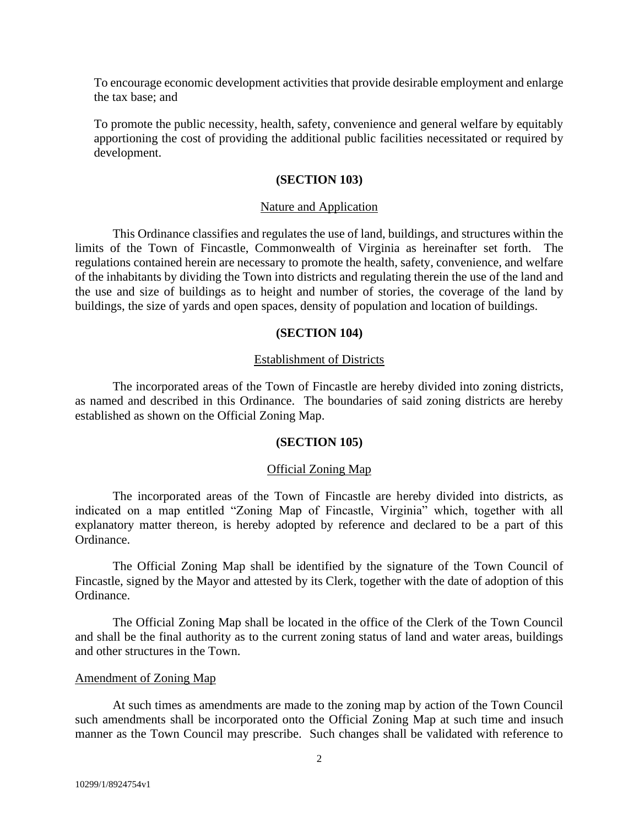To encourage economic development activities that provide desirable employment and enlarge the tax base; and

To promote the public necessity, health, safety, convenience and general welfare by equitably apportioning the cost of providing the additional public facilities necessitated or required by development.

# **(SECTION 103)**

#### Nature and Application

This Ordinance classifies and regulates the use of land, buildings, and structures within the limits of the Town of Fincastle, Commonwealth of Virginia as hereinafter set forth. The regulations contained herein are necessary to promote the health, safety, convenience, and welfare of the inhabitants by dividing the Town into districts and regulating therein the use of the land and the use and size of buildings as to height and number of stories, the coverage of the land by buildings, the size of yards and open spaces, density of population and location of buildings.

#### **(SECTION 104)**

#### Establishment of Districts

The incorporated areas of the Town of Fincastle are hereby divided into zoning districts, as named and described in this Ordinance. The boundaries of said zoning districts are hereby established as shown on the Official Zoning Map.

### **(SECTION 105)**

#### Official Zoning Map

The incorporated areas of the Town of Fincastle are hereby divided into districts, as indicated on a map entitled "Zoning Map of Fincastle, Virginia" which, together with all explanatory matter thereon, is hereby adopted by reference and declared to be a part of this Ordinance.

The Official Zoning Map shall be identified by the signature of the Town Council of Fincastle, signed by the Mayor and attested by its Clerk, together with the date of adoption of this Ordinance.

The Official Zoning Map shall be located in the office of the Clerk of the Town Council and shall be the final authority as to the current zoning status of land and water areas, buildings and other structures in the Town.

#### Amendment of Zoning Map

At such times as amendments are made to the zoning map by action of the Town Council such amendments shall be incorporated onto the Official Zoning Map at such time and insuch manner as the Town Council may prescribe. Such changes shall be validated with reference to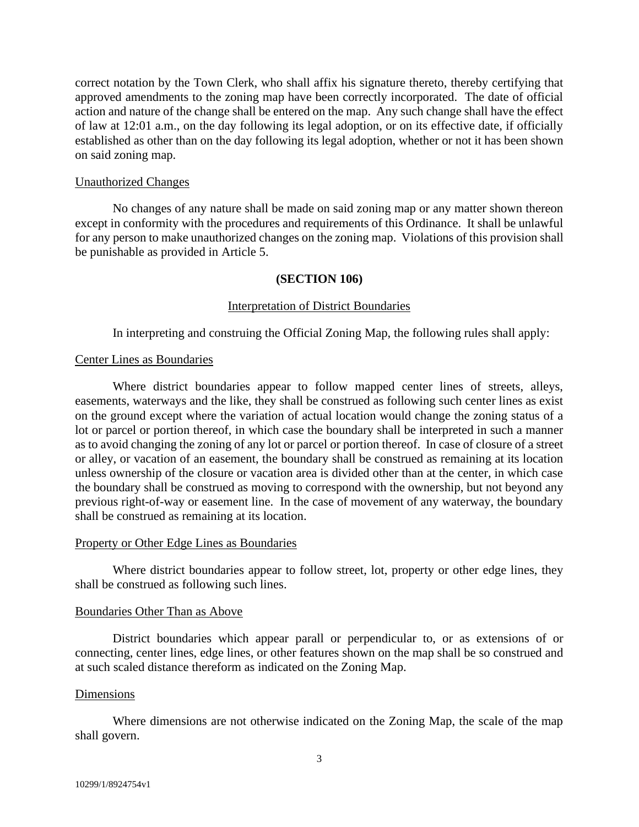correct notation by the Town Clerk, who shall affix his signature thereto, thereby certifying that approved amendments to the zoning map have been correctly incorporated. The date of official action and nature of the change shall be entered on the map. Any such change shall have the effect of law at 12:01 a.m., on the day following its legal adoption, or on its effective date, if officially established as other than on the day following its legal adoption, whether or not it has been shown on said zoning map.

#### Unauthorized Changes

No changes of any nature shall be made on said zoning map or any matter shown thereon except in conformity with the procedures and requirements of this Ordinance. It shall be unlawful for any person to make unauthorized changes on the zoning map. Violations of this provision shall be punishable as provided in Article 5.

### **(SECTION 106)**

#### Interpretation of District Boundaries

In interpreting and construing the Official Zoning Map, the following rules shall apply:

#### Center Lines as Boundaries

Where district boundaries appear to follow mapped center lines of streets, alleys, easements, waterways and the like, they shall be construed as following such center lines as exist on the ground except where the variation of actual location would change the zoning status of a lot or parcel or portion thereof, in which case the boundary shall be interpreted in such a manner as to avoid changing the zoning of any lot or parcel or portion thereof. In case of closure of a street or alley, or vacation of an easement, the boundary shall be construed as remaining at its location unless ownership of the closure or vacation area is divided other than at the center, in which case the boundary shall be construed as moving to correspond with the ownership, but not beyond any previous right-of-way or easement line. In the case of movement of any waterway, the boundary shall be construed as remaining at its location.

#### Property or Other Edge Lines as Boundaries

Where district boundaries appear to follow street, lot, property or other edge lines, they shall be construed as following such lines.

#### Boundaries Other Than as Above

District boundaries which appear parall or perpendicular to, or as extensions of or connecting, center lines, edge lines, or other features shown on the map shall be so construed and at such scaled distance thereform as indicated on the Zoning Map.

#### Dimensions

Where dimensions are not otherwise indicated on the Zoning Map, the scale of the map shall govern.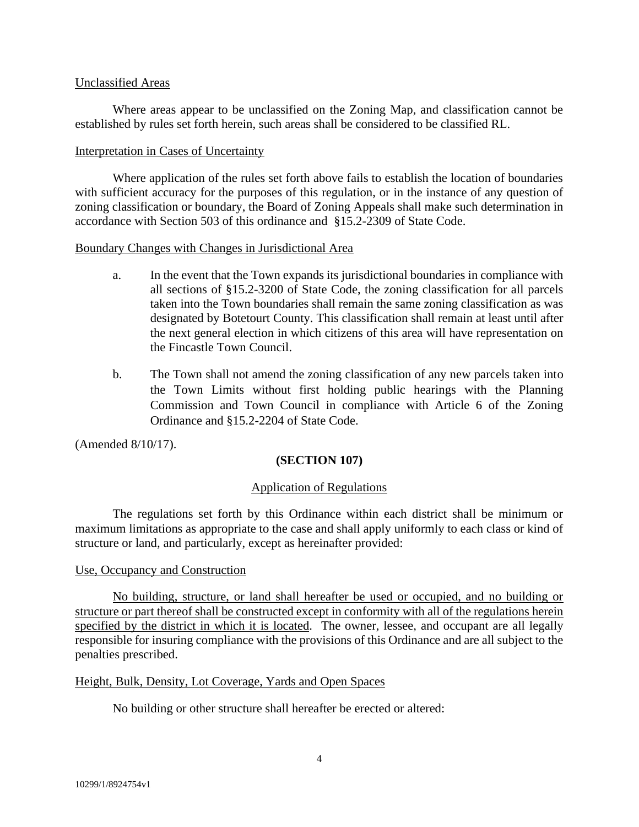# Unclassified Areas

Where areas appear to be unclassified on the Zoning Map, and classification cannot be established by rules set forth herein, such areas shall be considered to be classified RL.

# Interpretation in Cases of Uncertainty

Where application of the rules set forth above fails to establish the location of boundaries with sufficient accuracy for the purposes of this regulation, or in the instance of any question of zoning classification or boundary, the Board of Zoning Appeals shall make such determination in accordance with Section 503 of this ordinance and §15.2-2309 of State Code.

# Boundary Changes with Changes in Jurisdictional Area

- a. In the event that the Town expands its jurisdictional boundaries in compliance with all sections of §15.2-3200 of State Code, the zoning classification for all parcels taken into the Town boundaries shall remain the same zoning classification as was designated by Botetourt County. This classification shall remain at least until after the next general election in which citizens of this area will have representation on the Fincastle Town Council.
- b. The Town shall not amend the zoning classification of any new parcels taken into the Town Limits without first holding public hearings with the Planning Commission and Town Council in compliance with Article 6 of the Zoning Ordinance and §15.2-2204 of State Code.

(Amended 8/10/17).

# **(SECTION 107)**

# Application of Regulations

The regulations set forth by this Ordinance within each district shall be minimum or maximum limitations as appropriate to the case and shall apply uniformly to each class or kind of structure or land, and particularly, except as hereinafter provided:

### Use, Occupancy and Construction

No building, structure, or land shall hereafter be used or occupied, and no building or structure or part thereof shall be constructed except in conformity with all of the regulations herein specified by the district in which it is located. The owner, lessee, and occupant are all legally responsible for insuring compliance with the provisions of this Ordinance and are all subject to the penalties prescribed.

### Height, Bulk, Density, Lot Coverage, Yards and Open Spaces

No building or other structure shall hereafter be erected or altered: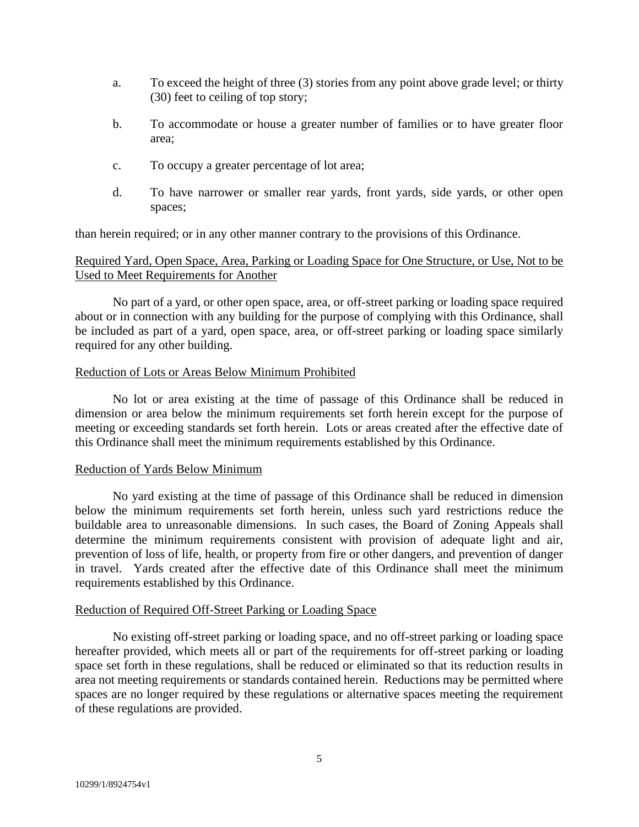- a. To exceed the height of three (3) stories from any point above grade level; or thirty (30) feet to ceiling of top story;
- b. To accommodate or house a greater number of families or to have greater floor area;
- c. To occupy a greater percentage of lot area;
- d. To have narrower or smaller rear yards, front yards, side yards, or other open spaces;

than herein required; or in any other manner contrary to the provisions of this Ordinance.

# Required Yard, Open Space, Area, Parking or Loading Space for One Structure, or Use, Not to be Used to Meet Requirements for Another

No part of a yard, or other open space, area, or off-street parking or loading space required about or in connection with any building for the purpose of complying with this Ordinance, shall be included as part of a yard, open space, area, or off-street parking or loading space similarly required for any other building.

# Reduction of Lots or Areas Below Minimum Prohibited

No lot or area existing at the time of passage of this Ordinance shall be reduced in dimension or area below the minimum requirements set forth herein except for the purpose of meeting or exceeding standards set forth herein. Lots or areas created after the effective date of this Ordinance shall meet the minimum requirements established by this Ordinance.

### Reduction of Yards Below Minimum

No yard existing at the time of passage of this Ordinance shall be reduced in dimension below the minimum requirements set forth herein, unless such yard restrictions reduce the buildable area to unreasonable dimensions. In such cases, the Board of Zoning Appeals shall determine the minimum requirements consistent with provision of adequate light and air, prevention of loss of life, health, or property from fire or other dangers, and prevention of danger in travel. Yards created after the effective date of this Ordinance shall meet the minimum requirements established by this Ordinance.

### Reduction of Required Off-Street Parking or Loading Space

No existing off-street parking or loading space, and no off-street parking or loading space hereafter provided, which meets all or part of the requirements for off-street parking or loading space set forth in these regulations, shall be reduced or eliminated so that its reduction results in area not meeting requirements or standards contained herein. Reductions may be permitted where spaces are no longer required by these regulations or alternative spaces meeting the requirement of these regulations are provided.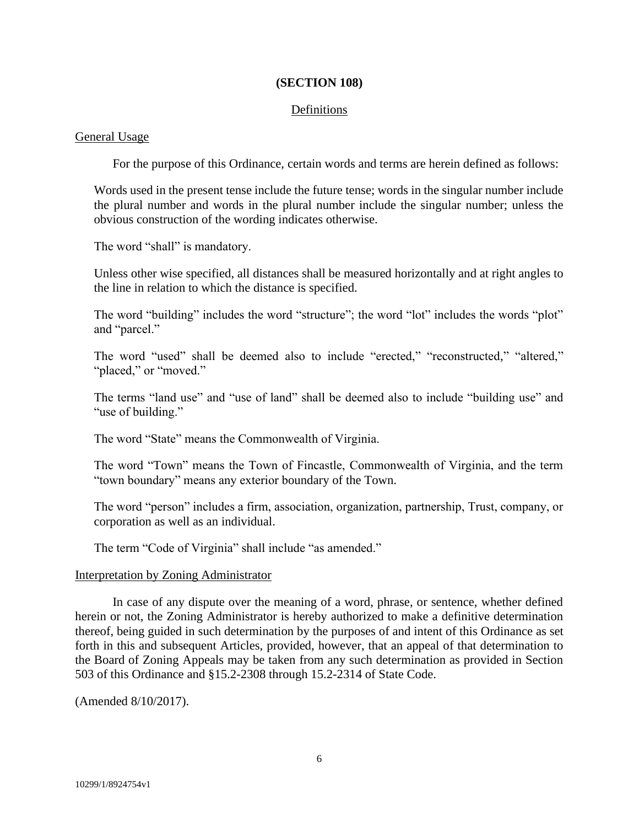### **(SECTION 108)**

# Definitions

#### General Usage

For the purpose of this Ordinance, certain words and terms are herein defined as follows:

Words used in the present tense include the future tense; words in the singular number include the plural number and words in the plural number include the singular number; unless the obvious construction of the wording indicates otherwise.

The word "shall" is mandatory.

Unless other wise specified, all distances shall be measured horizontally and at right angles to the line in relation to which the distance is specified.

The word "building" includes the word "structure"; the word "lot" includes the words "plot" and "parcel."

The word "used" shall be deemed also to include "erected," "reconstructed," "altered," "placed," or "moved."

The terms "land use" and "use of land" shall be deemed also to include "building use" and "use of building."

The word "State" means the Commonwealth of Virginia.

The word "Town" means the Town of Fincastle, Commonwealth of Virginia, and the term "town boundary" means any exterior boundary of the Town.

The word "person" includes a firm, association, organization, partnership, Trust, company, or corporation as well as an individual.

The term "Code of Virginia" shall include "as amended."

#### Interpretation by Zoning Administrator

In case of any dispute over the meaning of a word, phrase, or sentence, whether defined herein or not, the Zoning Administrator is hereby authorized to make a definitive determination thereof, being guided in such determination by the purposes of and intent of this Ordinance as set forth in this and subsequent Articles, provided, however, that an appeal of that determination to the Board of Zoning Appeals may be taken from any such determination as provided in Section 503 of this Ordinance and §15.2-2308 through 15.2-2314 of State Code.

(Amended 8/10/2017).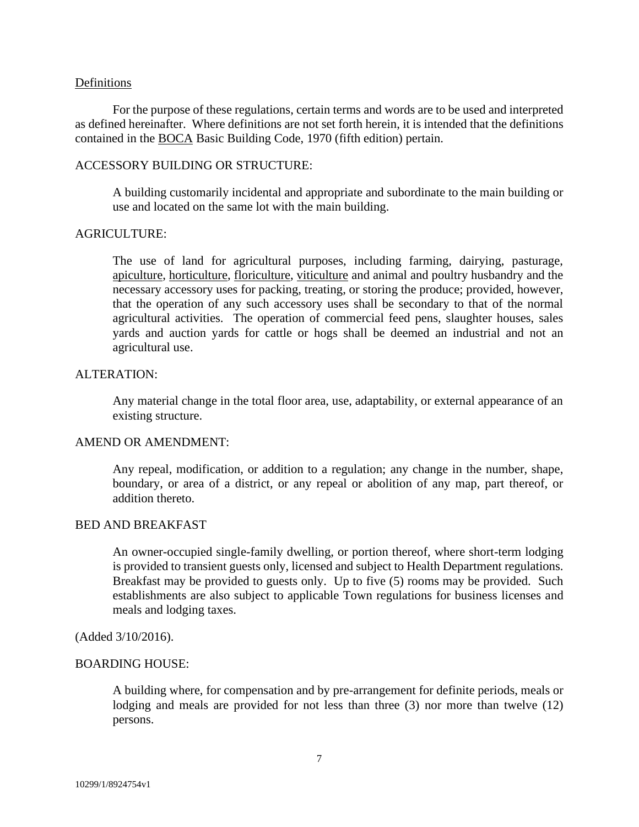# Definitions

For the purpose of these regulations, certain terms and words are to be used and interpreted as defined hereinafter. Where definitions are not set forth herein, it is intended that the definitions contained in the BOCA Basic Building Code, 1970 (fifth edition) pertain.

# ACCESSORY BUILDING OR STRUCTURE:

A building customarily incidental and appropriate and subordinate to the main building or use and located on the same lot with the main building.

# AGRICULTURE:

The use of land for agricultural purposes, including farming, dairying, pasturage, apiculture, horticulture, floriculture, viticulture and animal and poultry husbandry and the necessary accessory uses for packing, treating, or storing the produce; provided, however, that the operation of any such accessory uses shall be secondary to that of the normal agricultural activities. The operation of commercial feed pens, slaughter houses, sales yards and auction yards for cattle or hogs shall be deemed an industrial and not an agricultural use.

# ALTERATION:

Any material change in the total floor area, use, adaptability, or external appearance of an existing structure.

# AMEND OR AMENDMENT:

Any repeal, modification, or addition to a regulation; any change in the number, shape, boundary, or area of a district, or any repeal or abolition of any map, part thereof, or addition thereto.

# BED AND BREAKFAST

An owner-occupied single-family dwelling, or portion thereof, where short-term lodging is provided to transient guests only, licensed and subject to Health Department regulations. Breakfast may be provided to guests only. Up to five (5) rooms may be provided. Such establishments are also subject to applicable Town regulations for business licenses and meals and lodging taxes.

### (Added 3/10/2016).

### BOARDING HOUSE:

A building where, for compensation and by pre-arrangement for definite periods, meals or lodging and meals are provided for not less than three (3) nor more than twelve (12) persons.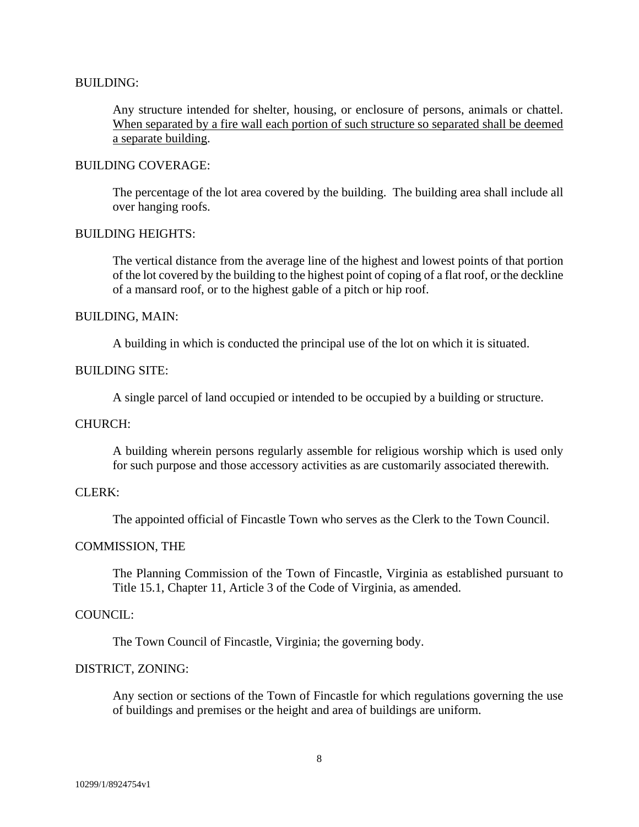#### BUILDING:

Any structure intended for shelter, housing, or enclosure of persons, animals or chattel. When separated by a fire wall each portion of such structure so separated shall be deemed a separate building.

#### BUILDING COVERAGE:

The percentage of the lot area covered by the building. The building area shall include all over hanging roofs.

#### BUILDING HEIGHTS:

The vertical distance from the average line of the highest and lowest points of that portion of the lot covered by the building to the highest point of coping of a flat roof, or the deckline of a mansard roof, or to the highest gable of a pitch or hip roof.

# BUILDING, MAIN:

A building in which is conducted the principal use of the lot on which it is situated.

#### BUILDING SITE:

A single parcel of land occupied or intended to be occupied by a building or structure.

#### CHURCH:

A building wherein persons regularly assemble for religious worship which is used only for such purpose and those accessory activities as are customarily associated therewith.

#### CLERK:

The appointed official of Fincastle Town who serves as the Clerk to the Town Council.

#### COMMISSION, THE

The Planning Commission of the Town of Fincastle, Virginia as established pursuant to Title 15.1, Chapter 11, Article 3 of the Code of Virginia, as amended.

# COUNCIL:

The Town Council of Fincastle, Virginia; the governing body.

# DISTRICT, ZONING:

Any section or sections of the Town of Fincastle for which regulations governing the use of buildings and premises or the height and area of buildings are uniform.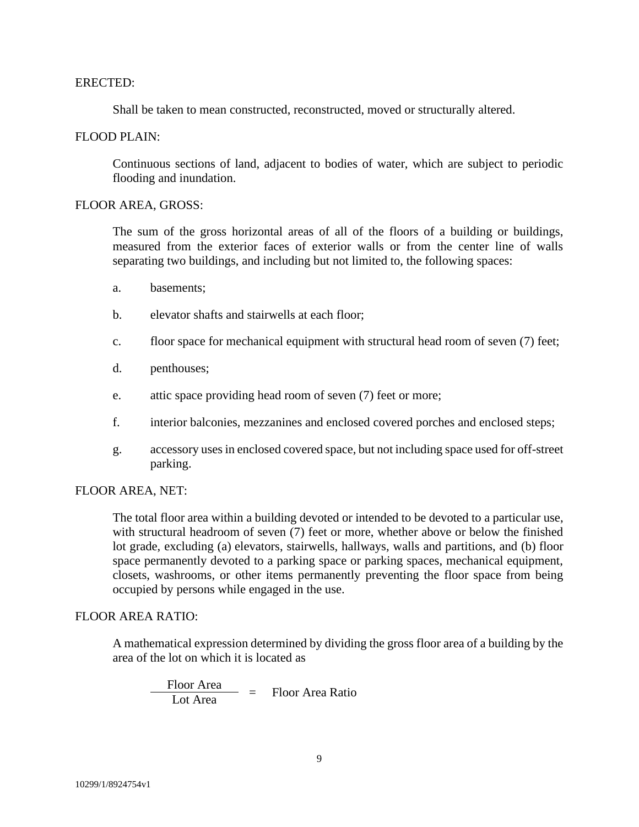### ERECTED:

Shall be taken to mean constructed, reconstructed, moved or structurally altered.

### FLOOD PLAIN:

Continuous sections of land, adjacent to bodies of water, which are subject to periodic flooding and inundation.

# FLOOR AREA, GROSS:

The sum of the gross horizontal areas of all of the floors of a building or buildings, measured from the exterior faces of exterior walls or from the center line of walls separating two buildings, and including but not limited to, the following spaces:

- a. basements;
- b. elevator shafts and stairwells at each floor;
- c. floor space for mechanical equipment with structural head room of seven (7) feet;
- d. penthouses;
- e. attic space providing head room of seven (7) feet or more;
- f. interior balconies, mezzanines and enclosed covered porches and enclosed steps;
- g. accessory uses in enclosed covered space, but not including space used for off-street parking.

# FLOOR AREA, NET:

The total floor area within a building devoted or intended to be devoted to a particular use, with structural headroom of seven (7) feet or more, whether above or below the finished lot grade, excluding (a) elevators, stairwells, hallways, walls and partitions, and (b) floor space permanently devoted to a parking space or parking spaces, mechanical equipment, closets, washrooms, or other items permanently preventing the floor space from being occupied by persons while engaged in the use.

# FLOOR AREA RATIO:

A mathematical expression determined by dividing the gross floor area of a building by the area of the lot on which it is located as

Floor Area<br>Lot Area = Floor Area Ratio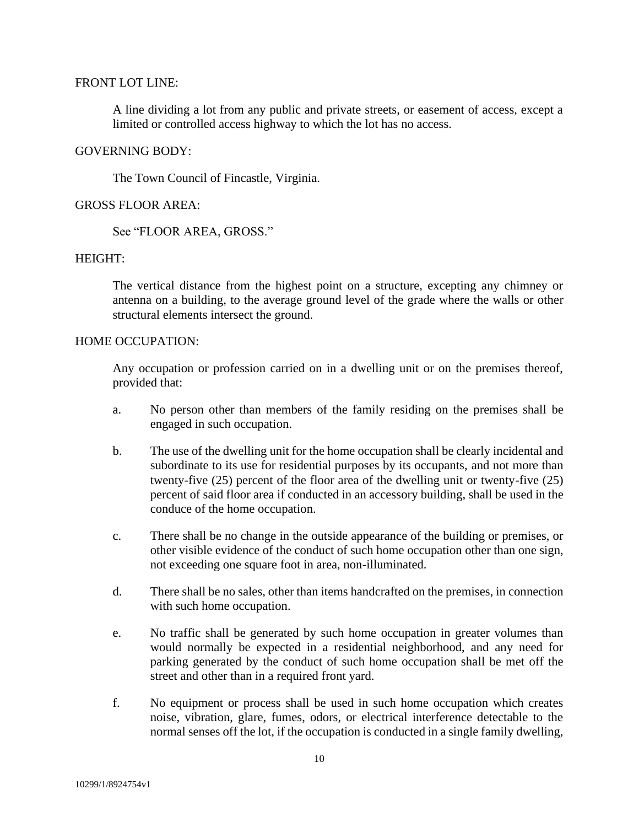### FRONT LOT LINE:

A line dividing a lot from any public and private streets, or easement of access, except a limited or controlled access highway to which the lot has no access.

# GOVERNING BODY:

The Town Council of Fincastle, Virginia.

# GROSS FLOOR AREA:

See "FLOOR AREA, GROSS."

# HEIGHT:

The vertical distance from the highest point on a structure, excepting any chimney or antenna on a building, to the average ground level of the grade where the walls or other structural elements intersect the ground.

# HOME OCCUPATION:

Any occupation or profession carried on in a dwelling unit or on the premises thereof, provided that:

- a. No person other than members of the family residing on the premises shall be engaged in such occupation.
- b. The use of the dwelling unit for the home occupation shall be clearly incidental and subordinate to its use for residential purposes by its occupants, and not more than twenty-five (25) percent of the floor area of the dwelling unit or twenty-five (25) percent of said floor area if conducted in an accessory building, shall be used in the conduce of the home occupation.
- c. There shall be no change in the outside appearance of the building or premises, or other visible evidence of the conduct of such home occupation other than one sign, not exceeding one square foot in area, non-illuminated.
- d. There shall be no sales, other than items handcrafted on the premises, in connection with such home occupation.
- e. No traffic shall be generated by such home occupation in greater volumes than would normally be expected in a residential neighborhood, and any need for parking generated by the conduct of such home occupation shall be met off the street and other than in a required front yard.
- f. No equipment or process shall be used in such home occupation which creates noise, vibration, glare, fumes, odors, or electrical interference detectable to the normal senses off the lot, if the occupation is conducted in a single family dwelling,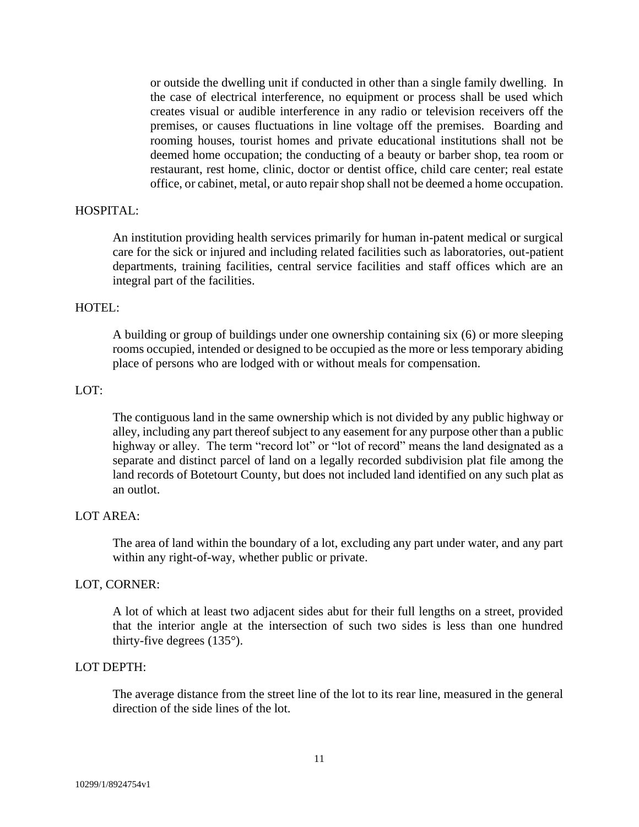or outside the dwelling unit if conducted in other than a single family dwelling. In the case of electrical interference, no equipment or process shall be used which creates visual or audible interference in any radio or television receivers off the premises, or causes fluctuations in line voltage off the premises. Boarding and rooming houses, tourist homes and private educational institutions shall not be deemed home occupation; the conducting of a beauty or barber shop, tea room or restaurant, rest home, clinic, doctor or dentist office, child care center; real estate office, or cabinet, metal, or auto repair shop shall not be deemed a home occupation.

### HOSPITAL:

An institution providing health services primarily for human in-patent medical or surgical care for the sick or injured and including related facilities such as laboratories, out-patient departments, training facilities, central service facilities and staff offices which are an integral part of the facilities.

#### HOTEL:

A building or group of buildings under one ownership containing six (6) or more sleeping rooms occupied, intended or designed to be occupied as the more or less temporary abiding place of persons who are lodged with or without meals for compensation.

# LOT:

The contiguous land in the same ownership which is not divided by any public highway or alley, including any part thereof subject to any easement for any purpose other than a public highway or alley. The term "record lot" or "lot of record" means the land designated as a separate and distinct parcel of land on a legally recorded subdivision plat file among the land records of Botetourt County, but does not included land identified on any such plat as an outlot.

# LOT AREA:

The area of land within the boundary of a lot, excluding any part under water, and any part within any right-of-way, whether public or private.

### LOT, CORNER:

A lot of which at least two adjacent sides abut for their full lengths on a street, provided that the interior angle at the intersection of such two sides is less than one hundred thirty-five degrees (135°).

# LOT DEPTH:

The average distance from the street line of the lot to its rear line, measured in the general direction of the side lines of the lot.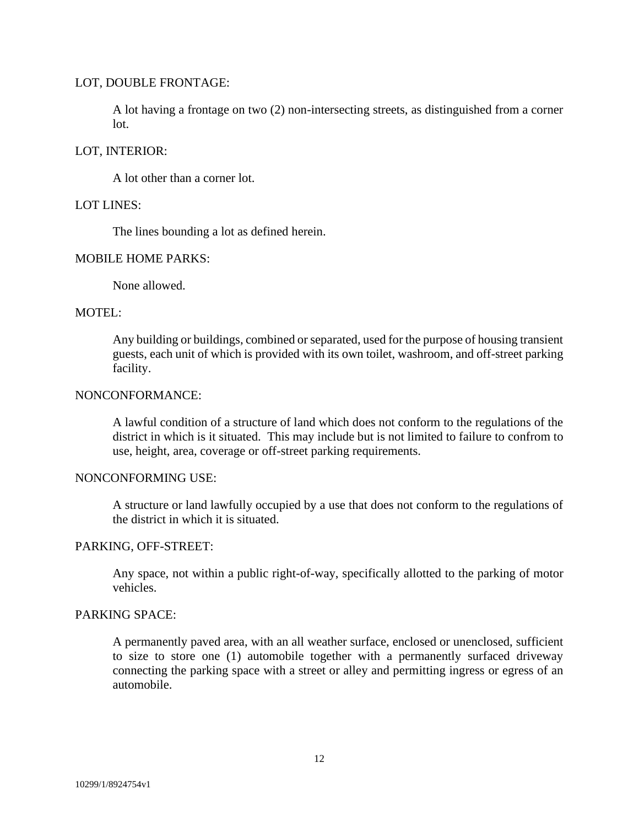### LOT, DOUBLE FRONTAGE:

A lot having a frontage on two (2) non-intersecting streets, as distinguished from a corner lot.

# LOT, INTERIOR:

A lot other than a corner lot.

# LOT LINES:

The lines bounding a lot as defined herein.

# MOBILE HOME PARKS:

None allowed.

# MOTEL:

Any building or buildings, combined or separated, used for the purpose of housing transient guests, each unit of which is provided with its own toilet, washroom, and off-street parking facility.

### NONCONFORMANCE:

A lawful condition of a structure of land which does not conform to the regulations of the district in which is it situated. This may include but is not limited to failure to confrom to use, height, area, coverage or off-street parking requirements.

### NONCONFORMING USE:

A structure or land lawfully occupied by a use that does not conform to the regulations of the district in which it is situated.

### PARKING, OFF-STREET:

Any space, not within a public right-of-way, specifically allotted to the parking of motor vehicles.

# PARKING SPACE:

A permanently paved area, with an all weather surface, enclosed or unenclosed, sufficient to size to store one (1) automobile together with a permanently surfaced driveway connecting the parking space with a street or alley and permitting ingress or egress of an automobile.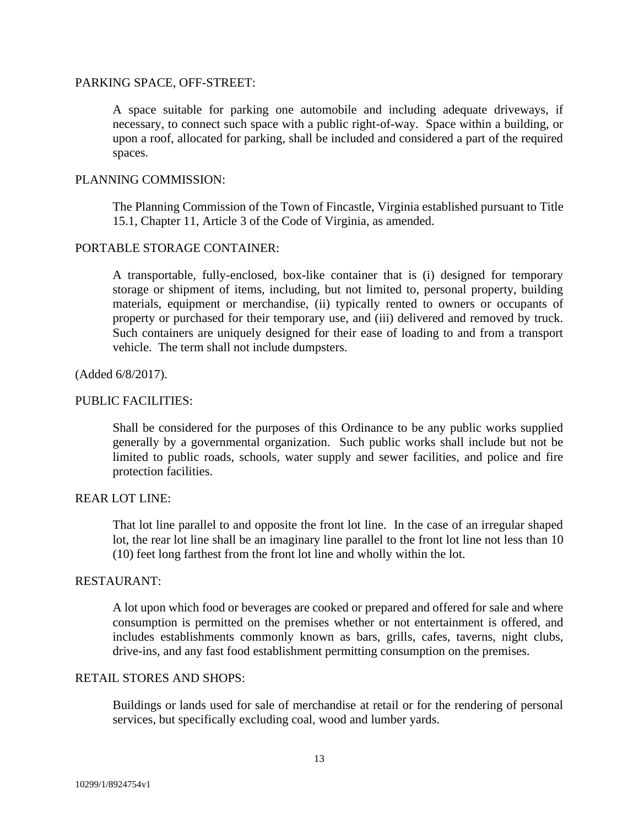#### PARKING SPACE, OFF-STREET:

A space suitable for parking one automobile and including adequate driveways, if necessary, to connect such space with a public right-of-way. Space within a building, or upon a roof, allocated for parking, shall be included and considered a part of the required spaces.

#### PLANNING COMMISSION:

The Planning Commission of the Town of Fincastle, Virginia established pursuant to Title 15.1, Chapter 11, Article 3 of the Code of Virginia, as amended.

### PORTABLE STORAGE CONTAINER:

A transportable, fully-enclosed, box-like container that is (i) designed for temporary storage or shipment of items, including, but not limited to, personal property, building materials, equipment or merchandise, (ii) typically rented to owners or occupants of property or purchased for their temporary use, and (iii) delivered and removed by truck. Such containers are uniquely designed for their ease of loading to and from a transport vehicle. The term shall not include dumpsters.

#### (Added 6/8/2017).

#### PUBLIC FACILITIES:

Shall be considered for the purposes of this Ordinance to be any public works supplied generally by a governmental organization. Such public works shall include but not be limited to public roads, schools, water supply and sewer facilities, and police and fire protection facilities.

### REAR LOT LINE:

That lot line parallel to and opposite the front lot line. In the case of an irregular shaped lot, the rear lot line shall be an imaginary line parallel to the front lot line not less than 10 (10) feet long farthest from the front lot line and wholly within the lot.

### RESTAURANT:

A lot upon which food or beverages are cooked or prepared and offered for sale and where consumption is permitted on the premises whether or not entertainment is offered, and includes establishments commonly known as bars, grills, cafes, taverns, night clubs, drive-ins, and any fast food establishment permitting consumption on the premises.

# RETAIL STORES AND SHOPS:

Buildings or lands used for sale of merchandise at retail or for the rendering of personal services, but specifically excluding coal, wood and lumber yards.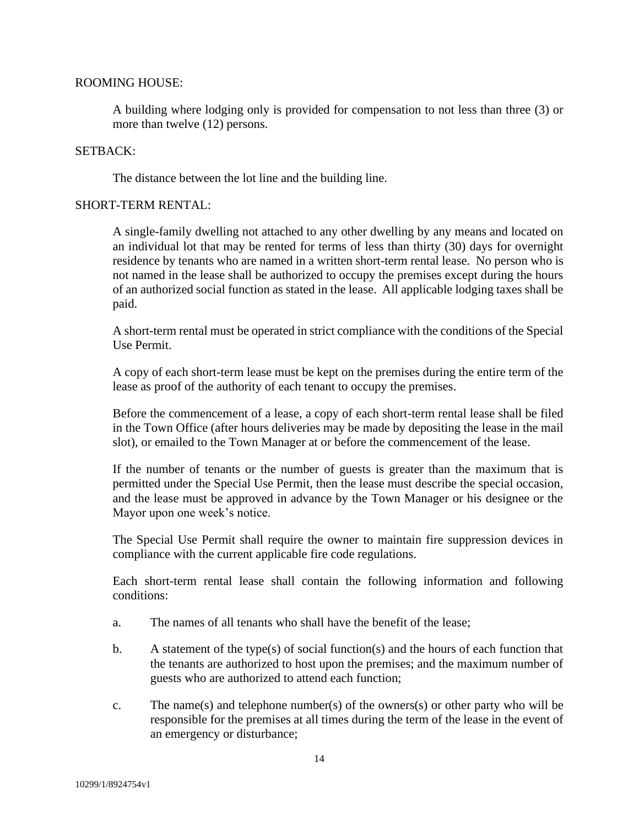### ROOMING HOUSE:

A building where lodging only is provided for compensation to not less than three (3) or more than twelve (12) persons.

# SETBACK:

The distance between the lot line and the building line.

# SHORT-TERM RENTAL:

A single-family dwelling not attached to any other dwelling by any means and located on an individual lot that may be rented for terms of less than thirty (30) days for overnight residence by tenants who are named in a written short-term rental lease. No person who is not named in the lease shall be authorized to occupy the premises except during the hours of an authorized social function as stated in the lease. All applicable lodging taxes shall be paid.

A short-term rental must be operated in strict compliance with the conditions of the Special Use Permit.

A copy of each short-term lease must be kept on the premises during the entire term of the lease as proof of the authority of each tenant to occupy the premises.

Before the commencement of a lease, a copy of each short-term rental lease shall be filed in the Town Office (after hours deliveries may be made by depositing the lease in the mail slot), or emailed to the Town Manager at or before the commencement of the lease.

If the number of tenants or the number of guests is greater than the maximum that is permitted under the Special Use Permit, then the lease must describe the special occasion, and the lease must be approved in advance by the Town Manager or his designee or the Mayor upon one week's notice.

The Special Use Permit shall require the owner to maintain fire suppression devices in compliance with the current applicable fire code regulations.

Each short-term rental lease shall contain the following information and following conditions:

- a. The names of all tenants who shall have the benefit of the lease;
- b. A statement of the type(s) of social function(s) and the hours of each function that the tenants are authorized to host upon the premises; and the maximum number of guests who are authorized to attend each function;
- c. The name(s) and telephone number(s) of the owners(s) or other party who will be responsible for the premises at all times during the term of the lease in the event of an emergency or disturbance;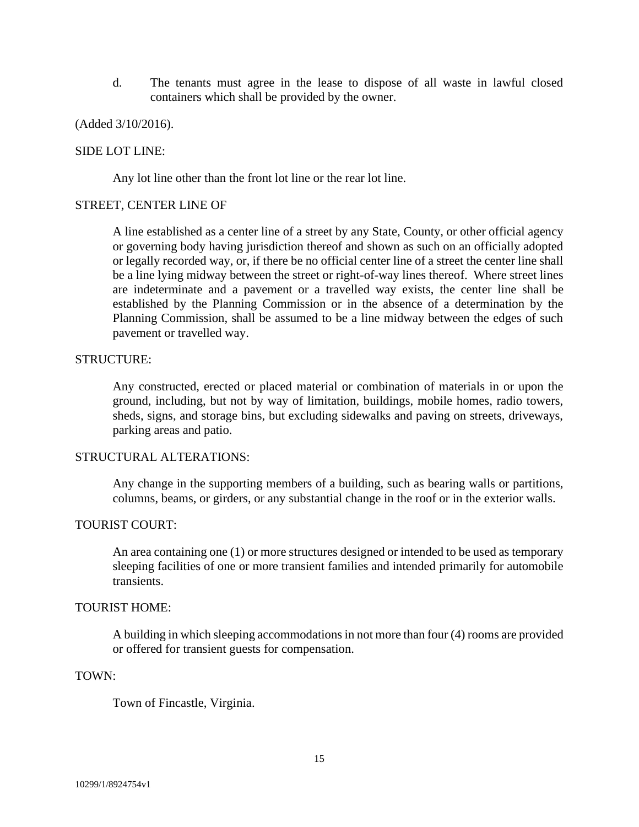d. The tenants must agree in the lease to dispose of all waste in lawful closed containers which shall be provided by the owner.

(Added 3/10/2016).

#### SIDE LOT LINE:

Any lot line other than the front lot line or the rear lot line.

#### STREET, CENTER LINE OF

A line established as a center line of a street by any State, County, or other official agency or governing body having jurisdiction thereof and shown as such on an officially adopted or legally recorded way, or, if there be no official center line of a street the center line shall be a line lying midway between the street or right-of-way lines thereof. Where street lines are indeterminate and a pavement or a travelled way exists, the center line shall be established by the Planning Commission or in the absence of a determination by the Planning Commission, shall be assumed to be a line midway between the edges of such pavement or travelled way.

#### STRUCTURE:

Any constructed, erected or placed material or combination of materials in or upon the ground, including, but not by way of limitation, buildings, mobile homes, radio towers, sheds, signs, and storage bins, but excluding sidewalks and paving on streets, driveways, parking areas and patio.

### STRUCTURAL ALTERATIONS:

Any change in the supporting members of a building, such as bearing walls or partitions, columns, beams, or girders, or any substantial change in the roof or in the exterior walls.

# TOURIST COURT:

An area containing one (1) or more structures designed or intended to be used as temporary sleeping facilities of one or more transient families and intended primarily for automobile transients.

#### TOURIST HOME:

A building in which sleeping accommodations in not more than four (4) rooms are provided or offered for transient guests for compensation.

#### TOWN:

Town of Fincastle, Virginia.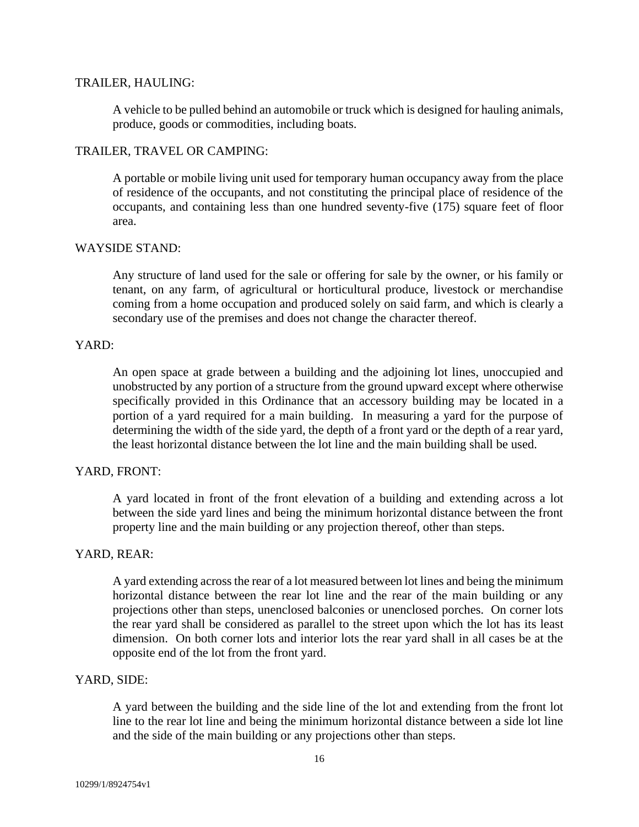### TRAILER, HAULING:

A vehicle to be pulled behind an automobile or truck which is designed for hauling animals, produce, goods or commodities, including boats.

# TRAILER, TRAVEL OR CAMPING:

A portable or mobile living unit used for temporary human occupancy away from the place of residence of the occupants, and not constituting the principal place of residence of the occupants, and containing less than one hundred seventy-five (175) square feet of floor area.

### WAYSIDE STAND:

Any structure of land used for the sale or offering for sale by the owner, or his family or tenant, on any farm, of agricultural or horticultural produce, livestock or merchandise coming from a home occupation and produced solely on said farm, and which is clearly a secondary use of the premises and does not change the character thereof.

### YARD:

An open space at grade between a building and the adjoining lot lines, unoccupied and unobstructed by any portion of a structure from the ground upward except where otherwise specifically provided in this Ordinance that an accessory building may be located in a portion of a yard required for a main building. In measuring a yard for the purpose of determining the width of the side yard, the depth of a front yard or the depth of a rear yard, the least horizontal distance between the lot line and the main building shall be used.

### YARD, FRONT:

A yard located in front of the front elevation of a building and extending across a lot between the side yard lines and being the minimum horizontal distance between the front property line and the main building or any projection thereof, other than steps.

#### YARD, REAR:

A yard extending across the rear of a lot measured between lot lines and being the minimum horizontal distance between the rear lot line and the rear of the main building or any projections other than steps, unenclosed balconies or unenclosed porches. On corner lots the rear yard shall be considered as parallel to the street upon which the lot has its least dimension. On both corner lots and interior lots the rear yard shall in all cases be at the opposite end of the lot from the front yard.

# YARD, SIDE:

A yard between the building and the side line of the lot and extending from the front lot line to the rear lot line and being the minimum horizontal distance between a side lot line and the side of the main building or any projections other than steps.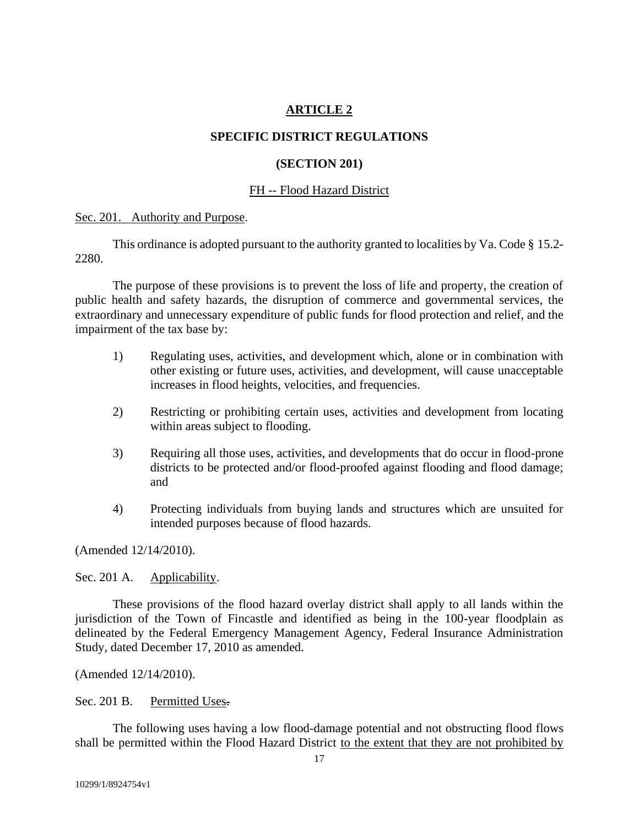# **ARTICLE 2**

# **SPECIFIC DISTRICT REGULATIONS**

### **(SECTION 201)**

#### FH -- Flood Hazard District

Sec. 201. Authority and Purpose.

This ordinance is adopted pursuant to the authority granted to localities by Va. Code § 15.2- 2280.

The purpose of these provisions is to prevent the loss of life and property, the creation of public health and safety hazards, the disruption of commerce and governmental services, the extraordinary and unnecessary expenditure of public funds for flood protection and relief, and the impairment of the tax base by:

- 1) Regulating uses, activities, and development which, alone or in combination with other existing or future uses, activities, and development, will cause unacceptable increases in flood heights, velocities, and frequencies.
- 2) Restricting or prohibiting certain uses, activities and development from locating within areas subject to flooding.
- 3) Requiring all those uses, activities, and developments that do occur in flood-prone districts to be protected and/or flood-proofed against flooding and flood damage; and
- 4) Protecting individuals from buying lands and structures which are unsuited for intended purposes because of flood hazards.

(Amended 12/14/2010).

Sec. 201 A. Applicability.

These provisions of the flood hazard overlay district shall apply to all lands within the jurisdiction of the Town of Fincastle and identified as being in the 100-year floodplain as delineated by the Federal Emergency Management Agency, Federal Insurance Administration Study, dated December 17, 2010 as amended.

(Amended 12/14/2010).

Sec. 201 B. Permitted Uses.

The following uses having a low flood-damage potential and not obstructing flood flows shall be permitted within the Flood Hazard District to the extent that they are not prohibited by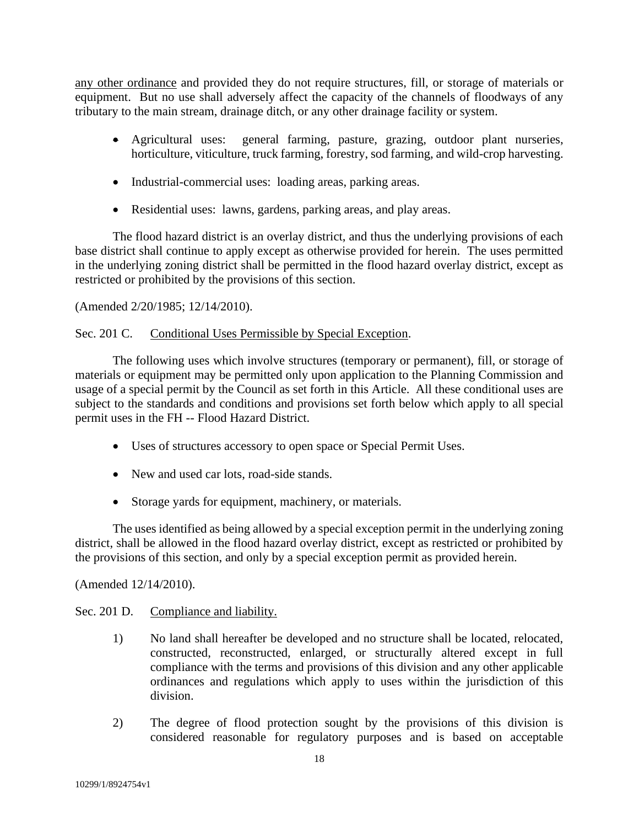any other ordinance and provided they do not require structures, fill, or storage of materials or equipment. But no use shall adversely affect the capacity of the channels of floodways of any tributary to the main stream, drainage ditch, or any other drainage facility or system.

- Agricultural uses: general farming, pasture, grazing, outdoor plant nurseries, horticulture, viticulture, truck farming, forestry, sod farming, and wild-crop harvesting.
- Industrial-commercial uses: loading areas, parking areas.
- Residential uses: lawns, gardens, parking areas, and play areas.

The flood hazard district is an overlay district, and thus the underlying provisions of each base district shall continue to apply except as otherwise provided for herein. The uses permitted in the underlying zoning district shall be permitted in the flood hazard overlay district, except as restricted or prohibited by the provisions of this section.

(Amended 2/20/1985; 12/14/2010).

# Sec. 201 C. Conditional Uses Permissible by Special Exception.

The following uses which involve structures (temporary or permanent), fill, or storage of materials or equipment may be permitted only upon application to the Planning Commission and usage of a special permit by the Council as set forth in this Article. All these conditional uses are subject to the standards and conditions and provisions set forth below which apply to all special permit uses in the FH -- Flood Hazard District.

- Uses of structures accessory to open space or Special Permit Uses.
- New and used car lots, road-side stands.
- Storage yards for equipment, machinery, or materials.

The uses identified as being allowed by a special exception permit in the underlying zoning district, shall be allowed in the flood hazard overlay district, except as restricted or prohibited by the provisions of this section, and only by a special exception permit as provided herein.

(Amended 12/14/2010).

# Sec. 201 D. Compliance and liability.

- 1) No land shall hereafter be developed and no structure shall be located, relocated, constructed, reconstructed, enlarged, or structurally altered except in full compliance with the terms and provisions of this division and any other applicable ordinances and regulations which apply to uses within the jurisdiction of this division.
- 2) The degree of flood protection sought by the provisions of this division is considered reasonable for regulatory purposes and is based on acceptable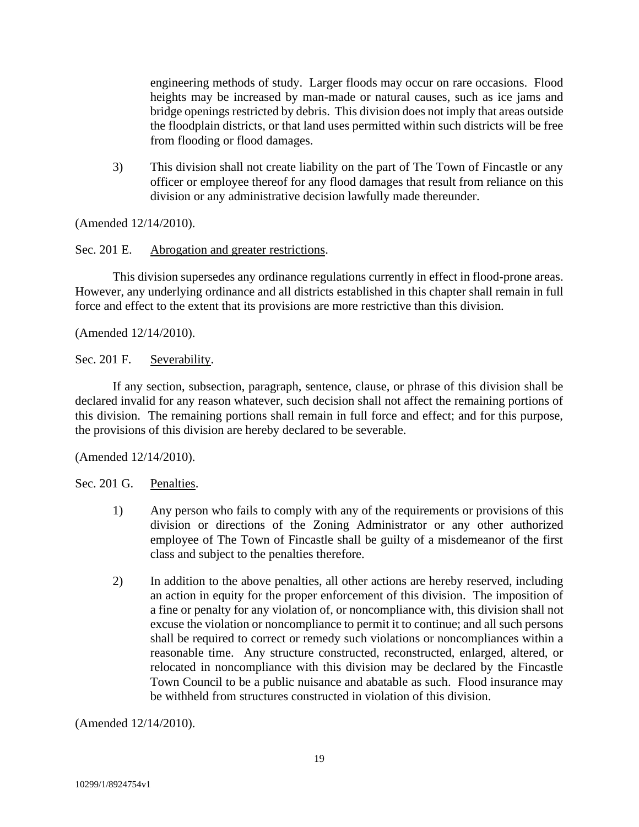engineering methods of study. Larger floods may occur on rare occasions. Flood heights may be increased by man-made or natural causes, such as ice jams and bridge openings restricted by debris. This division does not imply that areas outside the floodplain districts, or that land uses permitted within such districts will be free from flooding or flood damages.

3) This division shall not create liability on the part of The Town of Fincastle or any officer or employee thereof for any flood damages that result from reliance on this division or any administrative decision lawfully made thereunder.

(Amended 12/14/2010).

# Sec. 201 E. Abrogation and greater restrictions.

This division supersedes any ordinance regulations currently in effect in flood-prone areas. However, any underlying ordinance and all districts established in this chapter shall remain in full force and effect to the extent that its provisions are more restrictive than this division.

(Amended 12/14/2010).

Sec. 201 F. Severability.

If any section, subsection, paragraph, sentence, clause, or phrase of this division shall be declared invalid for any reason whatever, such decision shall not affect the remaining portions of this division. The remaining portions shall remain in full force and effect; and for this purpose, the provisions of this division are hereby declared to be severable.

(Amended 12/14/2010).

Sec. 201 G. Penalties.

- 1) Any person who fails to comply with any of the requirements or provisions of this division or directions of the Zoning Administrator or any other authorized employee of The Town of Fincastle shall be guilty of a misdemeanor of the first class and subject to the penalties therefore.
- 2) In addition to the above penalties, all other actions are hereby reserved, including an action in equity for the proper enforcement of this division. The imposition of a fine or penalty for any violation of, or noncompliance with, this division shall not excuse the violation or noncompliance to permit it to continue; and all such persons shall be required to correct or remedy such violations or noncompliances within a reasonable time. Any structure constructed, reconstructed, enlarged, altered, or relocated in noncompliance with this division may be declared by the Fincastle Town Council to be a public nuisance and abatable as such. Flood insurance may be withheld from structures constructed in violation of this division.

(Amended 12/14/2010).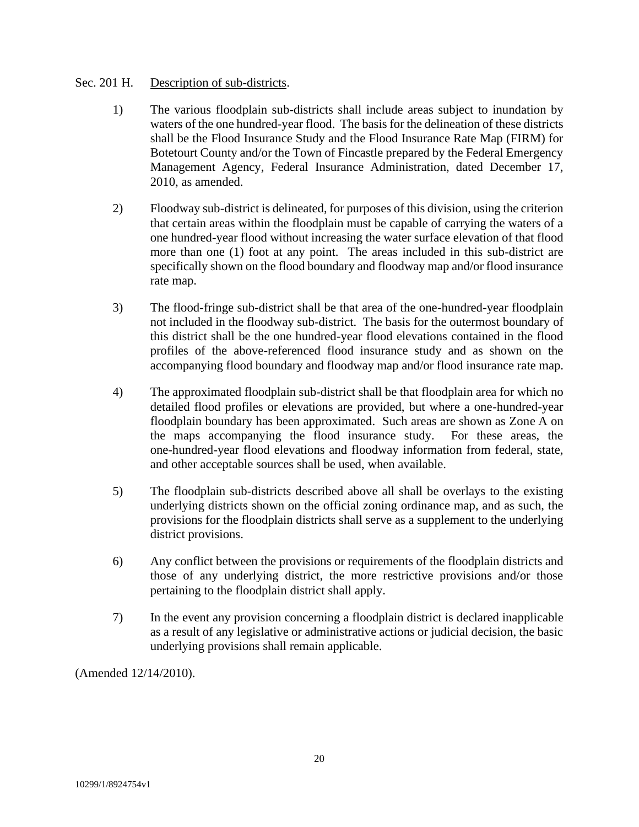# Sec. 201 H. Description of sub-districts.

- 1) The various floodplain sub-districts shall include areas subject to inundation by waters of the one hundred-year flood. The basis for the delineation of these districts shall be the Flood Insurance Study and the Flood Insurance Rate Map (FIRM) for Botetourt County and/or the Town of Fincastle prepared by the Federal Emergency Management Agency, Federal Insurance Administration, dated December 17, 2010, as amended.
- 2) Floodway sub-district is delineated, for purposes of this division, using the criterion that certain areas within the floodplain must be capable of carrying the waters of a one hundred-year flood without increasing the water surface elevation of that flood more than one (1) foot at any point. The areas included in this sub-district are specifically shown on the flood boundary and floodway map and/or flood insurance rate map.
- 3) The flood-fringe sub-district shall be that area of the one-hundred-year floodplain not included in the floodway sub-district. The basis for the outermost boundary of this district shall be the one hundred-year flood elevations contained in the flood profiles of the above-referenced flood insurance study and as shown on the accompanying flood boundary and floodway map and/or flood insurance rate map.
- 4) The approximated floodplain sub-district shall be that floodplain area for which no detailed flood profiles or elevations are provided, but where a one-hundred-year floodplain boundary has been approximated. Such areas are shown as Zone A on the maps accompanying the flood insurance study. For these areas, the one-hundred-year flood elevations and floodway information from federal, state, and other acceptable sources shall be used, when available.
- 5) The floodplain sub-districts described above all shall be overlays to the existing underlying districts shown on the official zoning ordinance map, and as such, the provisions for the floodplain districts shall serve as a supplement to the underlying district provisions.
- 6) Any conflict between the provisions or requirements of the floodplain districts and those of any underlying district, the more restrictive provisions and/or those pertaining to the floodplain district shall apply.
- 7) In the event any provision concerning a floodplain district is declared inapplicable as a result of any legislative or administrative actions or judicial decision, the basic underlying provisions shall remain applicable.

(Amended 12/14/2010).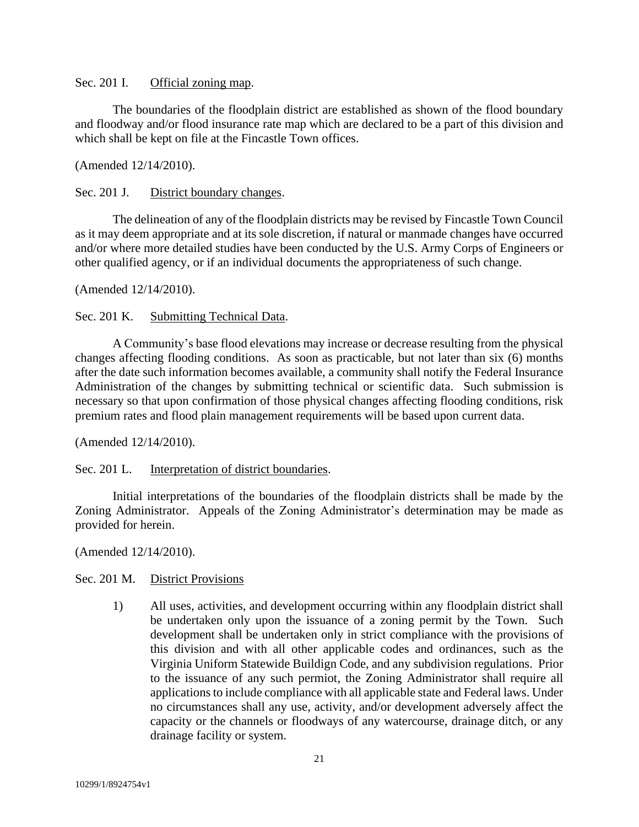### Sec. 201 I. Official zoning map.

The boundaries of the floodplain district are established as shown of the flood boundary and floodway and/or flood insurance rate map which are declared to be a part of this division and which shall be kept on file at the Fincastle Town offices.

(Amended 12/14/2010).

# Sec. 201 J. District boundary changes.

The delineation of any of the floodplain districts may be revised by Fincastle Town Council as it may deem appropriate and at its sole discretion, if natural or manmade changes have occurred and/or where more detailed studies have been conducted by the U.S. Army Corps of Engineers or other qualified agency, or if an individual documents the appropriateness of such change.

(Amended 12/14/2010).

# Sec. 201 K. Submitting Technical Data.

A Community's base flood elevations may increase or decrease resulting from the physical changes affecting flooding conditions. As soon as practicable, but not later than six (6) months after the date such information becomes available, a community shall notify the Federal Insurance Administration of the changes by submitting technical or scientific data. Such submission is necessary so that upon confirmation of those physical changes affecting flooding conditions, risk premium rates and flood plain management requirements will be based upon current data.

(Amended 12/14/2010).

# Sec. 201 L. Interpretation of district boundaries.

Initial interpretations of the boundaries of the floodplain districts shall be made by the Zoning Administrator. Appeals of the Zoning Administrator's determination may be made as provided for herein.

(Amended 12/14/2010).

# Sec. 201 M. District Provisions

1) All uses, activities, and development occurring within any floodplain district shall be undertaken only upon the issuance of a zoning permit by the Town. Such development shall be undertaken only in strict compliance with the provisions of this division and with all other applicable codes and ordinances, such as the Virginia Uniform Statewide Buildign Code, and any subdivision regulations. Prior to the issuance of any such permiot, the Zoning Administrator shall require all applications to include compliance with all applicable state and Federal laws. Under no circumstances shall any use, activity, and/or development adversely affect the capacity or the channels or floodways of any watercourse, drainage ditch, or any drainage facility or system.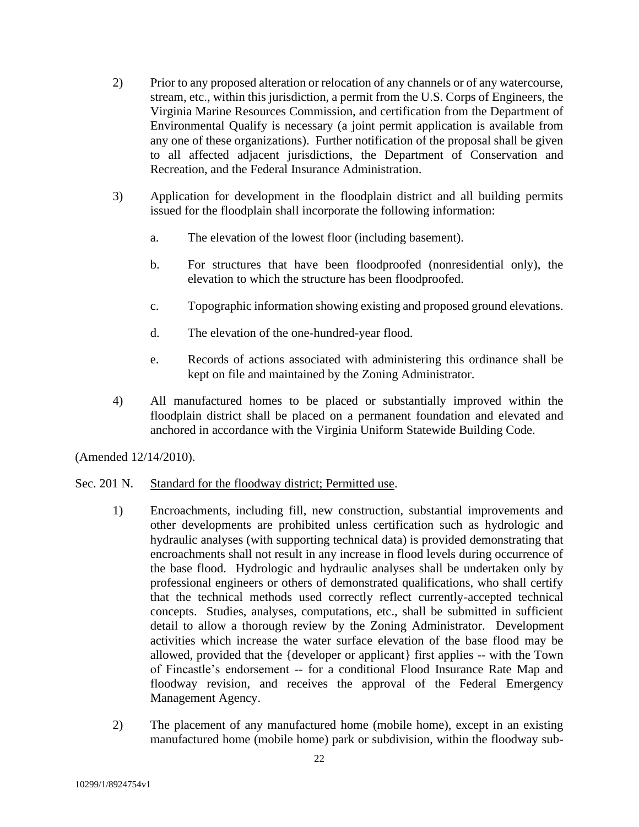- 2) Prior to any proposed alteration or relocation of any channels or of any watercourse, stream, etc., within this jurisdiction, a permit from the U.S. Corps of Engineers, the Virginia Marine Resources Commission, and certification from the Department of Environmental Qualify is necessary (a joint permit application is available from any one of these organizations). Further notification of the proposal shall be given to all affected adjacent jurisdictions, the Department of Conservation and Recreation, and the Federal Insurance Administration.
- 3) Application for development in the floodplain district and all building permits issued for the floodplain shall incorporate the following information:
	- a. The elevation of the lowest floor (including basement).
	- b. For structures that have been floodproofed (nonresidential only), the elevation to which the structure has been floodproofed.
	- c. Topographic information showing existing and proposed ground elevations.
	- d. The elevation of the one-hundred-year flood.
	- e. Records of actions associated with administering this ordinance shall be kept on file and maintained by the Zoning Administrator.
- 4) All manufactured homes to be placed or substantially improved within the floodplain district shall be placed on a permanent foundation and elevated and anchored in accordance with the Virginia Uniform Statewide Building Code.

(Amended 12/14/2010).

# Sec. 201 N. Standard for the floodway district; Permitted use.

- 1) Encroachments, including fill, new construction, substantial improvements and other developments are prohibited unless certification such as hydrologic and hydraulic analyses (with supporting technical data) is provided demonstrating that encroachments shall not result in any increase in flood levels during occurrence of the base flood. Hydrologic and hydraulic analyses shall be undertaken only by professional engineers or others of demonstrated qualifications, who shall certify that the technical methods used correctly reflect currently-accepted technical concepts. Studies, analyses, computations, etc., shall be submitted in sufficient detail to allow a thorough review by the Zoning Administrator. Development activities which increase the water surface elevation of the base flood may be allowed, provided that the {developer or applicant} first applies -- with the Town of Fincastle's endorsement -- for a conditional Flood Insurance Rate Map and floodway revision, and receives the approval of the Federal Emergency Management Agency.
- 2) The placement of any manufactured home (mobile home), except in an existing manufactured home (mobile home) park or subdivision, within the floodway sub-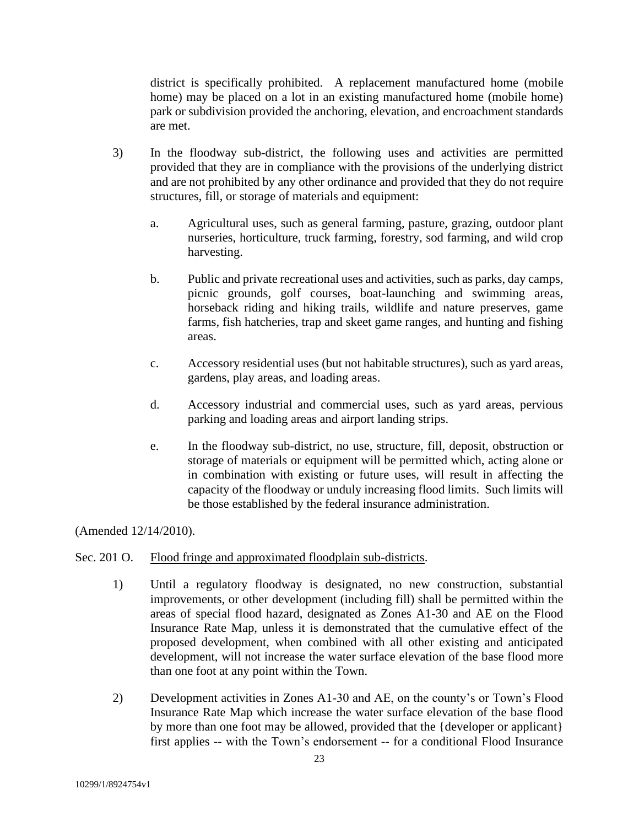district is specifically prohibited. A replacement manufactured home (mobile home) may be placed on a lot in an existing manufactured home (mobile home) park or subdivision provided the anchoring, elevation, and encroachment standards are met.

- 3) In the floodway sub-district, the following uses and activities are permitted provided that they are in compliance with the provisions of the underlying district and are not prohibited by any other ordinance and provided that they do not require structures, fill, or storage of materials and equipment:
	- a. Agricultural uses, such as general farming, pasture, grazing, outdoor plant nurseries, horticulture, truck farming, forestry, sod farming, and wild crop harvesting.
	- b. Public and private recreational uses and activities, such as parks, day camps, picnic grounds, golf courses, boat-launching and swimming areas, horseback riding and hiking trails, wildlife and nature preserves, game farms, fish hatcheries, trap and skeet game ranges, and hunting and fishing areas.
	- c. Accessory residential uses (but not habitable structures), such as yard areas, gardens, play areas, and loading areas.
	- d. Accessory industrial and commercial uses, such as yard areas, pervious parking and loading areas and airport landing strips.
	- e. In the floodway sub-district, no use, structure, fill, deposit, obstruction or storage of materials or equipment will be permitted which, acting alone or in combination with existing or future uses, will result in affecting the capacity of the floodway or unduly increasing flood limits. Such limits will be those established by the federal insurance administration.

# (Amended 12/14/2010).

# Sec. 201 O. Flood fringe and approximated floodplain sub-districts.

- 1) Until a regulatory floodway is designated, no new construction, substantial improvements, or other development (including fill) shall be permitted within the areas of special flood hazard, designated as Zones A1-30 and AE on the Flood Insurance Rate Map, unless it is demonstrated that the cumulative effect of the proposed development, when combined with all other existing and anticipated development, will not increase the water surface elevation of the base flood more than one foot at any point within the Town.
- 2) Development activities in Zones A1-30 and AE, on the county's or Town's Flood Insurance Rate Map which increase the water surface elevation of the base flood by more than one foot may be allowed, provided that the {developer or applicant} first applies -- with the Town's endorsement -- for a conditional Flood Insurance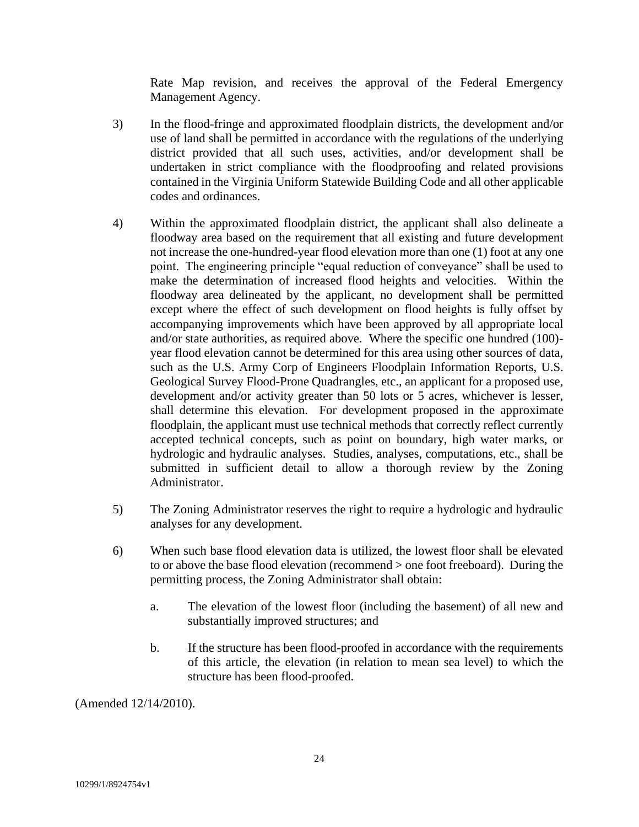Rate Map revision, and receives the approval of the Federal Emergency Management Agency.

- 3) In the flood-fringe and approximated floodplain districts, the development and/or use of land shall be permitted in accordance with the regulations of the underlying district provided that all such uses, activities, and/or development shall be undertaken in strict compliance with the floodproofing and related provisions contained in the Virginia Uniform Statewide Building Code and all other applicable codes and ordinances.
- 4) Within the approximated floodplain district, the applicant shall also delineate a floodway area based on the requirement that all existing and future development not increase the one-hundred-year flood elevation more than one (1) foot at any one point. The engineering principle "equal reduction of conveyance" shall be used to make the determination of increased flood heights and velocities. Within the floodway area delineated by the applicant, no development shall be permitted except where the effect of such development on flood heights is fully offset by accompanying improvements which have been approved by all appropriate local and/or state authorities, as required above. Where the specific one hundred (100) year flood elevation cannot be determined for this area using other sources of data, such as the U.S. Army Corp of Engineers Floodplain Information Reports, U.S. Geological Survey Flood-Prone Quadrangles, etc., an applicant for a proposed use, development and/or activity greater than 50 lots or 5 acres, whichever is lesser, shall determine this elevation. For development proposed in the approximate floodplain, the applicant must use technical methods that correctly reflect currently accepted technical concepts, such as point on boundary, high water marks, or hydrologic and hydraulic analyses. Studies, analyses, computations, etc., shall be submitted in sufficient detail to allow a thorough review by the Zoning Administrator.
- 5) The Zoning Administrator reserves the right to require a hydrologic and hydraulic analyses for any development.
- 6) When such base flood elevation data is utilized, the lowest floor shall be elevated to or above the base flood elevation (recommend > one foot freeboard). During the permitting process, the Zoning Administrator shall obtain:
	- a. The elevation of the lowest floor (including the basement) of all new and substantially improved structures; and
	- b. If the structure has been flood-proofed in accordance with the requirements of this article, the elevation (in relation to mean sea level) to which the structure has been flood-proofed.

(Amended 12/14/2010).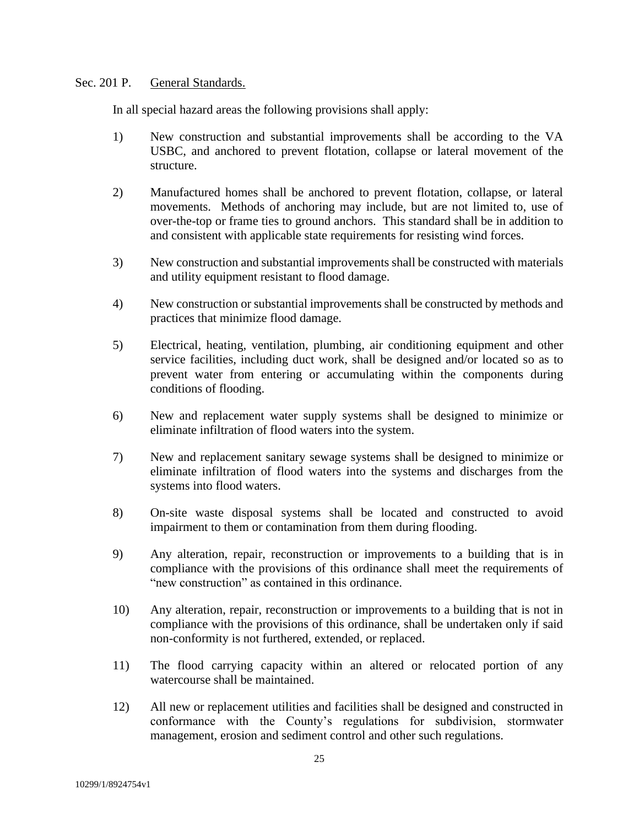# Sec. 201 P. General Standards.

In all special hazard areas the following provisions shall apply:

- 1) New construction and substantial improvements shall be according to the VA USBC, and anchored to prevent flotation, collapse or lateral movement of the structure.
- 2) Manufactured homes shall be anchored to prevent flotation, collapse, or lateral movements. Methods of anchoring may include, but are not limited to, use of over-the-top or frame ties to ground anchors. This standard shall be in addition to and consistent with applicable state requirements for resisting wind forces.
- 3) New construction and substantial improvements shall be constructed with materials and utility equipment resistant to flood damage.
- 4) New construction or substantial improvements shall be constructed by methods and practices that minimize flood damage.
- 5) Electrical, heating, ventilation, plumbing, air conditioning equipment and other service facilities, including duct work, shall be designed and/or located so as to prevent water from entering or accumulating within the components during conditions of flooding.
- 6) New and replacement water supply systems shall be designed to minimize or eliminate infiltration of flood waters into the system.
- 7) New and replacement sanitary sewage systems shall be designed to minimize or eliminate infiltration of flood waters into the systems and discharges from the systems into flood waters.
- 8) On-site waste disposal systems shall be located and constructed to avoid impairment to them or contamination from them during flooding.
- 9) Any alteration, repair, reconstruction or improvements to a building that is in compliance with the provisions of this ordinance shall meet the requirements of "new construction" as contained in this ordinance.
- 10) Any alteration, repair, reconstruction or improvements to a building that is not in compliance with the provisions of this ordinance, shall be undertaken only if said non-conformity is not furthered, extended, or replaced.
- 11) The flood carrying capacity within an altered or relocated portion of any watercourse shall be maintained.
- 12) All new or replacement utilities and facilities shall be designed and constructed in conformance with the County's regulations for subdivision, stormwater management, erosion and sediment control and other such regulations.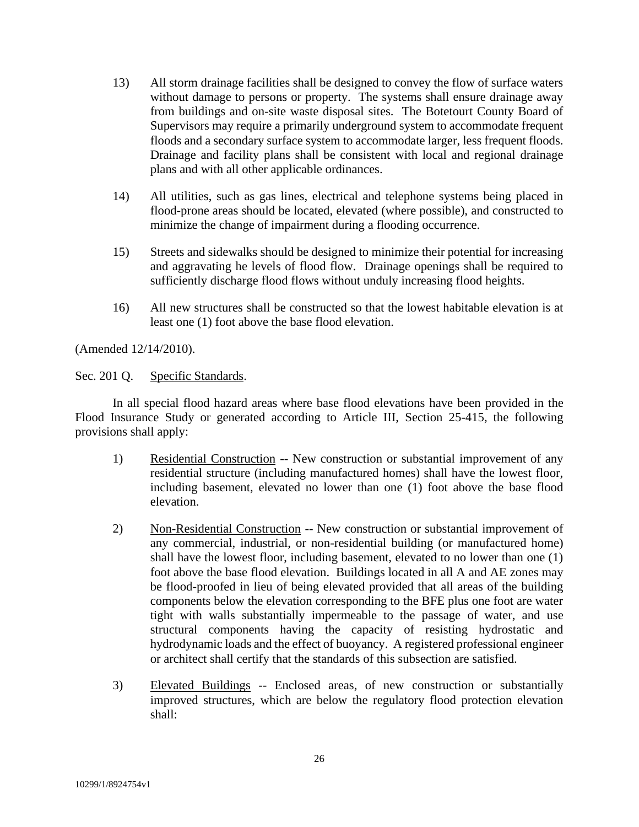- 13) All storm drainage facilities shall be designed to convey the flow of surface waters without damage to persons or property. The systems shall ensure drainage away from buildings and on-site waste disposal sites. The Botetourt County Board of Supervisors may require a primarily underground system to accommodate frequent floods and a secondary surface system to accommodate larger, less frequent floods. Drainage and facility plans shall be consistent with local and regional drainage plans and with all other applicable ordinances.
- 14) All utilities, such as gas lines, electrical and telephone systems being placed in flood-prone areas should be located, elevated (where possible), and constructed to minimize the change of impairment during a flooding occurrence.
- 15) Streets and sidewalks should be designed to minimize their potential for increasing and aggravating he levels of flood flow. Drainage openings shall be required to sufficiently discharge flood flows without unduly increasing flood heights.
- 16) All new structures shall be constructed so that the lowest habitable elevation is at least one (1) foot above the base flood elevation.

(Amended 12/14/2010).

# Sec. 201 O. Specific Standards.

In all special flood hazard areas where base flood elevations have been provided in the Flood Insurance Study or generated according to Article III, Section 25-415, the following provisions shall apply:

- 1) Residential Construction -- New construction or substantial improvement of any residential structure (including manufactured homes) shall have the lowest floor, including basement, elevated no lower than one (1) foot above the base flood elevation.
- 2) Non-Residential Construction -- New construction or substantial improvement of any commercial, industrial, or non-residential building (or manufactured home) shall have the lowest floor, including basement, elevated to no lower than one (1) foot above the base flood elevation. Buildings located in all A and AE zones may be flood-proofed in lieu of being elevated provided that all areas of the building components below the elevation corresponding to the BFE plus one foot are water tight with walls substantially impermeable to the passage of water, and use structural components having the capacity of resisting hydrostatic and hydrodynamic loads and the effect of buoyancy. A registered professional engineer or architect shall certify that the standards of this subsection are satisfied.
- 3) Elevated Buildings -- Enclosed areas, of new construction or substantially improved structures, which are below the regulatory flood protection elevation shall: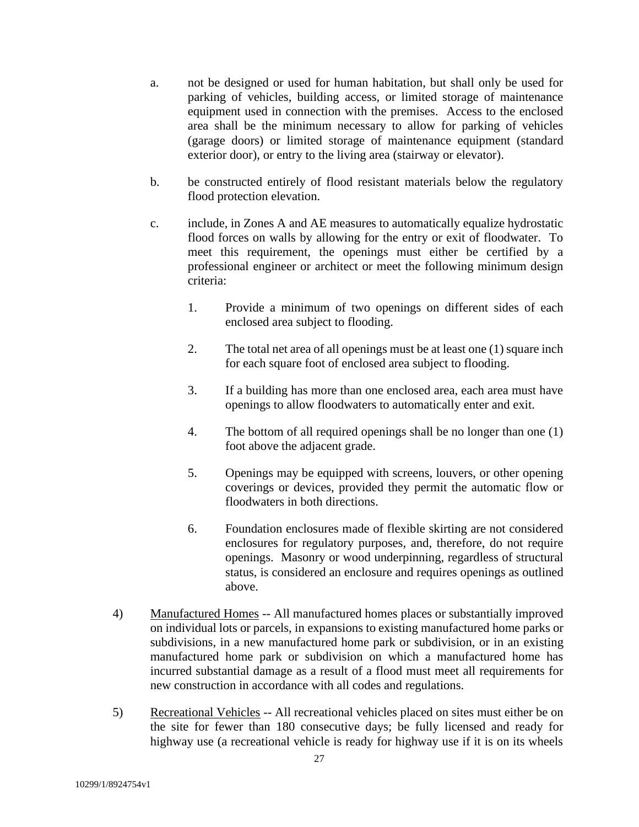- a. not be designed or used for human habitation, but shall only be used for parking of vehicles, building access, or limited storage of maintenance equipment used in connection with the premises. Access to the enclosed area shall be the minimum necessary to allow for parking of vehicles (garage doors) or limited storage of maintenance equipment (standard exterior door), or entry to the living area (stairway or elevator).
- b. be constructed entirely of flood resistant materials below the regulatory flood protection elevation.
- c. include, in Zones A and AE measures to automatically equalize hydrostatic flood forces on walls by allowing for the entry or exit of floodwater. To meet this requirement, the openings must either be certified by a professional engineer or architect or meet the following minimum design criteria:
	- 1. Provide a minimum of two openings on different sides of each enclosed area subject to flooding.
	- 2. The total net area of all openings must be at least one (1) square inch for each square foot of enclosed area subject to flooding.
	- 3. If a building has more than one enclosed area, each area must have openings to allow floodwaters to automatically enter and exit.
	- 4. The bottom of all required openings shall be no longer than one (1) foot above the adjacent grade.
	- 5. Openings may be equipped with screens, louvers, or other opening coverings or devices, provided they permit the automatic flow or floodwaters in both directions.
	- 6. Foundation enclosures made of flexible skirting are not considered enclosures for regulatory purposes, and, therefore, do not require openings. Masonry or wood underpinning, regardless of structural status, is considered an enclosure and requires openings as outlined above.
- 4) Manufactured Homes -- All manufactured homes places or substantially improved on individual lots or parcels, in expansions to existing manufactured home parks or subdivisions, in a new manufactured home park or subdivision, or in an existing manufactured home park or subdivision on which a manufactured home has incurred substantial damage as a result of a flood must meet all requirements for new construction in accordance with all codes and regulations.
- 5) Recreational Vehicles -- All recreational vehicles placed on sites must either be on the site for fewer than 180 consecutive days; be fully licensed and ready for highway use (a recreational vehicle is ready for highway use if it is on its wheels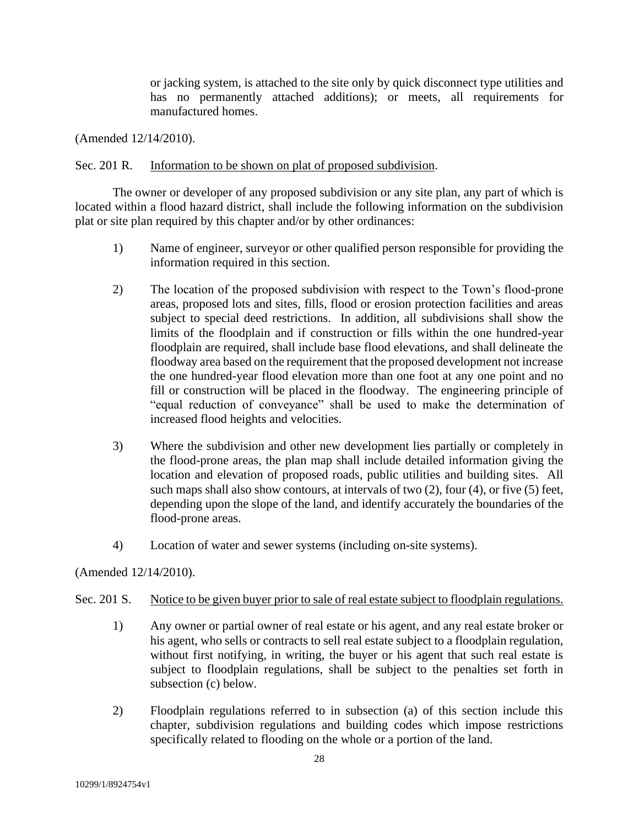or jacking system, is attached to the site only by quick disconnect type utilities and has no permanently attached additions); or meets, all requirements for manufactured homes.

(Amended 12/14/2010).

# Sec. 201 R. Information to be shown on plat of proposed subdivision.

The owner or developer of any proposed subdivision or any site plan, any part of which is located within a flood hazard district, shall include the following information on the subdivision plat or site plan required by this chapter and/or by other ordinances:

- 1) Name of engineer, surveyor or other qualified person responsible for providing the information required in this section.
- 2) The location of the proposed subdivision with respect to the Town's flood-prone areas, proposed lots and sites, fills, flood or erosion protection facilities and areas subject to special deed restrictions. In addition, all subdivisions shall show the limits of the floodplain and if construction or fills within the one hundred-year floodplain are required, shall include base flood elevations, and shall delineate the floodway area based on the requirement that the proposed development not increase the one hundred-year flood elevation more than one foot at any one point and no fill or construction will be placed in the floodway. The engineering principle of "equal reduction of conveyance" shall be used to make the determination of increased flood heights and velocities.
- 3) Where the subdivision and other new development lies partially or completely in the flood-prone areas, the plan map shall include detailed information giving the location and elevation of proposed roads, public utilities and building sites. All such maps shall also show contours, at intervals of two (2), four (4), or five (5) feet, depending upon the slope of the land, and identify accurately the boundaries of the flood-prone areas.
- 4) Location of water and sewer systems (including on-site systems).

(Amended 12/14/2010).

# Sec. 201 S. Notice to be given buyer prior to sale of real estate subject to floodplain regulations.

- 1) Any owner or partial owner of real estate or his agent, and any real estate broker or his agent, who sells or contracts to sell real estate subject to a floodplain regulation, without first notifying, in writing, the buyer or his agent that such real estate is subject to floodplain regulations, shall be subject to the penalties set forth in subsection (c) below.
- 2) Floodplain regulations referred to in subsection (a) of this section include this chapter, subdivision regulations and building codes which impose restrictions specifically related to flooding on the whole or a portion of the land.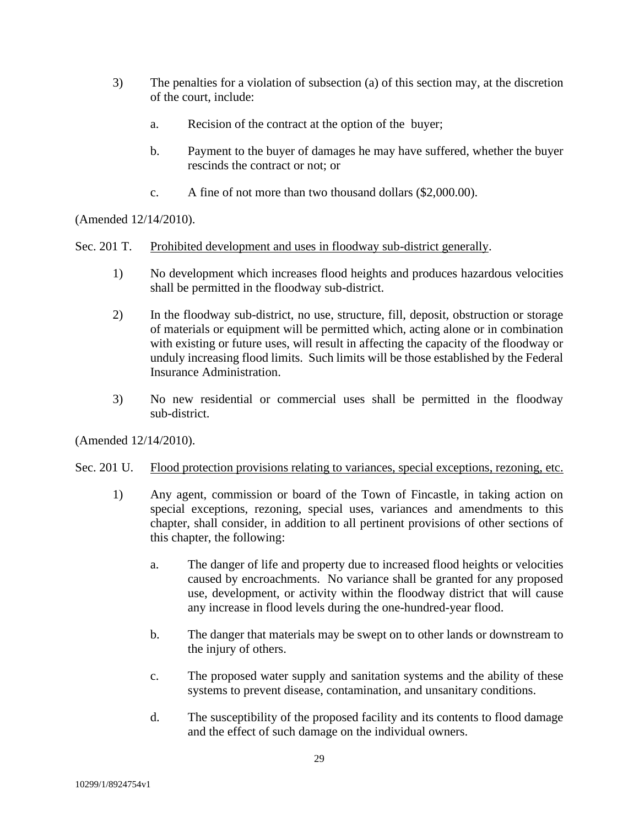- 3) The penalties for a violation of subsection (a) of this section may, at the discretion of the court, include:
	- a. Recision of the contract at the option of the buyer;
	- b. Payment to the buyer of damages he may have suffered, whether the buyer rescinds the contract or not; or
	- c. A fine of not more than two thousand dollars (\$2,000.00).

(Amended 12/14/2010).

# Sec. 201 T. Prohibited development and uses in floodway sub-district generally.

- 1) No development which increases flood heights and produces hazardous velocities shall be permitted in the floodway sub-district.
- 2) In the floodway sub-district, no use, structure, fill, deposit, obstruction or storage of materials or equipment will be permitted which, acting alone or in combination with existing or future uses, will result in affecting the capacity of the floodway or unduly increasing flood limits. Such limits will be those established by the Federal Insurance Administration.
- 3) No new residential or commercial uses shall be permitted in the floodway sub-district.

(Amended 12/14/2010).

# Sec. 201 U. Flood protection provisions relating to variances, special exceptions, rezoning, etc.

- 1) Any agent, commission or board of the Town of Fincastle, in taking action on special exceptions, rezoning, special uses, variances and amendments to this chapter, shall consider, in addition to all pertinent provisions of other sections of this chapter, the following:
	- a. The danger of life and property due to increased flood heights or velocities caused by encroachments. No variance shall be granted for any proposed use, development, or activity within the floodway district that will cause any increase in flood levels during the one-hundred-year flood.
	- b. The danger that materials may be swept on to other lands or downstream to the injury of others.
	- c. The proposed water supply and sanitation systems and the ability of these systems to prevent disease, contamination, and unsanitary conditions.
	- d. The susceptibility of the proposed facility and its contents to flood damage and the effect of such damage on the individual owners.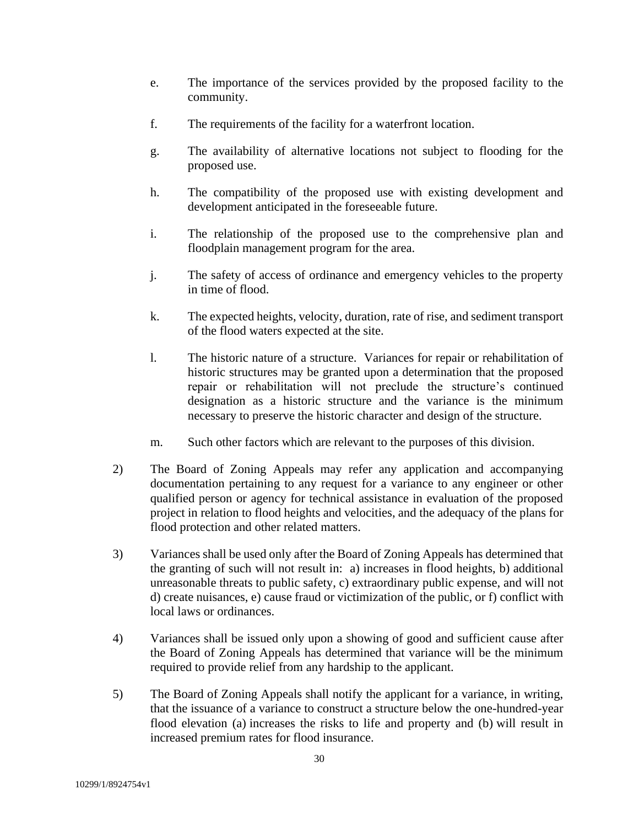- e. The importance of the services provided by the proposed facility to the community.
- f. The requirements of the facility for a waterfront location.
- g. The availability of alternative locations not subject to flooding for the proposed use.
- h. The compatibility of the proposed use with existing development and development anticipated in the foreseeable future.
- i. The relationship of the proposed use to the comprehensive plan and floodplain management program for the area.
- j. The safety of access of ordinance and emergency vehicles to the property in time of flood.
- k. The expected heights, velocity, duration, rate of rise, and sediment transport of the flood waters expected at the site.
- l. The historic nature of a structure. Variances for repair or rehabilitation of historic structures may be granted upon a determination that the proposed repair or rehabilitation will not preclude the structure's continued designation as a historic structure and the variance is the minimum necessary to preserve the historic character and design of the structure.
- m. Such other factors which are relevant to the purposes of this division.
- 2) The Board of Zoning Appeals may refer any application and accompanying documentation pertaining to any request for a variance to any engineer or other qualified person or agency for technical assistance in evaluation of the proposed project in relation to flood heights and velocities, and the adequacy of the plans for flood protection and other related matters.
- 3) Variances shall be used only after the Board of Zoning Appeals has determined that the granting of such will not result in: a) increases in flood heights, b) additional unreasonable threats to public safety, c) extraordinary public expense, and will not d) create nuisances, e) cause fraud or victimization of the public, or f) conflict with local laws or ordinances.
- 4) Variances shall be issued only upon a showing of good and sufficient cause after the Board of Zoning Appeals has determined that variance will be the minimum required to provide relief from any hardship to the applicant.
- 5) The Board of Zoning Appeals shall notify the applicant for a variance, in writing, that the issuance of a variance to construct a structure below the one-hundred-year flood elevation (a) increases the risks to life and property and (b) will result in increased premium rates for flood insurance.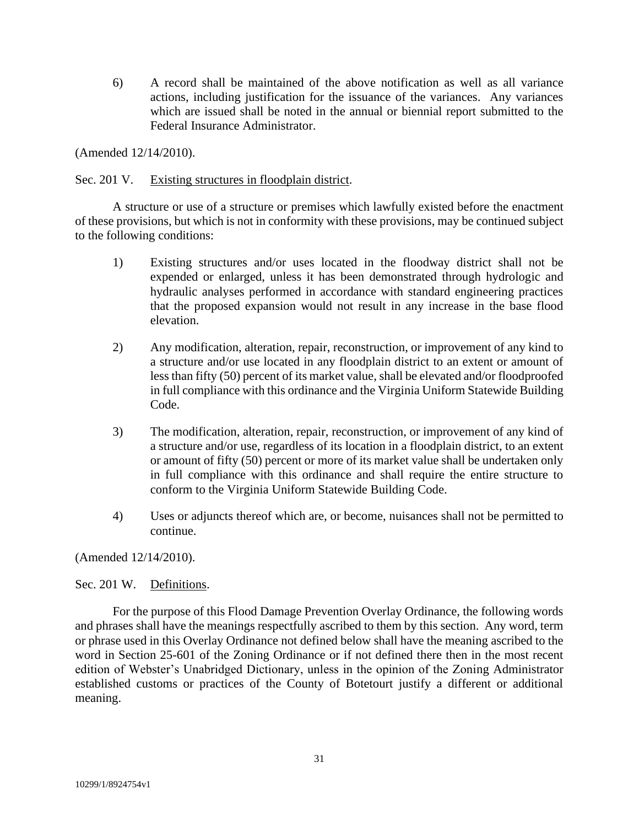6) A record shall be maintained of the above notification as well as all variance actions, including justification for the issuance of the variances. Any variances which are issued shall be noted in the annual or biennial report submitted to the Federal Insurance Administrator.

(Amended 12/14/2010).

# Sec. 201 V. Existing structures in floodplain district.

A structure or use of a structure or premises which lawfully existed before the enactment of these provisions, but which is not in conformity with these provisions, may be continued subject to the following conditions:

- 1) Existing structures and/or uses located in the floodway district shall not be expended or enlarged, unless it has been demonstrated through hydrologic and hydraulic analyses performed in accordance with standard engineering practices that the proposed expansion would not result in any increase in the base flood elevation.
- 2) Any modification, alteration, repair, reconstruction, or improvement of any kind to a structure and/or use located in any floodplain district to an extent or amount of less than fifty (50) percent of its market value, shall be elevated and/or floodproofed in full compliance with this ordinance and the Virginia Uniform Statewide Building Code.
- 3) The modification, alteration, repair, reconstruction, or improvement of any kind of a structure and/or use, regardless of its location in a floodplain district, to an extent or amount of fifty (50) percent or more of its market value shall be undertaken only in full compliance with this ordinance and shall require the entire structure to conform to the Virginia Uniform Statewide Building Code.
- 4) Uses or adjuncts thereof which are, or become, nuisances shall not be permitted to continue.

(Amended 12/14/2010).

# Sec. 201 W. Definitions.

For the purpose of this Flood Damage Prevention Overlay Ordinance, the following words and phrases shall have the meanings respectfully ascribed to them by this section. Any word, term or phrase used in this Overlay Ordinance not defined below shall have the meaning ascribed to the word in Section 25-601 of the Zoning Ordinance or if not defined there then in the most recent edition of Webster's Unabridged Dictionary, unless in the opinion of the Zoning Administrator established customs or practices of the County of Botetourt justify a different or additional meaning.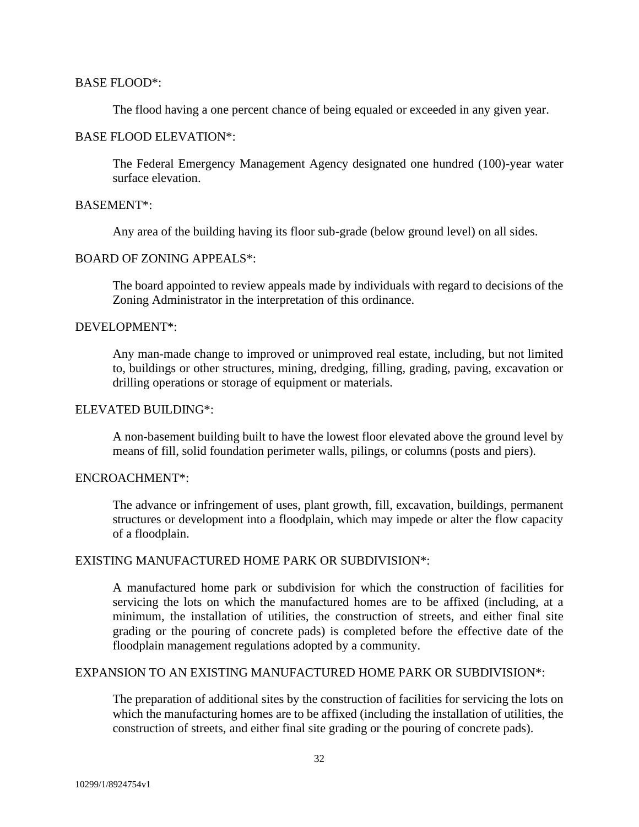### BASE FLOOD\*:

The flood having a one percent chance of being equaled or exceeded in any given year.

### BASE FLOOD ELEVATION\*:

The Federal Emergency Management Agency designated one hundred (100)-year water surface elevation.

### BASEMENT\*:

Any area of the building having its floor sub-grade (below ground level) on all sides.

# BOARD OF ZONING APPEALS\*:

The board appointed to review appeals made by individuals with regard to decisions of the Zoning Administrator in the interpretation of this ordinance.

# DEVELOPMENT\*:

Any man-made change to improved or unimproved real estate, including, but not limited to, buildings or other structures, mining, dredging, filling, grading, paving, excavation or drilling operations or storage of equipment or materials.

# ELEVATED BUILDING\*:

A non-basement building built to have the lowest floor elevated above the ground level by means of fill, solid foundation perimeter walls, pilings, or columns (posts and piers).

### ENCROACHMENT\*:

The advance or infringement of uses, plant growth, fill, excavation, buildings, permanent structures or development into a floodplain, which may impede or alter the flow capacity of a floodplain.

# EXISTING MANUFACTURED HOME PARK OR SUBDIVISION\*:

A manufactured home park or subdivision for which the construction of facilities for servicing the lots on which the manufactured homes are to be affixed (including, at a minimum, the installation of utilities, the construction of streets, and either final site grading or the pouring of concrete pads) is completed before the effective date of the floodplain management regulations adopted by a community.

# EXPANSION TO AN EXISTING MANUFACTURED HOME PARK OR SUBDIVISION\*:

The preparation of additional sites by the construction of facilities for servicing the lots on which the manufacturing homes are to be affixed (including the installation of utilities, the construction of streets, and either final site grading or the pouring of concrete pads).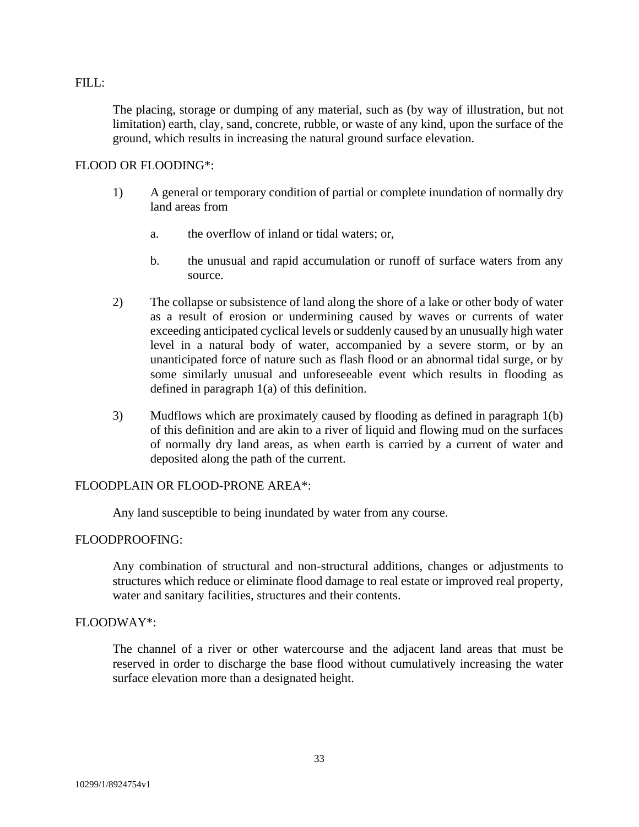# FILL:

The placing, storage or dumping of any material, such as (by way of illustration, but not limitation) earth, clay, sand, concrete, rubble, or waste of any kind, upon the surface of the ground, which results in increasing the natural ground surface elevation.

# FLOOD OR FLOODING\*:

- 1) A general or temporary condition of partial or complete inundation of normally dry land areas from
	- a. the overflow of inland or tidal waters; or,
	- b. the unusual and rapid accumulation or runoff of surface waters from any source.
- 2) The collapse or subsistence of land along the shore of a lake or other body of water as a result of erosion or undermining caused by waves or currents of water exceeding anticipated cyclical levels or suddenly caused by an unusually high water level in a natural body of water, accompanied by a severe storm, or by an unanticipated force of nature such as flash flood or an abnormal tidal surge, or by some similarly unusual and unforeseeable event which results in flooding as defined in paragraph 1(a) of this definition.
- 3) Mudflows which are proximately caused by flooding as defined in paragraph 1(b) of this definition and are akin to a river of liquid and flowing mud on the surfaces of normally dry land areas, as when earth is carried by a current of water and deposited along the path of the current.

### FLOODPLAIN OR FLOOD-PRONE AREA\*:

Any land susceptible to being inundated by water from any course.

# FLOODPROOFING:

Any combination of structural and non-structural additions, changes or adjustments to structures which reduce or eliminate flood damage to real estate or improved real property, water and sanitary facilities, structures and their contents.

### FLOODWAY\*:

The channel of a river or other watercourse and the adjacent land areas that must be reserved in order to discharge the base flood without cumulatively increasing the water surface elevation more than a designated height.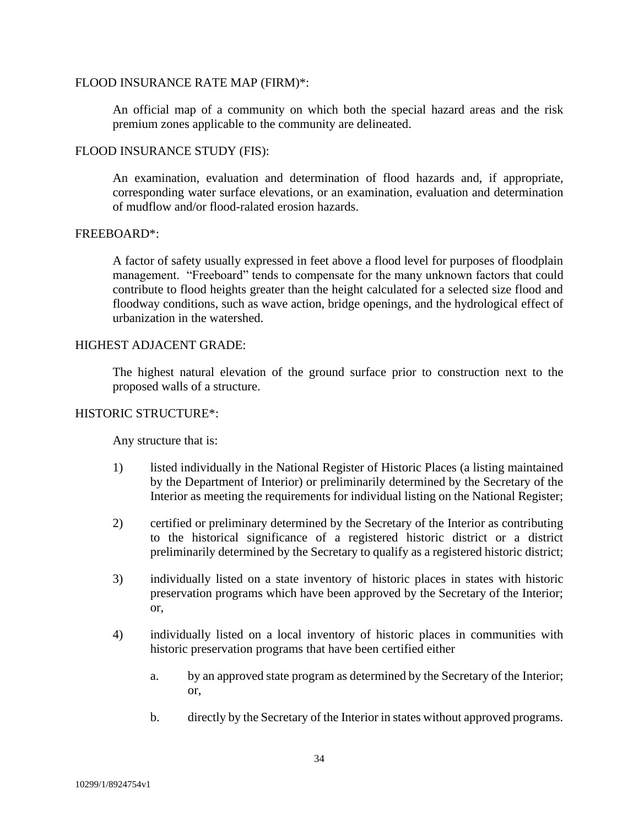### FLOOD INSURANCE RATE MAP (FIRM)\*:

An official map of a community on which both the special hazard areas and the risk premium zones applicable to the community are delineated.

### FLOOD INSURANCE STUDY (FIS):

An examination, evaluation and determination of flood hazards and, if appropriate, corresponding water surface elevations, or an examination, evaluation and determination of mudflow and/or flood-ralated erosion hazards.

### FREEBOARD\*:

A factor of safety usually expressed in feet above a flood level for purposes of floodplain management. "Freeboard" tends to compensate for the many unknown factors that could contribute to flood heights greater than the height calculated for a selected size flood and floodway conditions, such as wave action, bridge openings, and the hydrological effect of urbanization in the watershed.

# HIGHEST ADJACENT GRADE:

The highest natural elevation of the ground surface prior to construction next to the proposed walls of a structure.

# HISTORIC STRUCTURE\*:

Any structure that is:

- 1) listed individually in the National Register of Historic Places (a listing maintained by the Department of Interior) or preliminarily determined by the Secretary of the Interior as meeting the requirements for individual listing on the National Register;
- 2) certified or preliminary determined by the Secretary of the Interior as contributing to the historical significance of a registered historic district or a district preliminarily determined by the Secretary to qualify as a registered historic district;
- 3) individually listed on a state inventory of historic places in states with historic preservation programs which have been approved by the Secretary of the Interior; or,
- 4) individually listed on a local inventory of historic places in communities with historic preservation programs that have been certified either
	- a. by an approved state program as determined by the Secretary of the Interior; or,
	- b. directly by the Secretary of the Interior in states without approved programs.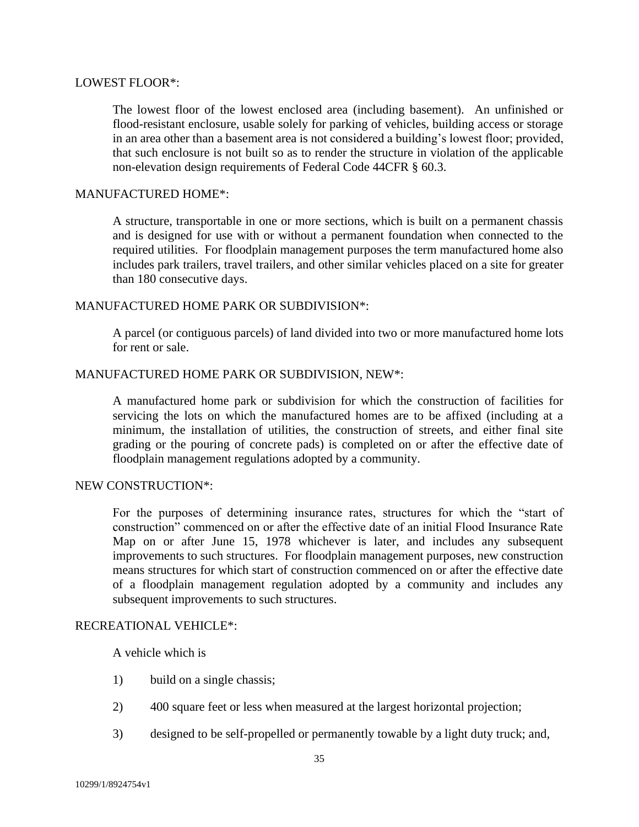### LOWEST FLOOR\*:

The lowest floor of the lowest enclosed area (including basement). An unfinished or flood-resistant enclosure, usable solely for parking of vehicles, building access or storage in an area other than a basement area is not considered a building's lowest floor; provided, that such enclosure is not built so as to render the structure in violation of the applicable non-elevation design requirements of Federal Code 44CFR § 60.3.

#### MANUFACTURED HOME\*:

A structure, transportable in one or more sections, which is built on a permanent chassis and is designed for use with or without a permanent foundation when connected to the required utilities. For floodplain management purposes the term manufactured home also includes park trailers, travel trailers, and other similar vehicles placed on a site for greater than 180 consecutive days.

### MANUFACTURED HOME PARK OR SUBDIVISION\*:

A parcel (or contiguous parcels) of land divided into two or more manufactured home lots for rent or sale.

#### MANUFACTURED HOME PARK OR SUBDIVISION, NEW\*:

A manufactured home park or subdivision for which the construction of facilities for servicing the lots on which the manufactured homes are to be affixed (including at a minimum, the installation of utilities, the construction of streets, and either final site grading or the pouring of concrete pads) is completed on or after the effective date of floodplain management regulations adopted by a community.

### NEW CONSTRUCTION\*:

For the purposes of determining insurance rates, structures for which the "start of construction" commenced on or after the effective date of an initial Flood Insurance Rate Map on or after June 15, 1978 whichever is later, and includes any subsequent improvements to such structures. For floodplain management purposes, new construction means structures for which start of construction commenced on or after the effective date of a floodplain management regulation adopted by a community and includes any subsequent improvements to such structures.

### RECREATIONAL VEHICLE\*:

A vehicle which is

- 1) build on a single chassis;
- 2) 400 square feet or less when measured at the largest horizontal projection;
- 3) designed to be self-propelled or permanently towable by a light duty truck; and,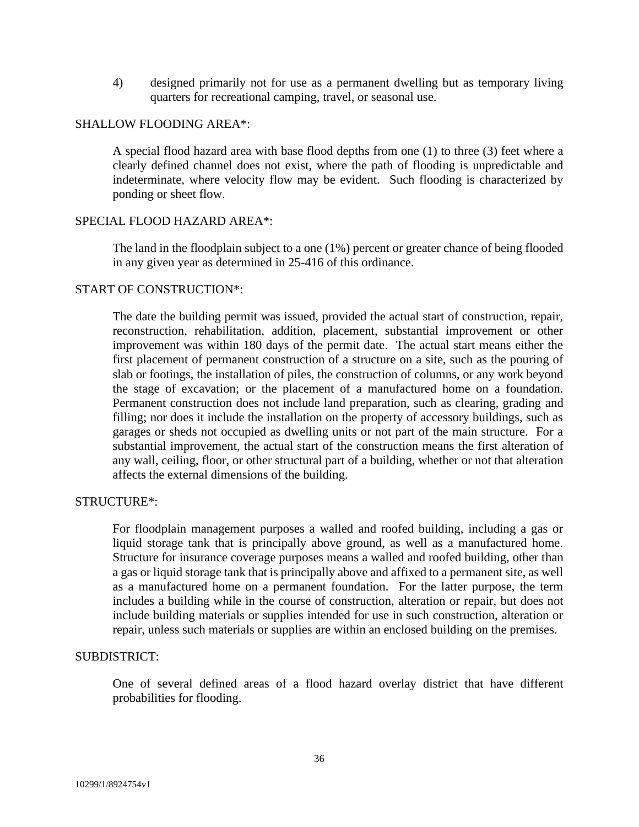4) designed primarily not for use as a permanent dwelling but as temporary living quarters for recreational camping, travel, or seasonal use.

### SHALLOW FLOODING AREA\*:

A special flood hazard area with base flood depths from one (1) to three (3) feet where a clearly defined channel does not exist, where the path of flooding is unpredictable and indeterminate, where velocity flow may be evident. Such flooding is characterized by ponding or sheet flow.

### SPECIAL FLOOD HAZARD AREA\*:

The land in the floodplain subject to a one (1%) percent or greater chance of being flooded in any given year as determined in 25-416 of this ordinance.

### START OF CONSTRUCTION\*:

The date the building permit was issued, provided the actual start of construction, repair, reconstruction, rehabilitation, addition, placement, substantial improvement or other improvement was within 180 days of the permit date. The actual start means either the first placement of permanent construction of a structure on a site, such as the pouring of slab or footings, the installation of piles, the construction of columns, or any work beyond the stage of excavation; or the placement of a manufactured home on a foundation. Permanent construction does not include land preparation, such as clearing, grading and filling; nor does it include the installation on the property of accessory buildings, such as garages or sheds not occupied as dwelling units or not part of the main structure. For a substantial improvement, the actual start of the construction means the first alteration of any wall, ceiling, floor, or other structural part of a building, whether or not that alteration affects the external dimensions of the building.

### STRUCTURE\*:

For floodplain management purposes a walled and roofed building, including a gas or liquid storage tank that is principally above ground, as well as a manufactured home. Structure for insurance coverage purposes means a walled and roofed building, other than a gas or liquid storage tank that is principally above and affixed to a permanent site, as well as a manufactured home on a permanent foundation. For the latter purpose, the term includes a building while in the course of construction, alteration or repair, but does not include building materials or supplies intended for use in such construction, alteration or repair, unless such materials or supplies are within an enclosed building on the premises.

### SUBDISTRICT:

One of several defined areas of a flood hazard overlay district that have different probabilities for flooding.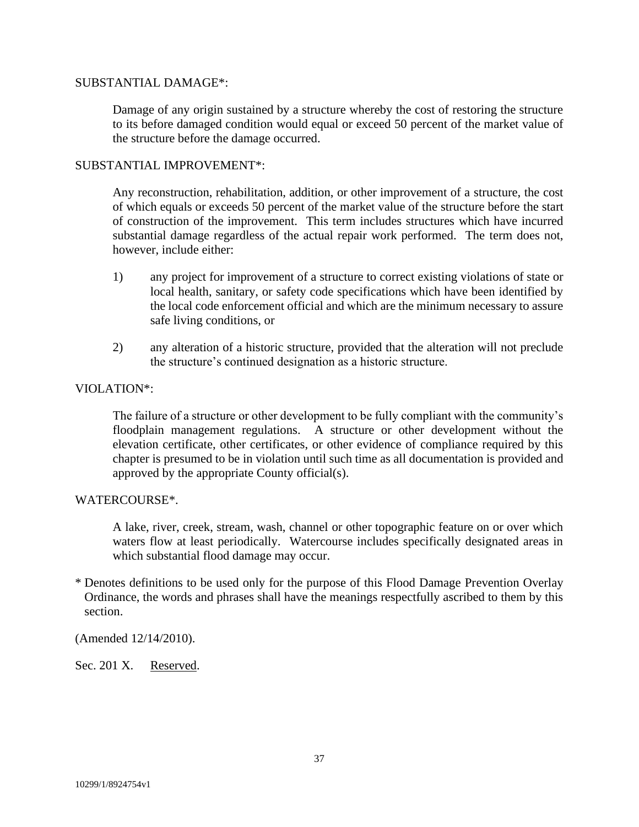### SUBSTANTIAL DAMAGE\*:

Damage of any origin sustained by a structure whereby the cost of restoring the structure to its before damaged condition would equal or exceed 50 percent of the market value of the structure before the damage occurred.

## SUBSTANTIAL IMPROVEMENT\*:

Any reconstruction, rehabilitation, addition, or other improvement of a structure, the cost of which equals or exceeds 50 percent of the market value of the structure before the start of construction of the improvement. This term includes structures which have incurred substantial damage regardless of the actual repair work performed. The term does not, however, include either:

- 1) any project for improvement of a structure to correct existing violations of state or local health, sanitary, or safety code specifications which have been identified by the local code enforcement official and which are the minimum necessary to assure safe living conditions, or
- 2) any alteration of a historic structure, provided that the alteration will not preclude the structure's continued designation as a historic structure.

### VIOLATION\*:

The failure of a structure or other development to be fully compliant with the community's floodplain management regulations. A structure or other development without the elevation certificate, other certificates, or other evidence of compliance required by this chapter is presumed to be in violation until such time as all documentation is provided and approved by the appropriate County official(s).

#### WATERCOURSE\*.

A lake, river, creek, stream, wash, channel or other topographic feature on or over which waters flow at least periodically. Watercourse includes specifically designated areas in which substantial flood damage may occur.

\* Denotes definitions to be used only for the purpose of this Flood Damage Prevention Overlay Ordinance, the words and phrases shall have the meanings respectfully ascribed to them by this section.

(Amended 12/14/2010).

Sec. 201 X. Reserved.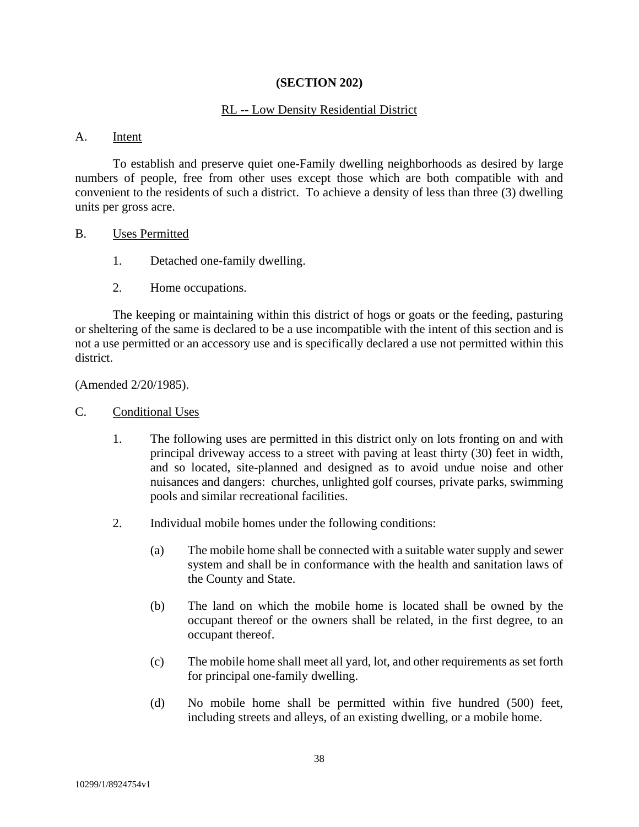## **(SECTION 202)**

### RL -- Low Density Residential District

#### A. Intent

To establish and preserve quiet one-Family dwelling neighborhoods as desired by large numbers of people, free from other uses except those which are both compatible with and convenient to the residents of such a district. To achieve a density of less than three (3) dwelling units per gross acre.

#### B. Uses Permitted

- 1. Detached one-family dwelling.
- 2. Home occupations.

The keeping or maintaining within this district of hogs or goats or the feeding, pasturing or sheltering of the same is declared to be a use incompatible with the intent of this section and is not a use permitted or an accessory use and is specifically declared a use not permitted within this district.

(Amended 2/20/1985).

- C. Conditional Uses
	- 1. The following uses are permitted in this district only on lots fronting on and with principal driveway access to a street with paving at least thirty (30) feet in width, and so located, site-planned and designed as to avoid undue noise and other nuisances and dangers: churches, unlighted golf courses, private parks, swimming pools and similar recreational facilities.
	- 2. Individual mobile homes under the following conditions:
		- (a) The mobile home shall be connected with a suitable water supply and sewer system and shall be in conformance with the health and sanitation laws of the County and State.
		- (b) The land on which the mobile home is located shall be owned by the occupant thereof or the owners shall be related, in the first degree, to an occupant thereof.
		- (c) The mobile home shall meet all yard, lot, and other requirements as set forth for principal one-family dwelling.
		- (d) No mobile home shall be permitted within five hundred (500) feet, including streets and alleys, of an existing dwelling, or a mobile home.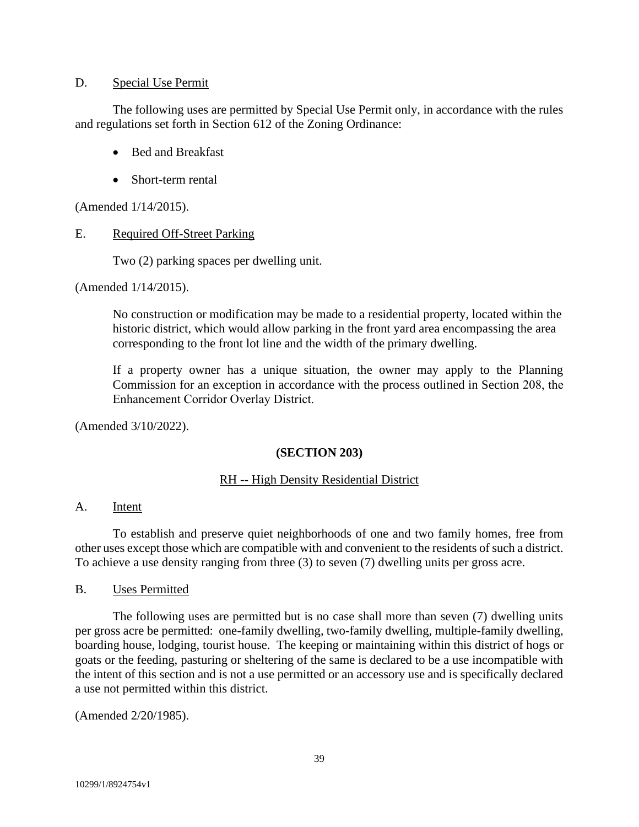#### D. Special Use Permit

The following uses are permitted by Special Use Permit only, in accordance with the rules and regulations set forth in Section 612 of the Zoning Ordinance:

- Bed and Breakfast
- Short-term rental

(Amended 1/14/2015).

## E. Required Off-Street Parking

Two (2) parking spaces per dwelling unit.

(Amended 1/14/2015).

No construction or modification may be made to a residential property, located within the historic district, which would allow parking in the front yard area encompassing the area corresponding to the front lot line and the width of the primary dwelling.

If a property owner has a unique situation, the owner may apply to the Planning Commission for an exception in accordance with the process outlined in Section 208, the Enhancement Corridor Overlay District.

(Amended 3/10/2022).

## **(SECTION 203)**

## RH -- High Density Residential District

## A. Intent

To establish and preserve quiet neighborhoods of one and two family homes, free from other uses except those which are compatible with and convenient to the residents of such a district. To achieve a use density ranging from three (3) to seven (7) dwelling units per gross acre.

## B. Uses Permitted

The following uses are permitted but is no case shall more than seven (7) dwelling units per gross acre be permitted: one-family dwelling, two-family dwelling, multiple-family dwelling, boarding house, lodging, tourist house. The keeping or maintaining within this district of hogs or goats or the feeding, pasturing or sheltering of the same is declared to be a use incompatible with the intent of this section and is not a use permitted or an accessory use and is specifically declared a use not permitted within this district.

(Amended 2/20/1985).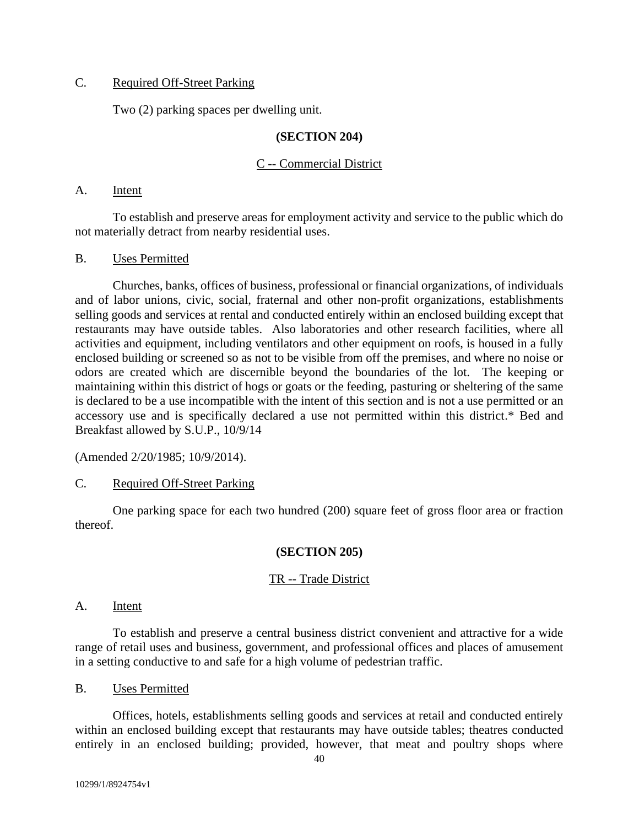## C. Required Off-Street Parking

Two (2) parking spaces per dwelling unit.

## **(SECTION 204)**

## C -- Commercial District

#### A. Intent

To establish and preserve areas for employment activity and service to the public which do not materially detract from nearby residential uses.

### B. Uses Permitted

Churches, banks, offices of business, professional or financial organizations, of individuals and of labor unions, civic, social, fraternal and other non-profit organizations, establishments selling goods and services at rental and conducted entirely within an enclosed building except that restaurants may have outside tables. Also laboratories and other research facilities, where all activities and equipment, including ventilators and other equipment on roofs, is housed in a fully enclosed building or screened so as not to be visible from off the premises, and where no noise or odors are created which are discernible beyond the boundaries of the lot. The keeping or maintaining within this district of hogs or goats or the feeding, pasturing or sheltering of the same is declared to be a use incompatible with the intent of this section and is not a use permitted or an accessory use and is specifically declared a use not permitted within this district.\* Bed and Breakfast allowed by S.U.P., 10/9/14

(Amended 2/20/1985; 10/9/2014).

## C. Required Off-Street Parking

One parking space for each two hundred (200) square feet of gross floor area or fraction thereof.

## **(SECTION 205)**

## TR -- Trade District

## A. Intent

To establish and preserve a central business district convenient and attractive for a wide range of retail uses and business, government, and professional offices and places of amusement in a setting conductive to and safe for a high volume of pedestrian traffic.

### B. Uses Permitted

Offices, hotels, establishments selling goods and services at retail and conducted entirely within an enclosed building except that restaurants may have outside tables; theatres conducted entirely in an enclosed building; provided, however, that meat and poultry shops where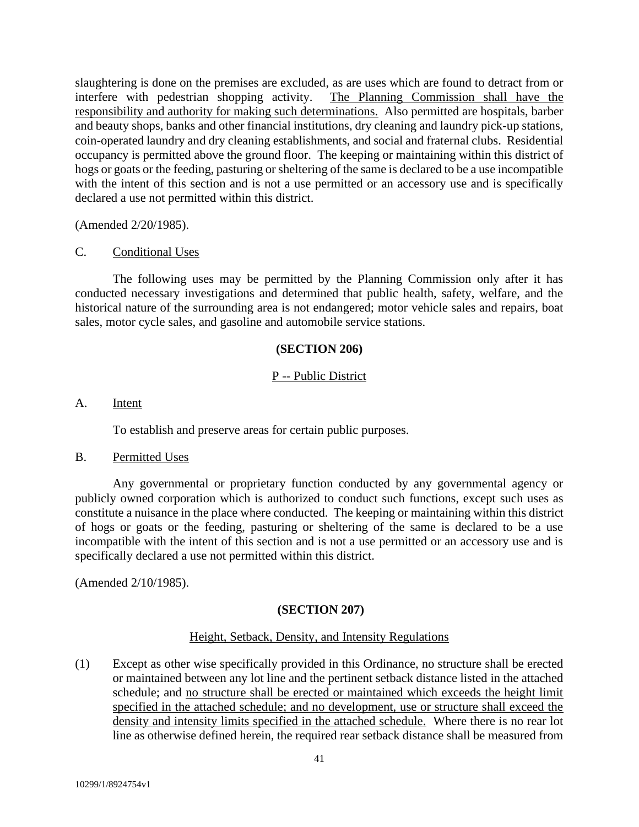slaughtering is done on the premises are excluded, as are uses which are found to detract from or interfere with pedestrian shopping activity. The Planning Commission shall have the responsibility and authority for making such determinations. Also permitted are hospitals, barber and beauty shops, banks and other financial institutions, dry cleaning and laundry pick-up stations, coin-operated laundry and dry cleaning establishments, and social and fraternal clubs. Residential occupancy is permitted above the ground floor. The keeping or maintaining within this district of hogs or goats or the feeding, pasturing or sheltering of the same is declared to be a use incompatible with the intent of this section and is not a use permitted or an accessory use and is specifically declared a use not permitted within this district.

(Amended 2/20/1985).

### C. Conditional Uses

The following uses may be permitted by the Planning Commission only after it has conducted necessary investigations and determined that public health, safety, welfare, and the historical nature of the surrounding area is not endangered; motor vehicle sales and repairs, boat sales, motor cycle sales, and gasoline and automobile service stations.

### **(SECTION 206)**

## P -- Public District

### A. Intent

To establish and preserve areas for certain public purposes.

#### B. Permitted Uses

Any governmental or proprietary function conducted by any governmental agency or publicly owned corporation which is authorized to conduct such functions, except such uses as constitute a nuisance in the place where conducted. The keeping or maintaining within this district of hogs or goats or the feeding, pasturing or sheltering of the same is declared to be a use incompatible with the intent of this section and is not a use permitted or an accessory use and is specifically declared a use not permitted within this district.

(Amended 2/10/1985).

## **(SECTION 207)**

## Height, Setback, Density, and Intensity Regulations

(1) Except as other wise specifically provided in this Ordinance, no structure shall be erected or maintained between any lot line and the pertinent setback distance listed in the attached schedule; and no structure shall be erected or maintained which exceeds the height limit specified in the attached schedule; and no development, use or structure shall exceed the density and intensity limits specified in the attached schedule. Where there is no rear lot line as otherwise defined herein, the required rear setback distance shall be measured from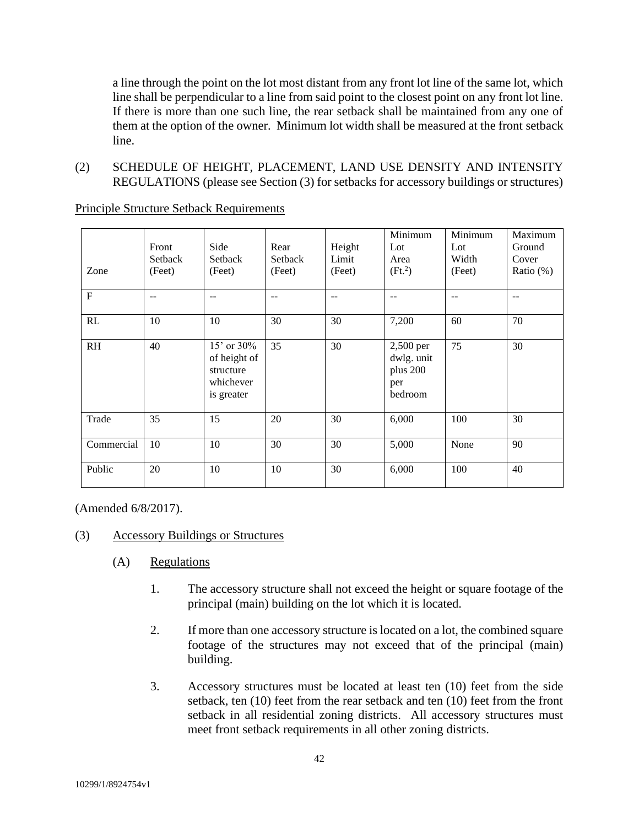a line through the point on the lot most distant from any front lot line of the same lot, which line shall be perpendicular to a line from said point to the closest point on any front lot line. If there is more than one such line, the rear setback shall be maintained from any one of them at the option of the owner. Minimum lot width shall be measured at the front setback line.

(2) SCHEDULE OF HEIGHT, PLACEMENT, LAND USE DENSITY AND INTENSITY REGULATIONS (please see Section (3) for setbacks for accessory buildings or structures)

| Zone           | Front<br>Setback<br>(Feet) | Side<br>Setback<br>(Feet)                                               | Rear<br>Setback<br>(Feet) | Height<br>Limit<br>(Feet) | Minimum<br>Lot<br>Area<br>(Ft <sup>2</sup> )          | Minimum<br>Lot<br>Width<br>(Feet) | Maximum<br>Ground<br>Cover<br>Ratio $(\%)$ |
|----------------|----------------------------|-------------------------------------------------------------------------|---------------------------|---------------------------|-------------------------------------------------------|-----------------------------------|--------------------------------------------|
| $\overline{F}$ | $-$                        | --                                                                      | --                        | $-$                       | $-$                                                   | $-$                               | $-1$                                       |
| RL             | 10                         | 10                                                                      | 30                        | 30                        | 7,200                                                 | 60                                | 70                                         |
| <b>RH</b>      | 40                         | $15'$ or $30\%$<br>of height of<br>structure<br>whichever<br>is greater | 35                        | 30                        | 2,500 per<br>dwlg. unit<br>plus 200<br>per<br>bedroom | 75                                | 30                                         |
| Trade          | 35                         | 15                                                                      | 20                        | 30                        | 6,000                                                 | 100                               | 30                                         |
| Commercial     | 10                         | 10                                                                      | 30                        | 30                        | 5,000                                                 | None                              | 90                                         |
| Public         | 20                         | 10                                                                      | 10                        | 30                        | 6,000                                                 | 100                               | 40                                         |

Principle Structure Setback Requirements

(Amended 6/8/2017).

## (3) Accessory Buildings or Structures

- (A) Regulations
	- 1. The accessory structure shall not exceed the height or square footage of the principal (main) building on the lot which it is located.
	- 2. If more than one accessory structure is located on a lot, the combined square footage of the structures may not exceed that of the principal (main) building.
	- 3. Accessory structures must be located at least ten (10) feet from the side setback, ten (10) feet from the rear setback and ten (10) feet from the front setback in all residential zoning districts. All accessory structures must meet front setback requirements in all other zoning districts.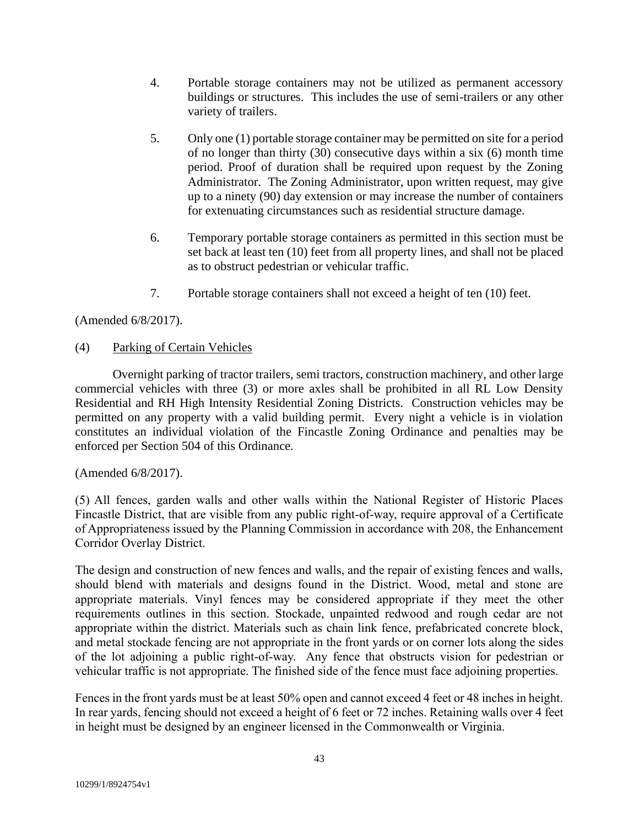- 4. Portable storage containers may not be utilized as permanent accessory buildings or structures. This includes the use of semi-trailers or any other variety of trailers.
- 5. Only one (1) portable storage container may be permitted on site for a period of no longer than thirty (30) consecutive days within a six (6) month time period. Proof of duration shall be required upon request by the Zoning Administrator. The Zoning Administrator, upon written request, may give up to a ninety (90) day extension or may increase the number of containers for extenuating circumstances such as residential structure damage.
- 6. Temporary portable storage containers as permitted in this section must be set back at least ten (10) feet from all property lines, and shall not be placed as to obstruct pedestrian or vehicular traffic.
- 7. Portable storage containers shall not exceed a height of ten (10) feet.

## (Amended 6/8/2017).

## (4) Parking of Certain Vehicles

Overnight parking of tractor trailers, semi tractors, construction machinery, and other large commercial vehicles with three (3) or more axles shall be prohibited in all RL Low Density Residential and RH High Intensity Residential Zoning Districts. Construction vehicles may be permitted on any property with a valid building permit. Every night a vehicle is in violation constitutes an individual violation of the Fincastle Zoning Ordinance and penalties may be enforced per Section 504 of this Ordinance.

## (Amended 6/8/2017).

(5) All fences, garden walls and other walls within the National Register of Historic Places Fincastle District, that are visible from any public right-of-way, require approval of a Certificate of Appropriateness issued by the Planning Commission in accordance with 208, the Enhancement Corridor Overlay District.

The design and construction of new fences and walls, and the repair of existing fences and walls, should blend with materials and designs found in the District. Wood, metal and stone are appropriate materials. Vinyl fences may be considered appropriate if they meet the other requirements outlines in this section. Stockade, unpainted redwood and rough cedar are not appropriate within the district. Materials such as chain link fence, prefabricated concrete block, and metal stockade fencing are not appropriate in the front yards or on corner lots along the sides of the lot adjoining a public right-of-way. Any fence that obstructs vision for pedestrian or vehicular traffic is not appropriate. The finished side of the fence must face adjoining properties.

Fences in the front yards must be at least 50% open and cannot exceed 4 feet or 48 inches in height. In rear yards, fencing should not exceed a height of 6 feet or 72 inches. Retaining walls over 4 feet in height must be designed by an engineer licensed in the Commonwealth or Virginia.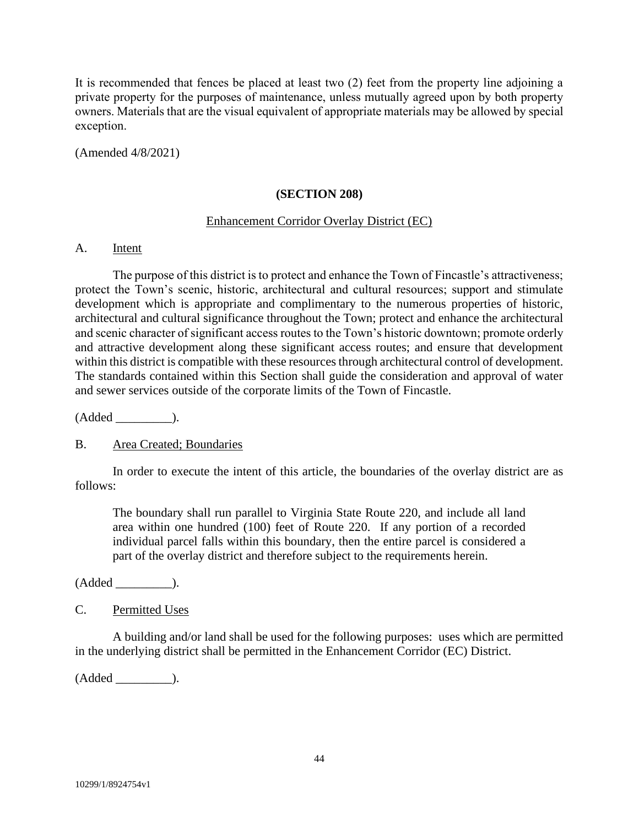It is recommended that fences be placed at least two (2) feet from the property line adjoining a private property for the purposes of maintenance, unless mutually agreed upon by both property owners. Materials that are the visual equivalent of appropriate materials may be allowed by special exception.

(Amended 4/8/2021)

### **(SECTION 208)**

#### Enhancement Corridor Overlay District (EC)

### A. Intent

The purpose of this district is to protect and enhance the Town of Fincastle's attractiveness; protect the Town's scenic, historic, architectural and cultural resources; support and stimulate development which is appropriate and complimentary to the numerous properties of historic, architectural and cultural significance throughout the Town; protect and enhance the architectural and scenic character of significant access routes to the Town's historic downtown; promote orderly and attractive development along these significant access routes; and ensure that development within this district is compatible with these resources through architectural control of development. The standards contained within this Section shall guide the consideration and approval of water and sewer services outside of the corporate limits of the Town of Fincastle.

 $(Added \_$ .

## B. Area Created; Boundaries

In order to execute the intent of this article, the boundaries of the overlay district are as follows:

The boundary shall run parallel to Virginia State Route 220, and include all land area within one hundred (100) feet of Route 220. If any portion of a recorded individual parcel falls within this boundary, then the entire parcel is considered a part of the overlay district and therefore subject to the requirements herein.

(Added \_\_\_\_\_\_\_\_\_).

#### C. Permitted Uses

A building and/or land shall be used for the following purposes: uses which are permitted in the underlying district shall be permitted in the Enhancement Corridor (EC) District.

(Added \_\_\_\_\_\_\_\_\_).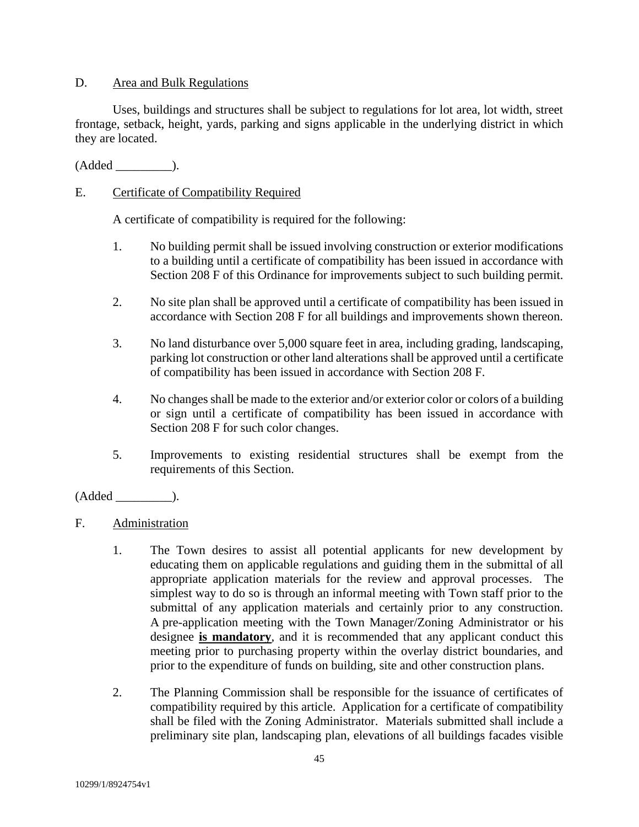## D. Area and Bulk Regulations

Uses, buildings and structures shall be subject to regulations for lot area, lot width, street frontage, setback, height, yards, parking and signs applicable in the underlying district in which they are located.

 $(Added \_$ ).

## E. Certificate of Compatibility Required

A certificate of compatibility is required for the following:

- 1. No building permit shall be issued involving construction or exterior modifications to a building until a certificate of compatibility has been issued in accordance with Section 208 F of this Ordinance for improvements subject to such building permit.
- 2. No site plan shall be approved until a certificate of compatibility has been issued in accordance with Section 208 F for all buildings and improvements shown thereon.
- 3. No land disturbance over 5,000 square feet in area, including grading, landscaping, parking lot construction or other land alterations shall be approved until a certificate of compatibility has been issued in accordance with Section 208 F.
- 4. No changes shall be made to the exterior and/or exterior color or colors of a building or sign until a certificate of compatibility has been issued in accordance with Section 208 F for such color changes.
- 5. Improvements to existing residential structures shall be exempt from the requirements of this Section.

 $(Added$   $)$ .

- F. Administration
	- 1. The Town desires to assist all potential applicants for new development by educating them on applicable regulations and guiding them in the submittal of all appropriate application materials for the review and approval processes. The simplest way to do so is through an informal meeting with Town staff prior to the submittal of any application materials and certainly prior to any construction. A pre-application meeting with the Town Manager/Zoning Administrator or his designee **is mandatory**, and it is recommended that any applicant conduct this meeting prior to purchasing property within the overlay district boundaries, and prior to the expenditure of funds on building, site and other construction plans.
	- 2. The Planning Commission shall be responsible for the issuance of certificates of compatibility required by this article. Application for a certificate of compatibility shall be filed with the Zoning Administrator. Materials submitted shall include a preliminary site plan, landscaping plan, elevations of all buildings facades visible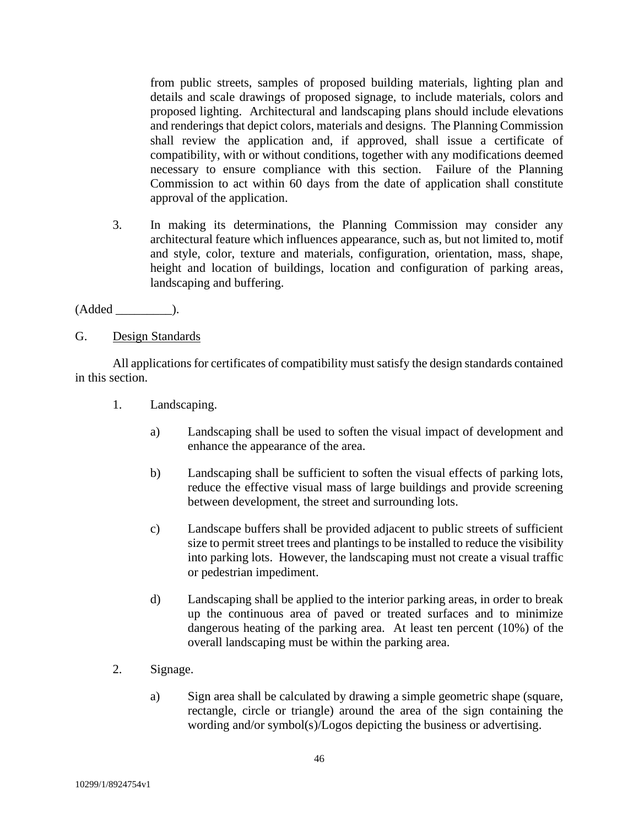from public streets, samples of proposed building materials, lighting plan and details and scale drawings of proposed signage, to include materials, colors and proposed lighting. Architectural and landscaping plans should include elevations and renderings that depict colors, materials and designs. The Planning Commission shall review the application and, if approved, shall issue a certificate of compatibility, with or without conditions, together with any modifications deemed necessary to ensure compliance with this section. Failure of the Planning Commission to act within 60 days from the date of application shall constitute approval of the application.

3. In making its determinations, the Planning Commission may consider any architectural feature which influences appearance, such as, but not limited to, motif and style, color, texture and materials, configuration, orientation, mass, shape, height and location of buildings, location and configuration of parking areas, landscaping and buffering.

 $(Added$  \_\_\_\_\_\_\_\_\_\_\_\_\_\_\_.

G. Design Standards

All applications for certificates of compatibility must satisfy the design standards contained in this section.

- 1. Landscaping.
	- a) Landscaping shall be used to soften the visual impact of development and enhance the appearance of the area.
	- b) Landscaping shall be sufficient to soften the visual effects of parking lots, reduce the effective visual mass of large buildings and provide screening between development, the street and surrounding lots.
	- c) Landscape buffers shall be provided adjacent to public streets of sufficient size to permit street trees and plantings to be installed to reduce the visibility into parking lots. However, the landscaping must not create a visual traffic or pedestrian impediment.
	- d) Landscaping shall be applied to the interior parking areas, in order to break up the continuous area of paved or treated surfaces and to minimize dangerous heating of the parking area. At least ten percent (10%) of the overall landscaping must be within the parking area.
- 2. Signage.
	- a) Sign area shall be calculated by drawing a simple geometric shape (square, rectangle, circle or triangle) around the area of the sign containing the wording and/or symbol(s)/Logos depicting the business or advertising.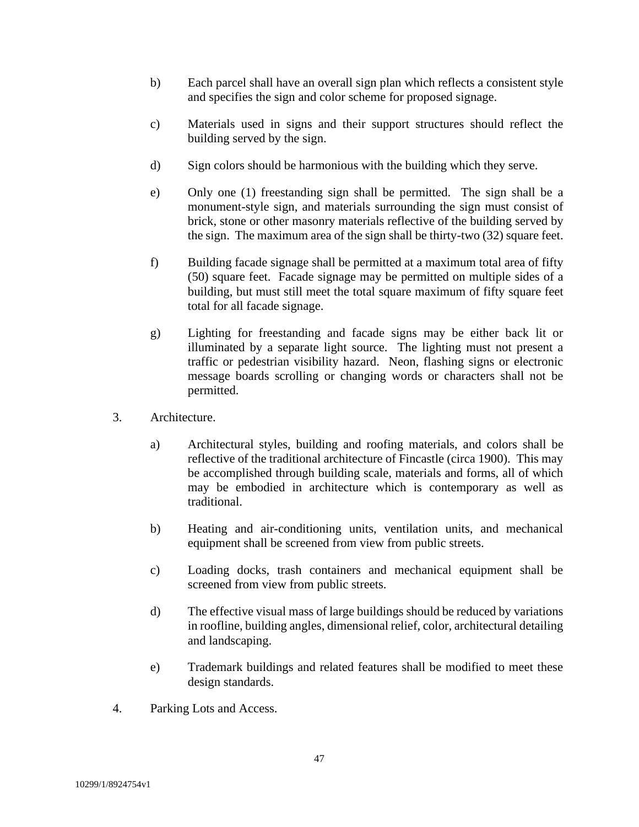- b) Each parcel shall have an overall sign plan which reflects a consistent style and specifies the sign and color scheme for proposed signage.
- c) Materials used in signs and their support structures should reflect the building served by the sign.
- d) Sign colors should be harmonious with the building which they serve.
- e) Only one (1) freestanding sign shall be permitted. The sign shall be a monument-style sign, and materials surrounding the sign must consist of brick, stone or other masonry materials reflective of the building served by the sign. The maximum area of the sign shall be thirty-two (32) square feet.
- f) Building facade signage shall be permitted at a maximum total area of fifty (50) square feet. Facade signage may be permitted on multiple sides of a building, but must still meet the total square maximum of fifty square feet total for all facade signage.
- g) Lighting for freestanding and facade signs may be either back lit or illuminated by a separate light source. The lighting must not present a traffic or pedestrian visibility hazard. Neon, flashing signs or electronic message boards scrolling or changing words or characters shall not be permitted.
- 3. Architecture.
	- a) Architectural styles, building and roofing materials, and colors shall be reflective of the traditional architecture of Fincastle (circa 1900). This may be accomplished through building scale, materials and forms, all of which may be embodied in architecture which is contemporary as well as traditional.
	- b) Heating and air-conditioning units, ventilation units, and mechanical equipment shall be screened from view from public streets.
	- c) Loading docks, trash containers and mechanical equipment shall be screened from view from public streets.
	- d) The effective visual mass of large buildings should be reduced by variations in roofline, building angles, dimensional relief, color, architectural detailing and landscaping.
	- e) Trademark buildings and related features shall be modified to meet these design standards.
- 4. Parking Lots and Access.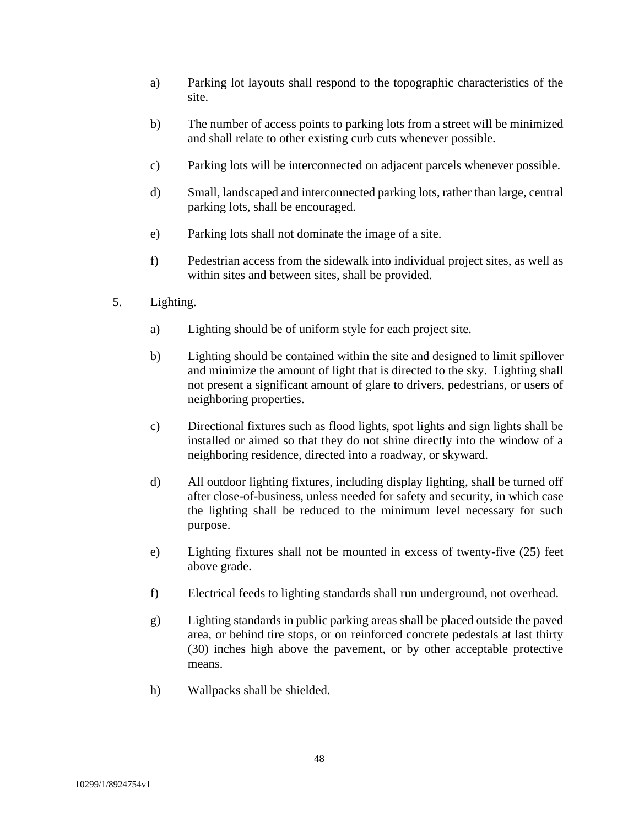- a) Parking lot layouts shall respond to the topographic characteristics of the site.
- b) The number of access points to parking lots from a street will be minimized and shall relate to other existing curb cuts whenever possible.
- c) Parking lots will be interconnected on adjacent parcels whenever possible.
- d) Small, landscaped and interconnected parking lots, rather than large, central parking lots, shall be encouraged.
- e) Parking lots shall not dominate the image of a site.
- f) Pedestrian access from the sidewalk into individual project sites, as well as within sites and between sites, shall be provided.
- 5. Lighting.
	- a) Lighting should be of uniform style for each project site.
	- b) Lighting should be contained within the site and designed to limit spillover and minimize the amount of light that is directed to the sky. Lighting shall not present a significant amount of glare to drivers, pedestrians, or users of neighboring properties.
	- c) Directional fixtures such as flood lights, spot lights and sign lights shall be installed or aimed so that they do not shine directly into the window of a neighboring residence, directed into a roadway, or skyward.
	- d) All outdoor lighting fixtures, including display lighting, shall be turned off after close-of-business, unless needed for safety and security, in which case the lighting shall be reduced to the minimum level necessary for such purpose.
	- e) Lighting fixtures shall not be mounted in excess of twenty-five (25) feet above grade.
	- f) Electrical feeds to lighting standards shall run underground, not overhead.
	- g) Lighting standards in public parking areas shall be placed outside the paved area, or behind tire stops, or on reinforced concrete pedestals at last thirty (30) inches high above the pavement, or by other acceptable protective means.
	- h) Wallpacks shall be shielded.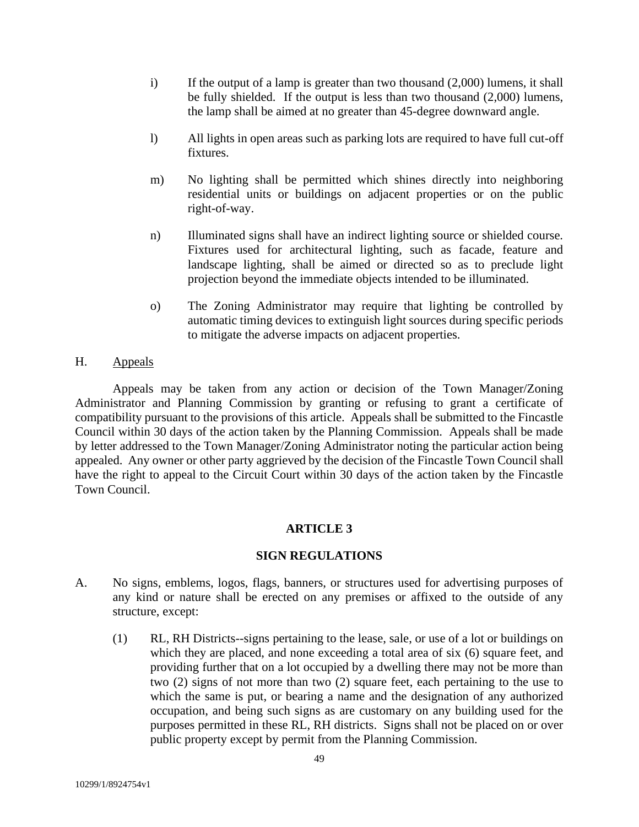- i) If the output of a lamp is greater than two thousand  $(2,000)$  lumens, it shall be fully shielded. If the output is less than two thousand (2,000) lumens, the lamp shall be aimed at no greater than 45-degree downward angle.
- l) All lights in open areas such as parking lots are required to have full cut-off fixtures.
- m) No lighting shall be permitted which shines directly into neighboring residential units or buildings on adjacent properties or on the public right-of-way.
- n) Illuminated signs shall have an indirect lighting source or shielded course. Fixtures used for architectural lighting, such as facade, feature and landscape lighting, shall be aimed or directed so as to preclude light projection beyond the immediate objects intended to be illuminated.
- o) The Zoning Administrator may require that lighting be controlled by automatic timing devices to extinguish light sources during specific periods to mitigate the adverse impacts on adjacent properties.

### H. Appeals

Appeals may be taken from any action or decision of the Town Manager/Zoning Administrator and Planning Commission by granting or refusing to grant a certificate of compatibility pursuant to the provisions of this article. Appeals shall be submitted to the Fincastle Council within 30 days of the action taken by the Planning Commission. Appeals shall be made by letter addressed to the Town Manager/Zoning Administrator noting the particular action being appealed. Any owner or other party aggrieved by the decision of the Fincastle Town Council shall have the right to appeal to the Circuit Court within 30 days of the action taken by the Fincastle Town Council.

## **ARTICLE 3**

## **SIGN REGULATIONS**

- A. No signs, emblems, logos, flags, banners, or structures used for advertising purposes of any kind or nature shall be erected on any premises or affixed to the outside of any structure, except:
	- (1) RL, RH Districts--signs pertaining to the lease, sale, or use of a lot or buildings on which they are placed, and none exceeding a total area of six (6) square feet, and providing further that on a lot occupied by a dwelling there may not be more than two (2) signs of not more than two (2) square feet, each pertaining to the use to which the same is put, or bearing a name and the designation of any authorized occupation, and being such signs as are customary on any building used for the purposes permitted in these RL, RH districts. Signs shall not be placed on or over public property except by permit from the Planning Commission.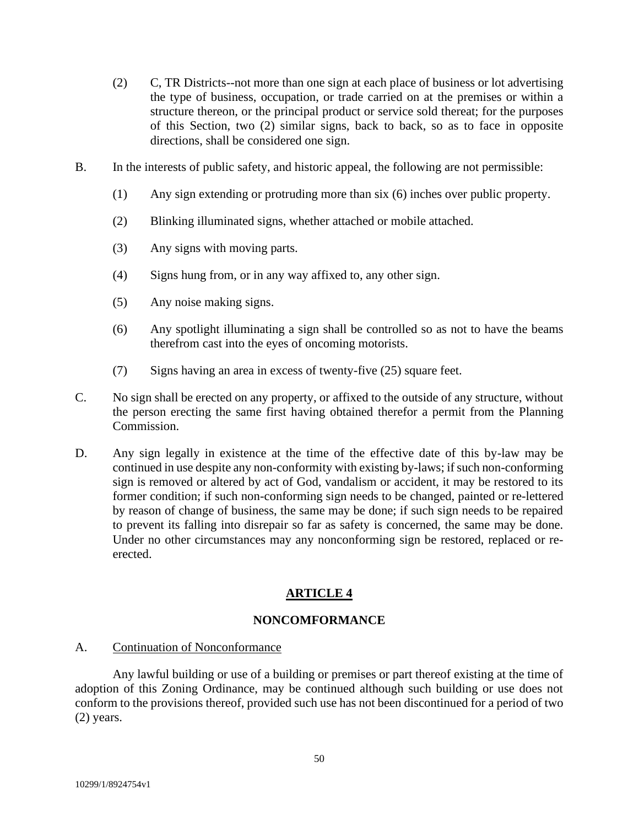- (2) C, TR Districts--not more than one sign at each place of business or lot advertising the type of business, occupation, or trade carried on at the premises or within a structure thereon, or the principal product or service sold thereat; for the purposes of this Section, two (2) similar signs, back to back, so as to face in opposite directions, shall be considered one sign.
- B. In the interests of public safety, and historic appeal, the following are not permissible:
	- (1) Any sign extending or protruding more than six (6) inches over public property.
	- (2) Blinking illuminated signs, whether attached or mobile attached.
	- (3) Any signs with moving parts.
	- (4) Signs hung from, or in any way affixed to, any other sign.
	- (5) Any noise making signs.
	- (6) Any spotlight illuminating a sign shall be controlled so as not to have the beams therefrom cast into the eyes of oncoming motorists.
	- (7) Signs having an area in excess of twenty-five (25) square feet.
- C. No sign shall be erected on any property, or affixed to the outside of any structure, without the person erecting the same first having obtained therefor a permit from the Planning Commission.
- D. Any sign legally in existence at the time of the effective date of this by-law may be continued in use despite any non-conformity with existing by-laws; if such non-conforming sign is removed or altered by act of God, vandalism or accident, it may be restored to its former condition; if such non-conforming sign needs to be changed, painted or re-lettered by reason of change of business, the same may be done; if such sign needs to be repaired to prevent its falling into disrepair so far as safety is concerned, the same may be done. Under no other circumstances may any nonconforming sign be restored, replaced or reerected.

# **ARTICLE 4**

## **NONCOMFORMANCE**

A. Continuation of Nonconformance

Any lawful building or use of a building or premises or part thereof existing at the time of adoption of this Zoning Ordinance, may be continued although such building or use does not conform to the provisions thereof, provided such use has not been discontinued for a period of two (2) years.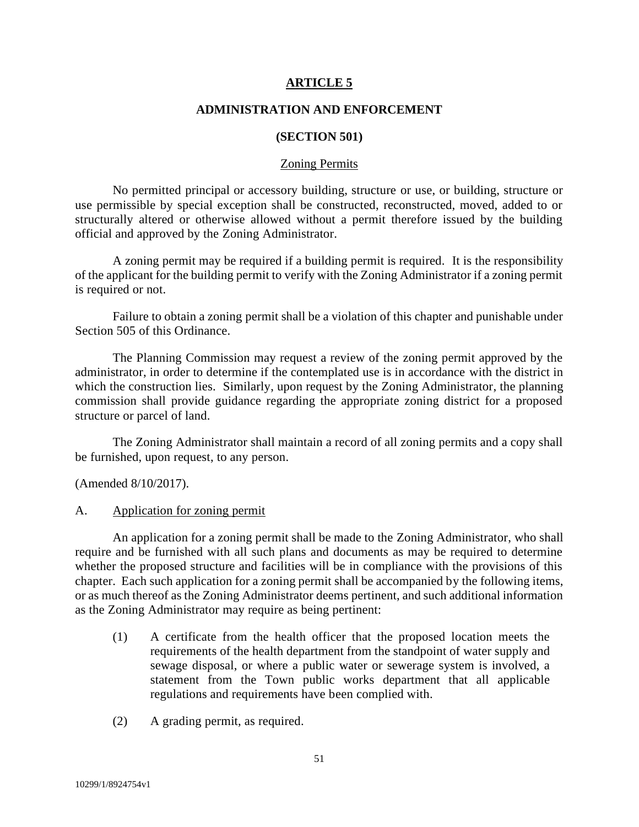#### **ARTICLE 5**

#### **ADMINISTRATION AND ENFORCEMENT**

#### **(SECTION 501)**

#### Zoning Permits

No permitted principal or accessory building, structure or use, or building, structure or use permissible by special exception shall be constructed, reconstructed, moved, added to or structurally altered or otherwise allowed without a permit therefore issued by the building official and approved by the Zoning Administrator.

A zoning permit may be required if a building permit is required. It is the responsibility of the applicant for the building permit to verify with the Zoning Administrator if a zoning permit is required or not.

Failure to obtain a zoning permit shall be a violation of this chapter and punishable under Section 505 of this Ordinance.

The Planning Commission may request a review of the zoning permit approved by the administrator, in order to determine if the contemplated use is in accordance with the district in which the construction lies. Similarly, upon request by the Zoning Administrator, the planning commission shall provide guidance regarding the appropriate zoning district for a proposed structure or parcel of land.

The Zoning Administrator shall maintain a record of all zoning permits and a copy shall be furnished, upon request, to any person.

(Amended 8/10/2017).

#### A. Application for zoning permit

An application for a zoning permit shall be made to the Zoning Administrator, who shall require and be furnished with all such plans and documents as may be required to determine whether the proposed structure and facilities will be in compliance with the provisions of this chapter. Each such application for a zoning permit shall be accompanied by the following items, or as much thereof as the Zoning Administrator deems pertinent, and such additional information as the Zoning Administrator may require as being pertinent:

- (1) A certificate from the health officer that the proposed location meets the requirements of the health department from the standpoint of water supply and sewage disposal, or where a public water or sewerage system is involved, a statement from the Town public works department that all applicable regulations and requirements have been complied with.
- (2) A grading permit, as required.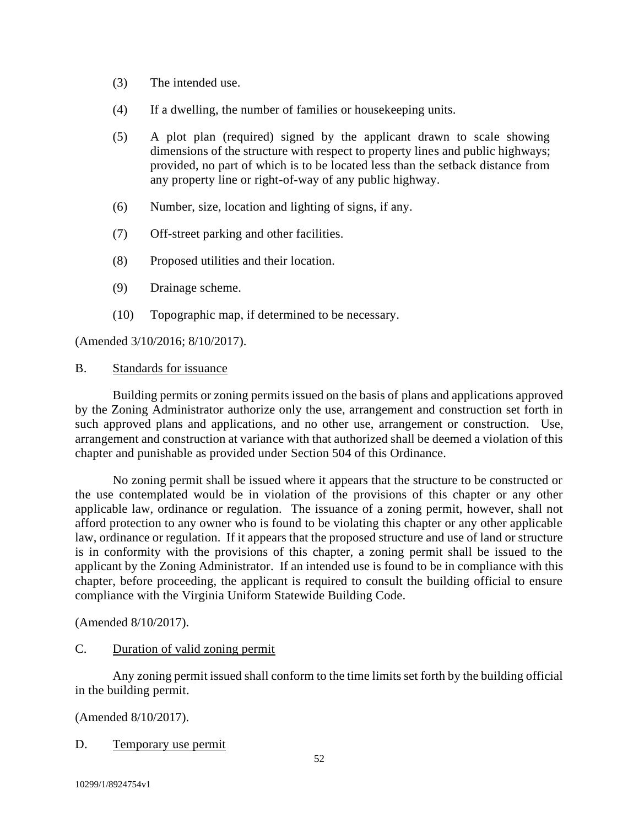- (3) The intended use.
- (4) If a dwelling, the number of families or housekeeping units.
- (5) A plot plan (required) signed by the applicant drawn to scale showing dimensions of the structure with respect to property lines and public highways; provided, no part of which is to be located less than the setback distance from any property line or right-of-way of any public highway.
- (6) Number, size, location and lighting of signs, if any.
- (7) Off-street parking and other facilities.
- (8) Proposed utilities and their location.
- (9) Drainage scheme.
- (10) Topographic map, if determined to be necessary.

(Amended 3/10/2016; 8/10/2017).

#### B. Standards for issuance

Building permits or zoning permits issued on the basis of plans and applications approved by the Zoning Administrator authorize only the use, arrangement and construction set forth in such approved plans and applications, and no other use, arrangement or construction. Use, arrangement and construction at variance with that authorized shall be deemed a violation of this chapter and punishable as provided under Section 504 of this Ordinance.

No zoning permit shall be issued where it appears that the structure to be constructed or the use contemplated would be in violation of the provisions of this chapter or any other applicable law, ordinance or regulation. The issuance of a zoning permit, however, shall not afford protection to any owner who is found to be violating this chapter or any other applicable law, ordinance or regulation. If it appears that the proposed structure and use of land or structure is in conformity with the provisions of this chapter, a zoning permit shall be issued to the applicant by the Zoning Administrator. If an intended use is found to be in compliance with this chapter, before proceeding, the applicant is required to consult the building official to ensure compliance with the Virginia Uniform Statewide Building Code.

(Amended 8/10/2017).

### C. Duration of valid zoning permit

Any zoning permit issued shall conform to the time limits set forth by the building official in the building permit.

(Amended 8/10/2017).

D. Temporary use permit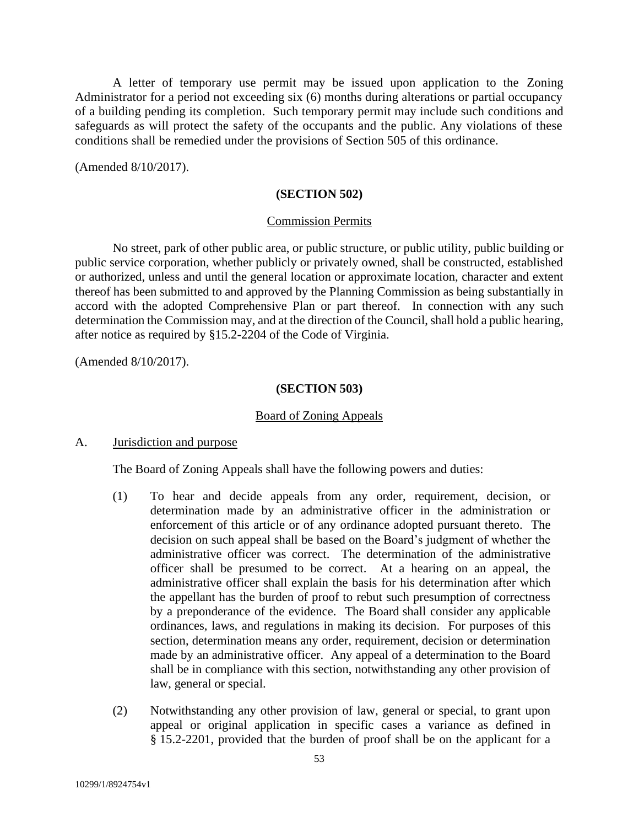A letter of temporary use permit may be issued upon application to the Zoning Administrator for a period not exceeding six (6) months during alterations or partial occupancy of a building pending its completion. Such temporary permit may include such conditions and safeguards as will protect the safety of the occupants and the public. Any violations of these conditions shall be remedied under the provisions of Section 505 of this ordinance.

(Amended 8/10/2017).

#### **(SECTION 502)**

#### Commission Permits

No street, park of other public area, or public structure, or public utility, public building or public service corporation, whether publicly or privately owned, shall be constructed, established or authorized, unless and until the general location or approximate location, character and extent thereof has been submitted to and approved by the Planning Commission as being substantially in accord with the adopted Comprehensive Plan or part thereof. In connection with any such determination the Commission may, and at the direction of the Council, shall hold a public hearing, after notice as required by §15.2-2204 of the Code of Virginia.

(Amended 8/10/2017).

#### **(SECTION 503)**

#### Board of Zoning Appeals

#### A. Jurisdiction and purpose

The Board of Zoning Appeals shall have the following powers and duties:

- (1) To hear and decide appeals from any order, requirement, decision, or determination made by an administrative officer in the administration or enforcement of this article or of any ordinance adopted pursuant thereto. The decision on such appeal shall be based on the Board's judgment of whether the administrative officer was correct. The determination of the administrative officer shall be presumed to be correct. At a hearing on an appeal, the administrative officer shall explain the basis for his determination after which the appellant has the burden of proof to rebut such presumption of correctness by a preponderance of the evidence. The Board shall consider any applicable ordinances, laws, and regulations in making its decision. For purposes of this section, determination means any order, requirement, decision or determination made by an administrative officer. Any appeal of a determination to the Board shall be in compliance with this section, notwithstanding any other provision of law, general or special.
- (2) Notwithstanding any other provision of law, general or special, to grant upon appeal or original application in specific cases a variance as defined in § 15.2-2201, provided that the burden of proof shall be on the applicant for a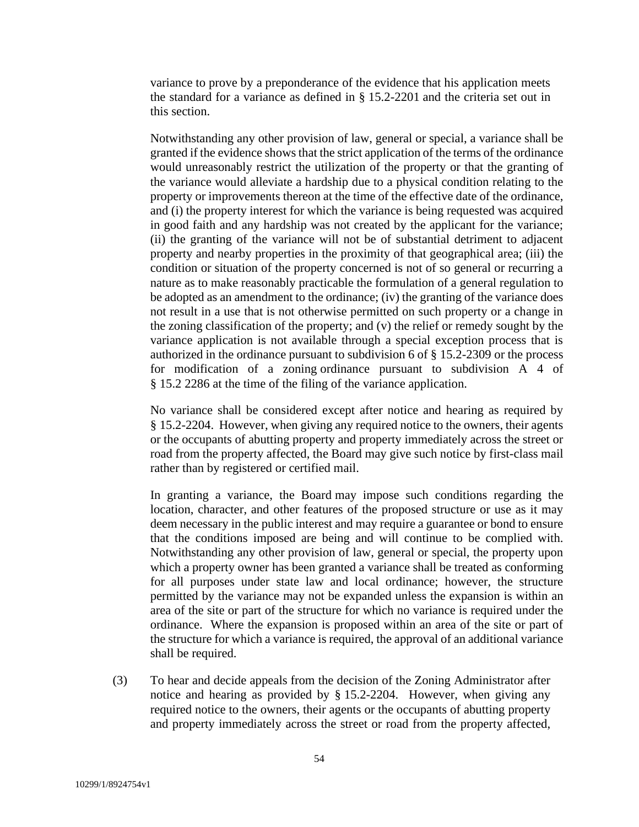variance to prove by a preponderance of the evidence that his application meets the standard for a variance as defined in § 15.2-2201 and the criteria set out in this section.

Notwithstanding any other provision of law, general or special, a variance shall be granted if the evidence shows that the strict application of the terms of the ordinance would unreasonably restrict the utilization of the property or that the granting of the variance would alleviate a hardship due to a physical condition relating to the property or improvements thereon at the time of the effective date of the ordinance, and (i) the property interest for which the variance is being requested was acquired in good faith and any hardship was not created by the applicant for the variance; (ii) the granting of the variance will not be of substantial detriment to adjacent property and nearby properties in the proximity of that geographical area; (iii) the condition or situation of the property concerned is not of so general or recurring a nature as to make reasonably practicable the formulation of a general regulation to be adopted as an amendment to the ordinance; (iv) the granting of the variance does not result in a use that is not otherwise permitted on such property or a change in the zoning classification of the property; and (v) the relief or remedy sought by the variance application is not available through a special exception process that is authorized in the ordinance pursuant to subdivision 6 of § [15.2-2309](http://law.lis.virginia.gov/vacode/15.2-2309/) or the process for modification of a zoning ordinance pursuant to subdivision A 4 of § 15.2 [2286](http://law.lis.virginia.gov/vacode/15.2-2286/) at the time of the filing of the variance application.

No variance shall be considered except after notice and hearing as required by § 15.2-2204. However, when giving any required notice to the owners, their agents or the occupants of abutting property and property immediately across the street or road from the property affected, the Board may give such notice by first-class mail rather than by registered or certified mail.

In granting a variance, the Board may impose such conditions regarding the location, character, and other features of the proposed structure or use as it may deem necessary in the public interest and may require a guarantee or bond to ensure that the conditions imposed are being and will continue to be complied with. Notwithstanding any other provision of law, general or special, the property upon which a property owner has been granted a variance shall be treated as conforming for all purposes under state law and local ordinance; however, the structure permitted by the variance may not be expanded unless the expansion is within an area of the site or part of the structure for which no variance is required under the ordinance. Where the expansion is proposed within an area of the site or part of the structure for which a variance is required, the approval of an additional variance shall be required.

(3) To hear and decide appeals from the decision of the Zoning Administrator after notice and hearing as provided by § [15.2-2204.](http://law.lis.virginia.gov/vacode/15.2-2204/) However, when giving any required notice to the owners, their agents or the occupants of abutting property and property immediately across the street or road from the property affected,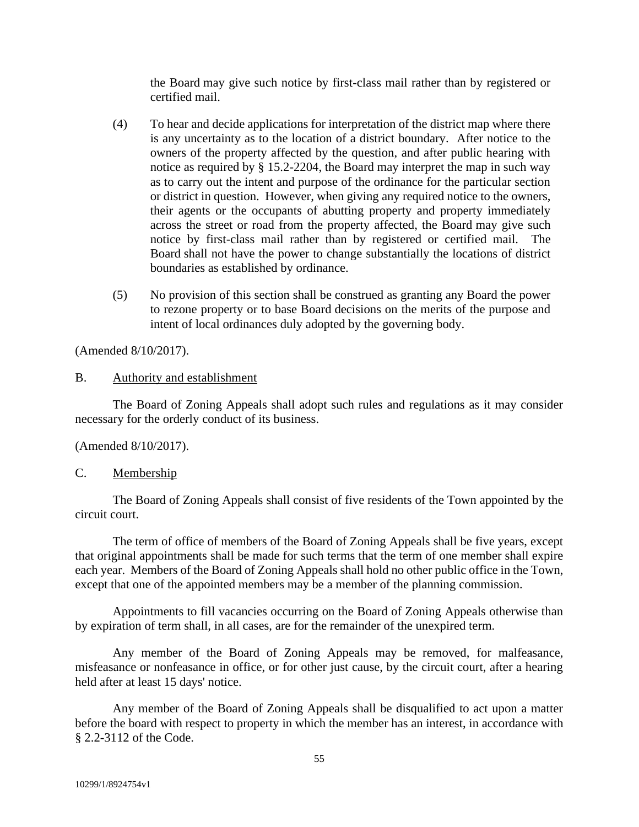the Board may give such notice by first-class mail rather than by registered or certified mail.

- (4) To hear and decide applications for interpretation of the district map where there is any uncertainty as to the location of a district boundary. After notice to the owners of the property affected by the question, and after public hearing with notice as required by § [15.2-2204,](http://law.lis.virginia.gov/vacode/15.2-2204/) the Board may interpret the map in such way as to carry out the intent and purpose of the ordinance for the particular section or district in question. However, when giving any required notice to the owners, their agents or the occupants of abutting property and property immediately across the street or road from the property affected, the Board may give such notice by first-class mail rather than by registered or certified mail. The Board shall not have the power to change substantially the locations of district boundaries as established by ordinance.
- (5) No provision of this section shall be construed as granting any Board the power to rezone property or to base Board decisions on the merits of the purpose and intent of local ordinances duly adopted by the governing body.

(Amended 8/10/2017).

## B. Authority and establishment

The Board of Zoning Appeals shall adopt such rules and regulations as it may consider necessary for the orderly conduct of its business.

(Amended 8/10/2017).

## C. Membership

The Board of Zoning Appeals shall consist of five residents of the Town appointed by the circuit court.

The term of office of members of the Board of Zoning Appeals shall be five years, except that original appointments shall be made for such terms that the term of one member shall expire each year. Members of the Board of Zoning Appeals shall hold no other public office in the Town, except that one of the appointed members may be a member of the planning commission.

Appointments to fill vacancies occurring on the Board of Zoning Appeals otherwise than by expiration of term shall, in all cases, are for the remainder of the unexpired term.

Any member of the Board of Zoning Appeals may be removed, for malfeasance, misfeasance or nonfeasance in office, or for other just cause, by the circuit court, after a hearing held after at least 15 days' notice.

Any member of the Board of Zoning Appeals shall be disqualified to act upon a matter before the board with respect to property in which the member has an interest, in accordance with § 2.2-3112 of the Code.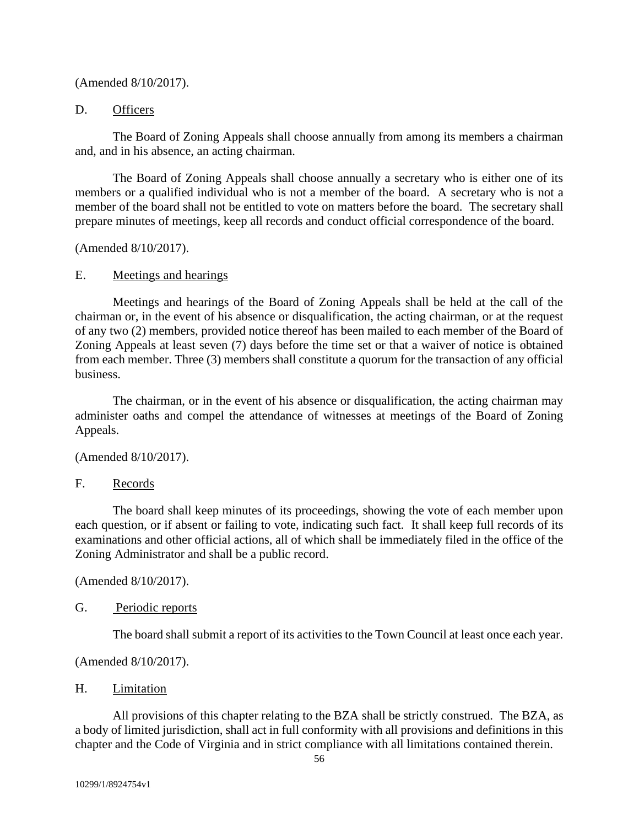## D. Officers

The Board of Zoning Appeals shall choose annually from among its members a chairman and, and in his absence, an acting chairman.

The Board of Zoning Appeals shall choose annually a secretary who is either one of its members or a qualified individual who is not a member of the board. A secretary who is not a member of the board shall not be entitled to vote on matters before the board. The secretary shall prepare minutes of meetings, keep all records and conduct official correspondence of the board.

(Amended 8/10/2017).

### E. Meetings and hearings

Meetings and hearings of the Board of Zoning Appeals shall be held at the call of the chairman or, in the event of his absence or disqualification, the acting chairman, or at the request of any two (2) members, provided notice thereof has been mailed to each member of the Board of Zoning Appeals at least seven (7) days before the time set or that a waiver of notice is obtained from each member. Three (3) members shall constitute a quorum for the transaction of any official business.

The chairman, or in the event of his absence or disqualification, the acting chairman may administer oaths and compel the attendance of witnesses at meetings of the Board of Zoning Appeals.

(Amended 8/10/2017).

### F. Records

The board shall keep minutes of its proceedings, showing the vote of each member upon each question, or if absent or failing to vote, indicating such fact. It shall keep full records of its examinations and other official actions, all of which shall be immediately filed in the office of the Zoning Administrator and shall be a public record.

(Amended 8/10/2017).

## G. Periodic reports

The board shall submit a report of its activities to the Town Council at least once each year.

(Amended 8/10/2017).

## H. Limitation

All provisions of this chapter relating to the BZA shall be strictly construed. The BZA, as a body of limited jurisdiction, shall act in full conformity with all provisions and definitions in this chapter and the Code of Virginia and in strict compliance with all limitations contained therein.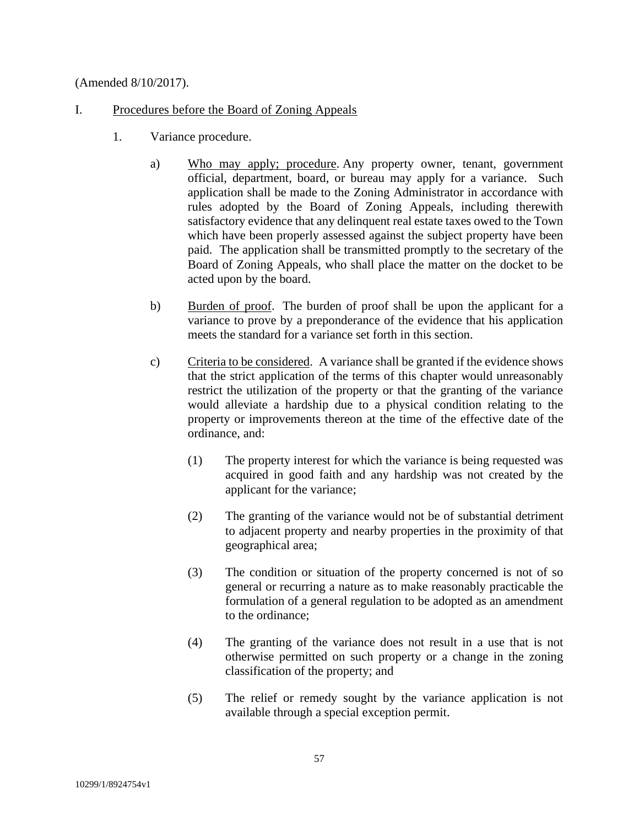## I. Procedures before the Board of Zoning Appeals

- 1. Variance procedure.
	- a) Who may apply; procedure. Any property owner, tenant, government official, department, board, or bureau may apply for a variance. Such application shall be made to the Zoning Administrator in accordance with rules adopted by the Board of Zoning Appeals, including therewith satisfactory evidence that any delinquent real estate taxes owed to the Town which have been properly assessed against the subject property have been paid. The application shall be transmitted promptly to the secretary of the Board of Zoning Appeals, who shall place the matter on the docket to be acted upon by the board.
	- b) Burden of proof. The burden of proof shall be upon the applicant for a variance to prove by a preponderance of the evidence that his application meets the standard for a variance set forth in this section.
	- c) Criteria to be considered. A variance shall be granted if the evidence shows that the strict application of the terms of this chapter would unreasonably restrict the utilization of the property or that the granting of the variance would alleviate a hardship due to a physical condition relating to the property or improvements thereon at the time of the effective date of the ordinance, and:
		- (1) The property interest for which the variance is being requested was acquired in good faith and any hardship was not created by the applicant for the variance;
		- (2) The granting of the variance would not be of substantial detriment to adjacent property and nearby properties in the proximity of that geographical area;
		- (3) The condition or situation of the property concerned is not of so general or recurring a nature as to make reasonably practicable the formulation of a general regulation to be adopted as an amendment to the ordinance;
		- (4) The granting of the variance does not result in a use that is not otherwise permitted on such property or a change in the zoning classification of the property; and
		- (5) The relief or remedy sought by the variance application is not available through a special exception permit.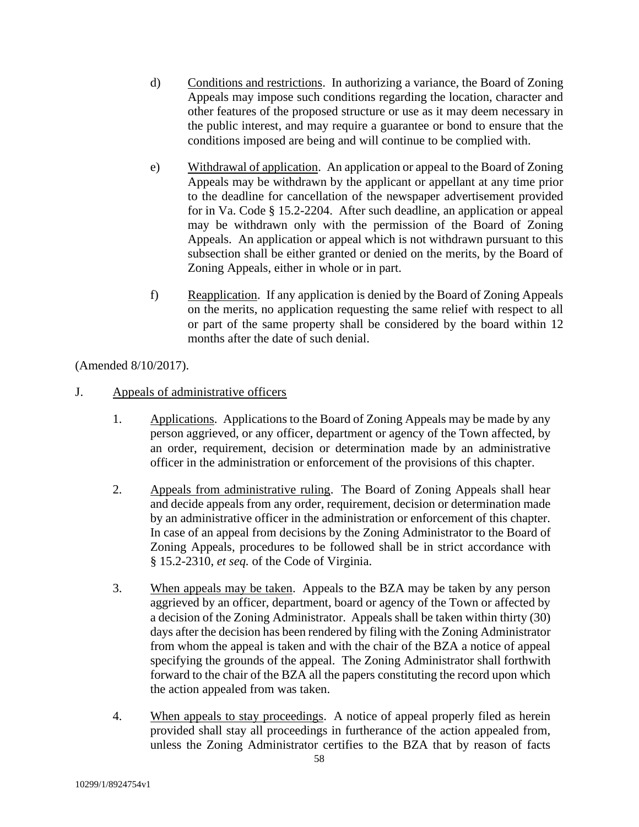- d) Conditions and restrictions. In authorizing a variance, the Board of Zoning Appeals may impose such conditions regarding the location, character and other features of the proposed structure or use as it may deem necessary in the public interest, and may require a guarantee or bond to ensure that the conditions imposed are being and will continue to be complied with.
- e) Withdrawal of application. An application or appeal to the Board of Zoning Appeals may be withdrawn by the applicant or appellant at any time prior to the deadline for cancellation of the newspaper advertisement provided for in Va. Code § 15.2-2204. After such deadline, an application or appeal may be withdrawn only with the permission of the Board of Zoning Appeals. An application or appeal which is not withdrawn pursuant to this subsection shall be either granted or denied on the merits, by the Board of Zoning Appeals, either in whole or in part.
- f) Reapplication. If any application is denied by the Board of Zoning Appeals on the merits, no application requesting the same relief with respect to all or part of the same property shall be considered by the board within 12 months after the date of such denial.

- J. Appeals of administrative officers
	- 1. Applications. Applications to the Board of Zoning Appeals may be made by any person aggrieved, or any officer, department or agency of the Town affected, by an order, requirement, decision or determination made by an administrative officer in the administration or enforcement of the provisions of this chapter.
	- 2. Appeals from administrative ruling. The Board of Zoning Appeals shall hear and decide appeals from any order, requirement, decision or determination made by an administrative officer in the administration or enforcement of this chapter. In case of an appeal from decisions by the Zoning Administrator to the Board of Zoning Appeals, procedures to be followed shall be in strict accordance with § 15.2-2310, *et seq.* of the Code of Virginia.
	- 3. When appeals may be taken. Appeals to the BZA may be taken by any person aggrieved by an officer, department, board or agency of the Town or affected by a decision of the Zoning Administrator. Appeals shall be taken within thirty (30) days after the decision has been rendered by filing with the Zoning Administrator from whom the appeal is taken and with the chair of the BZA a notice of appeal specifying the grounds of the appeal. The Zoning Administrator shall forthwith forward to the chair of the BZA all the papers constituting the record upon which the action appealed from was taken.
	- 4. When appeals to stay proceedings. A notice of appeal properly filed as herein provided shall stay all proceedings in furtherance of the action appealed from, unless the Zoning Administrator certifies to the BZA that by reason of facts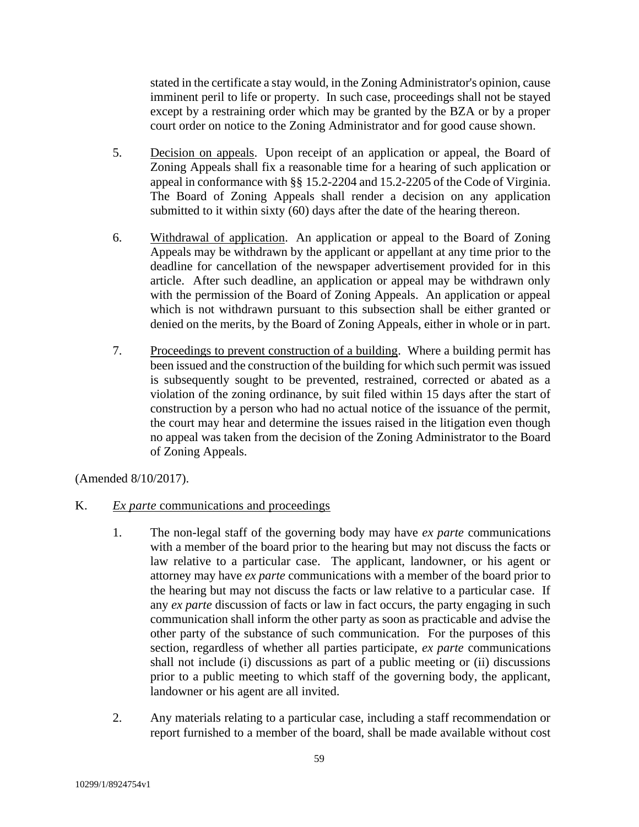stated in the certificate a stay would, in the Zoning Administrator's opinion, cause imminent peril to life or property. In such case, proceedings shall not be stayed except by a restraining order which may be granted by the BZA or by a proper court order on notice to the Zoning Administrator and for good cause shown.

- 5. Decision on appeals. Upon receipt of an application or appeal, the Board of Zoning Appeals shall fix a reasonable time for a hearing of such application or appeal in conformance with §§ 15.2-2204 and 15.2-2205 of the Code of Virginia. The Board of Zoning Appeals shall render a decision on any application submitted to it within sixty (60) days after the date of the hearing thereon.
- 6. Withdrawal of application. An application or appeal to the Board of Zoning Appeals may be withdrawn by the applicant or appellant at any time prior to the deadline for cancellation of the newspaper advertisement provided for in this article. After such deadline, an application or appeal may be withdrawn only with the permission of the Board of Zoning Appeals. An application or appeal which is not withdrawn pursuant to this subsection shall be either granted or denied on the merits, by the Board of Zoning Appeals, either in whole or in part.
- 7. Proceedings to prevent construction of a building. Where a building permit has been issued and the construction of the building for which such permit was issued is subsequently sought to be prevented, restrained, corrected or abated as a violation of the zoning ordinance, by suit filed within 15 days after the start of construction by a person who had no actual notice of the issuance of the permit, the court may hear and determine the issues raised in the litigation even though no appeal was taken from the decision of the Zoning Administrator to the Board of Zoning Appeals.

- K. *Ex parte* communications and proceedings
	- 1. The non-legal staff of the governing body may have *ex parte* communications with a member of the board prior to the hearing but may not discuss the facts or law relative to a particular case. The applicant, landowner, or his agent or attorney may have *ex parte* communications with a member of the board prior to the hearing but may not discuss the facts or law relative to a particular case. If any *ex parte* discussion of facts or law in fact occurs, the party engaging in such communication shall inform the other party as soon as practicable and advise the other party of the substance of such communication. For the purposes of this section, regardless of whether all parties participate, *ex parte* communications shall not include (i) discussions as part of a public meeting or (ii) discussions prior to a public meeting to which staff of the governing body, the applicant, landowner or his agent are all invited.
	- 2. Any materials relating to a particular case, including a staff recommendation or report furnished to a member of the board, shall be made available without cost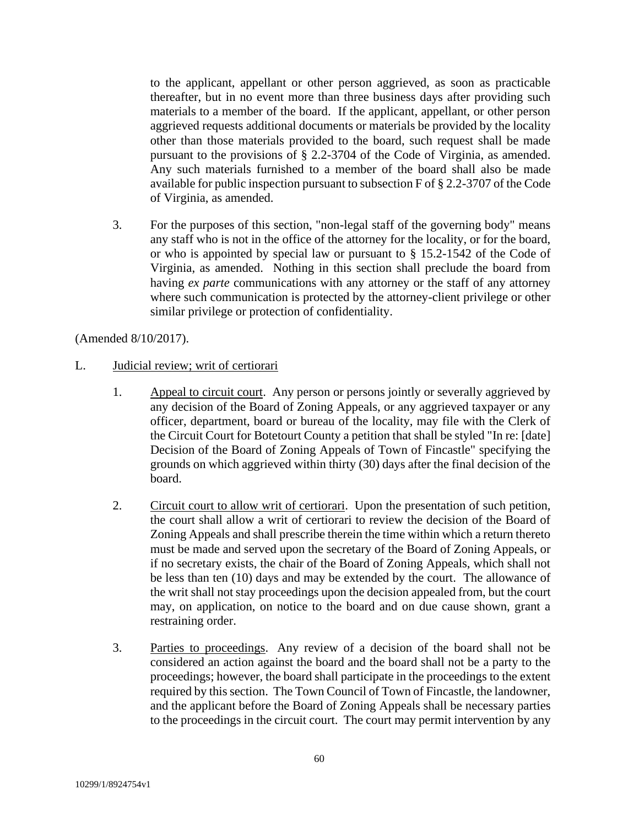to the applicant, appellant or other person aggrieved, as soon as practicable thereafter, but in no event more than three business days after providing such materials to a member of the board. If the applicant, appellant, or other person aggrieved requests additional documents or materials be provided by the locality other than those materials provided to the board, such request shall be made pursuant to the provisions of § 2.2-3704 of the Code of Virginia, as amended. Any such materials furnished to a member of the board shall also be made available for public inspection pursuant to subsection F of § 2.2-3707 of the Code of Virginia, as amended.

3. For the purposes of this section, "non-legal staff of the governing body" means any staff who is not in the office of the attorney for the locality, or for the board, or who is appointed by special law or pursuant to § 15.2-1542 of the Code of Virginia, as amended. Nothing in this section shall preclude the board from having *ex parte* communications with any attorney or the staff of any attorney where such communication is protected by the attorney-client privilege or other similar privilege or protection of confidentiality.

- L. Judicial review; writ of certiorari
	- 1. Appeal to circuit court. Any person or persons jointly or severally aggrieved by any decision of the Board of Zoning Appeals, or any aggrieved taxpayer or any officer, department, board or bureau of the locality, may file with the Clerk of the Circuit Court for Botetourt County a petition that shall be styled "In re: [date] Decision of the Board of Zoning Appeals of Town of Fincastle" specifying the grounds on which aggrieved within thirty (30) days after the final decision of the board.
	- 2. Circuit court to allow writ of certiorari. Upon the presentation of such petition, the court shall allow a writ of certiorari to review the decision of the Board of Zoning Appeals and shall prescribe therein the time within which a return thereto must be made and served upon the secretary of the Board of Zoning Appeals, or if no secretary exists, the chair of the Board of Zoning Appeals, which shall not be less than ten (10) days and may be extended by the court. The allowance of the writ shall not stay proceedings upon the decision appealed from, but the court may, on application, on notice to the board and on due cause shown, grant a restraining order.
	- 3. Parties to proceedings. Any review of a decision of the board shall not be considered an action against the board and the board shall not be a party to the proceedings; however, the board shall participate in the proceedings to the extent required by this section. The Town Council of Town of Fincastle, the landowner, and the applicant before the Board of Zoning Appeals shall be necessary parties to the proceedings in the circuit court. The court may permit intervention by any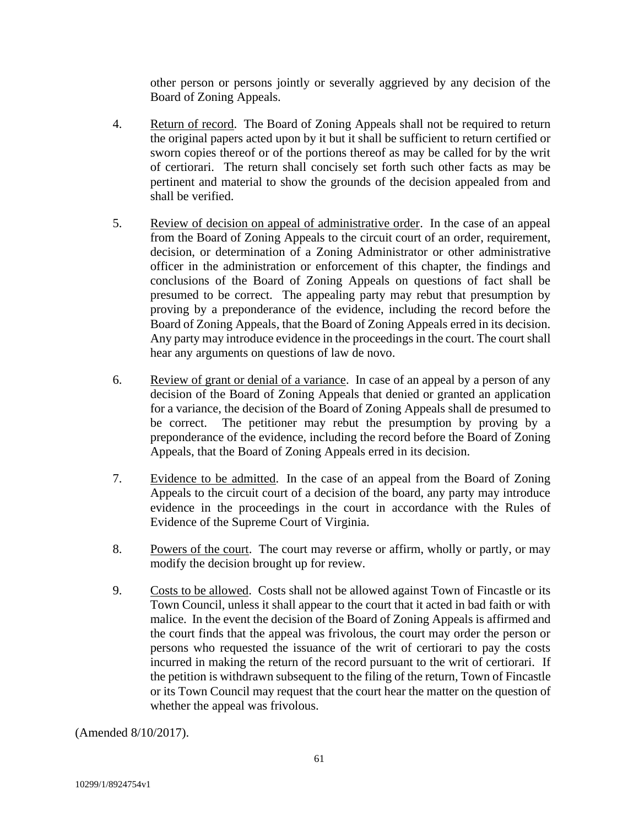other person or persons jointly or severally aggrieved by any decision of the Board of Zoning Appeals.

- 4. Return of record. The Board of Zoning Appeals shall not be required to return the original papers acted upon by it but it shall be sufficient to return certified or sworn copies thereof or of the portions thereof as may be called for by the writ of certiorari. The return shall concisely set forth such other facts as may be pertinent and material to show the grounds of the decision appealed from and shall be verified.
- 5. Review of decision on appeal of administrative order. In the case of an appeal from the Board of Zoning Appeals to the circuit court of an order, requirement, decision, or determination of a Zoning Administrator or other administrative officer in the administration or enforcement of this chapter, the findings and conclusions of the Board of Zoning Appeals on questions of fact shall be presumed to be correct. The appealing party may rebut that presumption by proving by a preponderance of the evidence, including the record before the Board of Zoning Appeals, that the Board of Zoning Appeals erred in its decision. Any party may introduce evidence in the proceedings in the court. The court shall hear any arguments on questions of law de novo.
- 6. Review of grant or denial of a variance. In case of an appeal by a person of any decision of the Board of Zoning Appeals that denied or granted an application for a variance, the decision of the Board of Zoning Appeals shall de presumed to be correct. The petitioner may rebut the presumption by proving by a preponderance of the evidence, including the record before the Board of Zoning Appeals, that the Board of Zoning Appeals erred in its decision.
- 7. Evidence to be admitted. In the case of an appeal from the Board of Zoning Appeals to the circuit court of a decision of the board, any party may introduce evidence in the proceedings in the court in accordance with the Rules of Evidence of the Supreme Court of Virginia.
- 8. Powers of the court. The court may reverse or affirm, wholly or partly, or may modify the decision brought up for review.
- 9. Costs to be allowed. Costs shall not be allowed against Town of Fincastle or its Town Council, unless it shall appear to the court that it acted in bad faith or with malice. In the event the decision of the Board of Zoning Appeals is affirmed and the court finds that the appeal was frivolous, the court may order the person or persons who requested the issuance of the writ of certiorari to pay the costs incurred in making the return of the record pursuant to the writ of certiorari. If the petition is withdrawn subsequent to the filing of the return, Town of Fincastle or its Town Council may request that the court hear the matter on the question of whether the appeal was frivolous.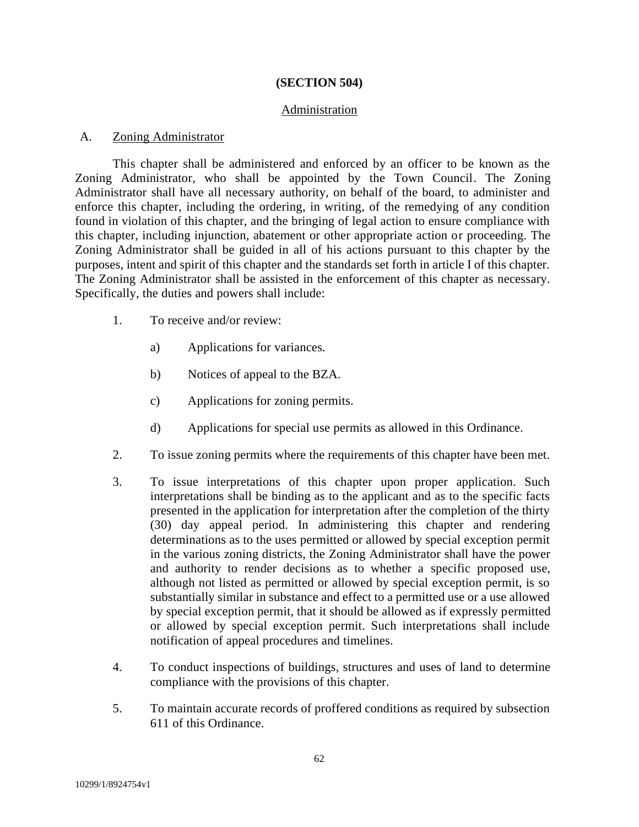## **(SECTION 504)**

## Administration

### A. Zoning Administrator

This chapter shall be administered and enforced by an officer to be known as the Zoning Administrator, who shall be appointed by the Town Council. The Zoning Administrator shall have all necessary authority, on behalf of the board, to administer and enforce this chapter, including the ordering, in writing, of the remedying of any condition found in violation of this chapter, and the bringing of legal action to ensure compliance with this chapter, including injunction, abatement or other appropriate action or proceeding. The Zoning Administrator shall be guided in all of his actions pursuant to this chapter by the purposes, intent and spirit of this chapter and the standards set forth in article I of this chapter. The Zoning Administrator shall be assisted in the enforcement of this chapter as necessary. Specifically, the duties and powers shall include:

- 1. To receive and/or review:
	- a) Applications for variances.
	- b) Notices of appeal to the BZA.
	- c) Applications for zoning permits.
	- d) Applications for special use permits as allowed in this Ordinance.
- 2. To issue zoning permits where the requirements of this chapter have been met.
- 3. To issue interpretations of this chapter upon proper application. Such interpretations shall be binding as to the applicant and as to the specific facts presented in the application for interpretation after the completion of the thirty (30) day appeal period. In administering this chapter and rendering determinations as to the uses permitted or allowed by special exception permit in the various zoning districts, the Zoning Administrator shall have the power and authority to render decisions as to whether a specific proposed use, although not listed as permitted or allowed by special exception permit, is so substantially similar in substance and effect to a permitted use or a use allowed by special exception permit, that it should be allowed as if expressly permitted or allowed by special exception permit. Such interpretations shall include notification of appeal procedures and timelines.
- 4. To conduct inspections of buildings, structures and uses of land to determine compliance with the provisions of this chapter.
- 5. To maintain accurate records of proffered conditions as required by subsection 611 of this Ordinance.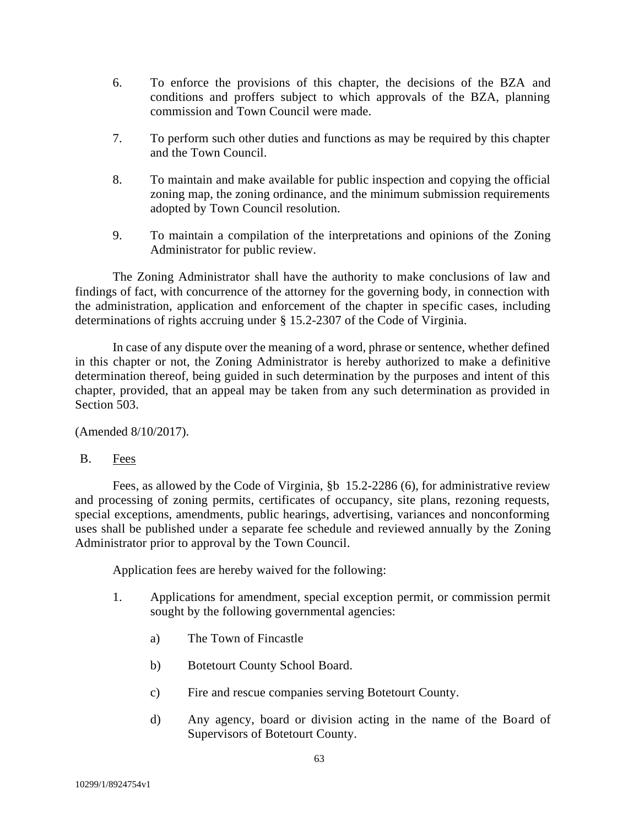- 6. To enforce the provisions of this chapter, the decisions of the BZA and conditions and proffers subject to which approvals of the BZA, planning commission and Town Council were made.
- 7. To perform such other duties and functions as may be required by this chapter and the Town Council.
- 8. To maintain and make available for public inspection and copying the official zoning map, the zoning ordinance, and the minimum submission requirements adopted by Town Council resolution.
- 9. To maintain a compilation of the interpretations and opinions of the Zoning Administrator for public review.

The Zoning Administrator shall have the authority to make conclusions of law and findings of fact, with concurrence of the attorney for the governing body, in connection with the administration, application and enforcement of the chapter in specific cases, including determinations of rights accruing under § 15.2-2307 of the Code of Virginia.

In case of any dispute over the meaning of a word, phrase or sentence, whether defined in this chapter or not, the Zoning Administrator is hereby authorized to make a definitive determination thereof, being guided in such determination by the purposes and intent of this chapter, provided, that an appeal may be taken from any such determination as provided in Section 503.

(Amended 8/10/2017).

B. Fees

Fees, as allowed by the Code of Virginia, §b 15.2-2286 (6), for administrative review and processing of zoning permits, certificates of occupancy, site plans, rezoning requests, special exceptions, amendments, public hearings, advertising, variances and nonconforming uses shall be published under a separate fee schedule and reviewed annually by the Zoning Administrator prior to approval by the Town Council.

Application fees are hereby waived for the following:

- 1. Applications for amendment, special exception permit, or commission permit sought by the following governmental agencies:
	- a) The Town of Fincastle
	- b) Botetourt County School Board.
	- c) Fire and rescue companies serving Botetourt County.
	- d) Any agency, board or division acting in the name of the Board of Supervisors of Botetourt County.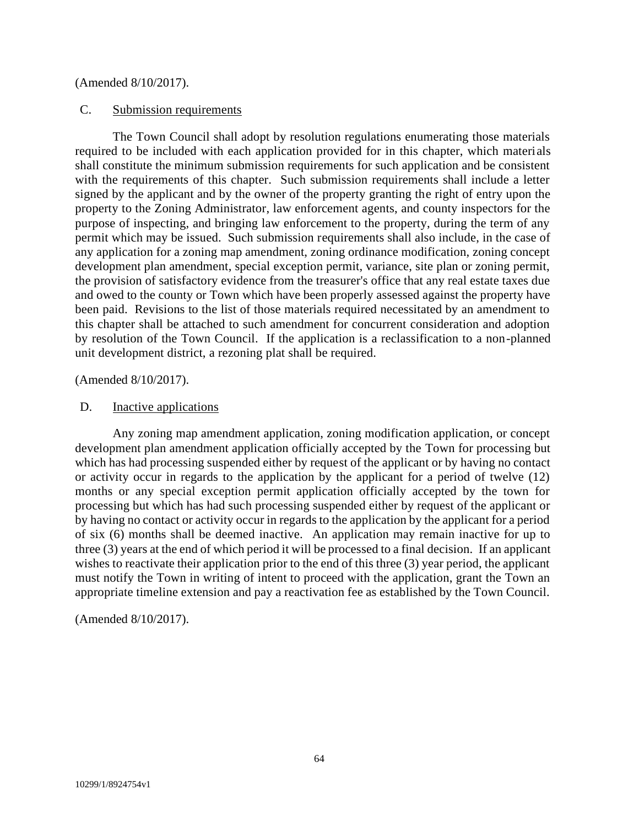## C. Submission requirements

The Town Council shall adopt by resolution regulations enumerating those materials required to be included with each application provided for in this chapter, which materials shall constitute the minimum submission requirements for such application and be consistent with the requirements of this chapter. Such submission requirements shall include a letter signed by the applicant and by the owner of the property granting the right of entry upon the property to the Zoning Administrator, law enforcement agents, and county inspectors for the purpose of inspecting, and bringing law enforcement to the property, during the term of any permit which may be issued. Such submission requirements shall also include, in the case of any application for a zoning map amendment, zoning ordinance modification, zoning concept development plan amendment, special exception permit, variance, site plan or zoning permit, the provision of satisfactory evidence from the treasurer's office that any real estate taxes due and owed to the county or Town which have been properly assessed against the property have been paid. Revisions to the list of those materials required necessitated by an amendment to this chapter shall be attached to such amendment for concurrent consideration and adoption by resolution of the Town Council. If the application is a reclassification to a non-planned unit development district, a rezoning plat shall be required.

(Amended 8/10/2017).

### D. Inactive applications

Any zoning map amendment application, zoning modification application, or concept development plan amendment application officially accepted by the Town for processing but which has had processing suspended either by request of the applicant or by having no contact or activity occur in regards to the application by the applicant for a period of twelve (12) months or any special exception permit application officially accepted by the town for processing but which has had such processing suspended either by request of the applicant or by having no contact or activity occur in regards to the application by the applicant for a period of six (6) months shall be deemed inactive. An application may remain inactive for up to three (3) years at the end of which period it will be processed to a final decision. If an applicant wishes to reactivate their application prior to the end of this three (3) year period, the applicant must notify the Town in writing of intent to proceed with the application, grant the Town an appropriate timeline extension and pay a reactivation fee as established by the Town Council.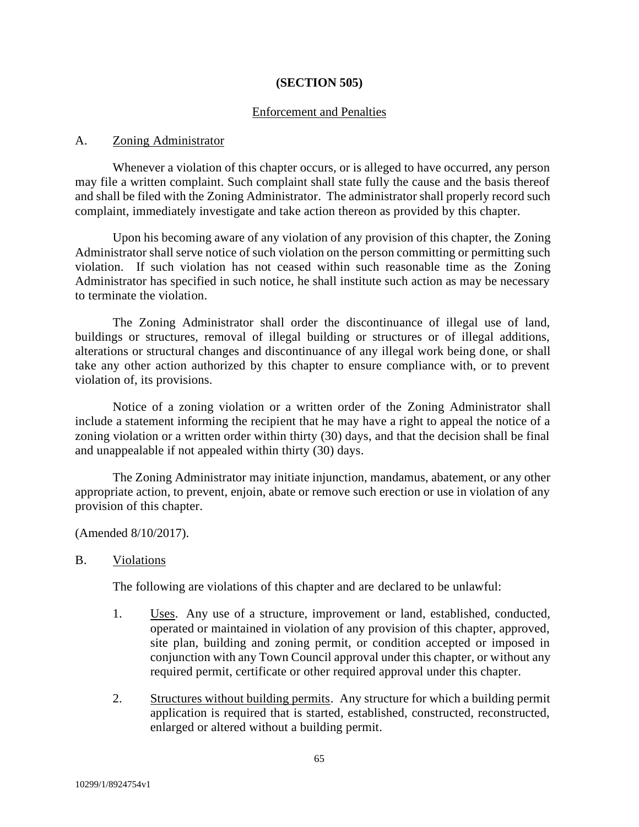### **(SECTION 505)**

#### Enforcement and Penalties

#### A. Zoning Administrator

Whenever a violation of this chapter occurs, or is alleged to have occurred, any person may file a written complaint. Such complaint shall state fully the cause and the basis thereof and shall be filed with the Zoning Administrator. The administrator shall properly record such complaint, immediately investigate and take action thereon as provided by this chapter.

Upon his becoming aware of any violation of any provision of this chapter, the Zoning Administrator shall serve notice of such violation on the person committing or permitting such violation. If such violation has not ceased within such reasonable time as the Zoning Administrator has specified in such notice, he shall institute such action as may be necessary to terminate the violation.

The Zoning Administrator shall order the discontinuance of illegal use of land, buildings or structures, removal of illegal building or structures or of illegal additions, alterations or structural changes and discontinuance of any illegal work being done, or shall take any other action authorized by this chapter to ensure compliance with, or to prevent violation of, its provisions.

Notice of a zoning violation or a written order of the Zoning Administrator shall include a statement informing the recipient that he may have a right to appeal the notice of a zoning violation or a written order within thirty (30) days, and that the decision shall be final and unappealable if not appealed within thirty (30) days.

The Zoning Administrator may initiate injunction, mandamus, abatement, or any other appropriate action, to prevent, enjoin, abate or remove such erection or use in violation of any provision of this chapter.

(Amended 8/10/2017).

#### B. Violations

The following are violations of this chapter and are declared to be unlawful:

- 1. Uses. Any use of a structure, improvement or land, established, conducted, operated or maintained in violation of any provision of this chapter, approved, site plan, building and zoning permit, or condition accepted or imposed in conjunction with any Town Council approval under this chapter, or without any required permit, certificate or other required approval under this chapter.
- 2. Structures without building permits. Any structure for which a building permit application is required that is started, established, constructed, reconstructed, enlarged or altered without a building permit.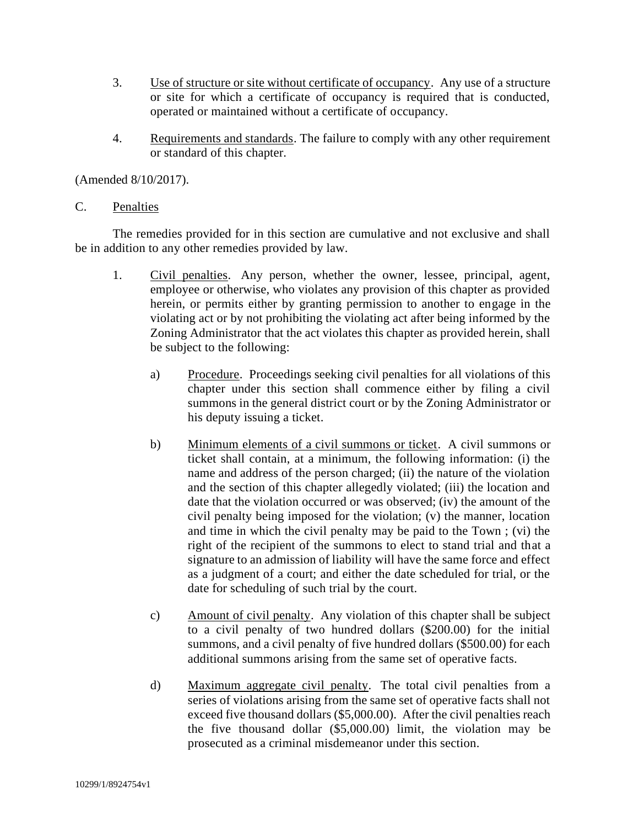- 3. Use of structure or site without certificate of occupancy. Any use of a structure or site for which a certificate of occupancy is required that is conducted, operated or maintained without a certificate of occupancy.
- 4. Requirements and standards. The failure to comply with any other requirement or standard of this chapter.

C. Penalties

The remedies provided for in this section are cumulative and not exclusive and shall be in addition to any other remedies provided by law.

- 1. Civil penalties. Any person, whether the owner, lessee, principal, agent, employee or otherwise, who violates any provision of this chapter as provided herein, or permits either by granting permission to another to engage in the violating act or by not prohibiting the violating act after being informed by the Zoning Administrator that the act violates this chapter as provided herein, shall be subject to the following:
	- a) Procedure. Proceedings seeking civil penalties for all violations of this chapter under this section shall commence either by filing a civil summons in the general district court or by the Zoning Administrator or his deputy issuing a ticket.
	- b) Minimum elements of a civil summons or ticket. A civil summons or ticket shall contain, at a minimum, the following information: (i) the name and address of the person charged; (ii) the nature of the violation and the section of this chapter allegedly violated; (iii) the location and date that the violation occurred or was observed; (iv) the amount of the civil penalty being imposed for the violation; (v) the manner, location and time in which the civil penalty may be paid to the Town ; (vi) the right of the recipient of the summons to elect to stand trial and that a signature to an admission of liability will have the same force and effect as a judgment of a court; and either the date scheduled for trial, or the date for scheduling of such trial by the court.
	- c) Amount of civil penalty. Any violation of this chapter shall be subject to a civil penalty of two hundred dollars (\$200.00) for the initial summons, and a civil penalty of five hundred dollars (\$500.00) for each additional summons arising from the same set of operative facts.
	- d) Maximum aggregate civil penalty. The total civil penalties from a series of violations arising from the same set of operative facts shall not exceed five thousand dollars (\$5,000.00). After the civil penalties reach the five thousand dollar (\$5,000.00) limit, the violation may be prosecuted as a criminal misdemeanor under this section.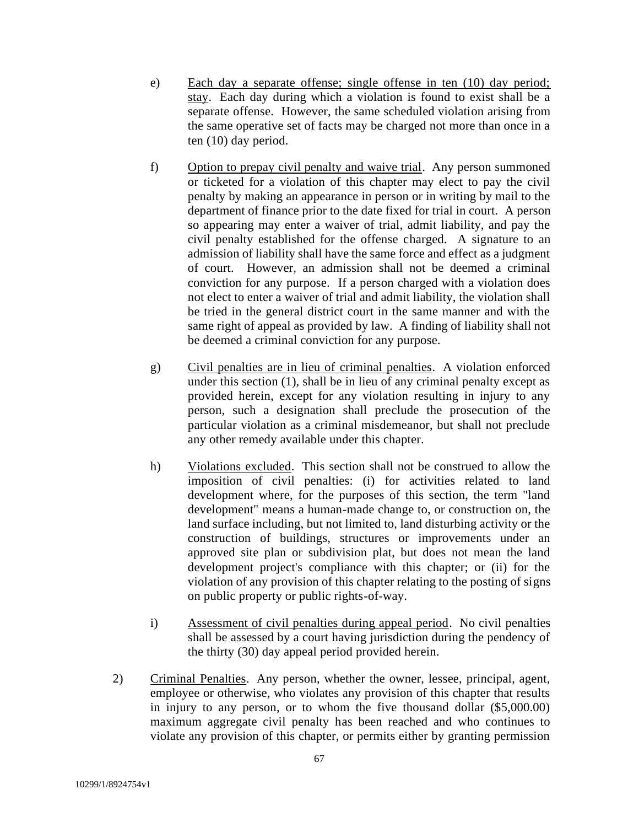- e) Each day a separate offense; single offense in ten (10) day period; stay. Each day during which a violation is found to exist shall be a separate offense. However, the same scheduled violation arising from the same operative set of facts may be charged not more than once in a ten (10) day period.
- f) Option to prepay civil penalty and waive trial. Any person summoned or ticketed for a violation of this chapter may elect to pay the civil penalty by making an appearance in person or in writing by mail to the department of finance prior to the date fixed for trial in court. A person so appearing may enter a waiver of trial, admit liability, and pay the civil penalty established for the offense charged. A signature to an admission of liability shall have the same force and effect as a judgment of court. However, an admission shall not be deemed a criminal conviction for any purpose. If a person charged with a violation does not elect to enter a waiver of trial and admit liability, the violation shall be tried in the general district court in the same manner and with the same right of appeal as provided by law. A finding of liability shall not be deemed a criminal conviction for any purpose.
- g) Civil penalties are in lieu of criminal penalties. A violation enforced under this section (1), shall be in lieu of any criminal penalty except as provided herein, except for any violation resulting in injury to any person, such a designation shall preclude the prosecution of the particular violation as a criminal misdemeanor, but shall not preclude any other remedy available under this chapter.
- h) Violations excluded. This section shall not be construed to allow the imposition of civil penalties: (i) for activities related to land development where, for the purposes of this section, the term "land development" means a human-made change to, or construction on, the land surface including, but not limited to, land disturbing activity or the construction of buildings, structures or improvements under an approved site plan or subdivision plat, but does not mean the land development project's compliance with this chapter; or (ii) for the violation of any provision of this chapter relating to the posting of signs on public property or public rights-of-way.
- i) Assessment of civil penalties during appeal period. No civil penalties shall be assessed by a court having jurisdiction during the pendency of the thirty (30) day appeal period provided herein.
- 2) Criminal Penalties. Any person, whether the owner, lessee, principal, agent, employee or otherwise, who violates any provision of this chapter that results in injury to any person, or to whom the five thousand dollar (\$5,000.00) maximum aggregate civil penalty has been reached and who continues to violate any provision of this chapter, or permits either by granting permission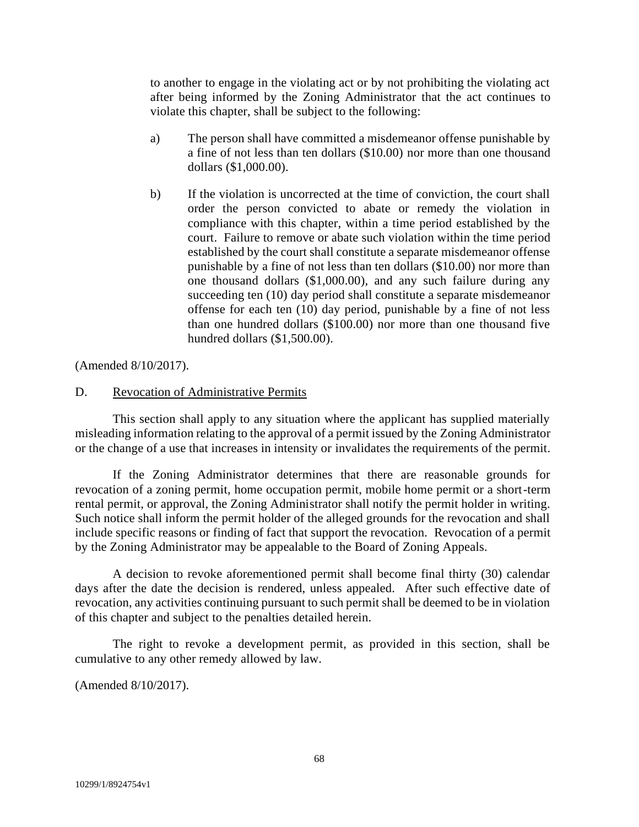to another to engage in the violating act or by not prohibiting the violating act after being informed by the Zoning Administrator that the act continues to violate this chapter, shall be subject to the following:

- a) The person shall have committed a misdemeanor offense punishable by a fine of not less than ten dollars (\$10.00) nor more than one thousand dollars (\$1,000.00).
- b) If the violation is uncorrected at the time of conviction, the court shall order the person convicted to abate or remedy the violation in compliance with this chapter, within a time period established by the court. Failure to remove or abate such violation within the time period established by the court shall constitute a separate misdemeanor offense punishable by a fine of not less than ten dollars (\$10.00) nor more than one thousand dollars (\$1,000.00), and any such failure during any succeeding ten (10) day period shall constitute a separate misdemeanor offense for each ten (10) day period, punishable by a fine of not less than one hundred dollars (\$100.00) nor more than one thousand five hundred dollars (\$1,500.00).

(Amended 8/10/2017).

### D. Revocation of Administrative Permits

This section shall apply to any situation where the applicant has supplied materially misleading information relating to the approval of a permit issued by the Zoning Administrator or the change of a use that increases in intensity or invalidates the requirements of the permit.

If the Zoning Administrator determines that there are reasonable grounds for revocation of a zoning permit, home occupation permit, mobile home permit or a short-term rental permit, or approval, the Zoning Administrator shall notify the permit holder in writing. Such notice shall inform the permit holder of the alleged grounds for the revocation and shall include specific reasons or finding of fact that support the revocation. Revocation of a permit by the Zoning Administrator may be appealable to the Board of Zoning Appeals.

A decision to revoke aforementioned permit shall become final thirty (30) calendar days after the date the decision is rendered, unless appealed. After such effective date of revocation, any activities continuing pursuant to such permit shall be deemed to be in violation of this chapter and subject to the penalties detailed herein.

The right to revoke a development permit, as provided in this section, shall be cumulative to any other remedy allowed by law.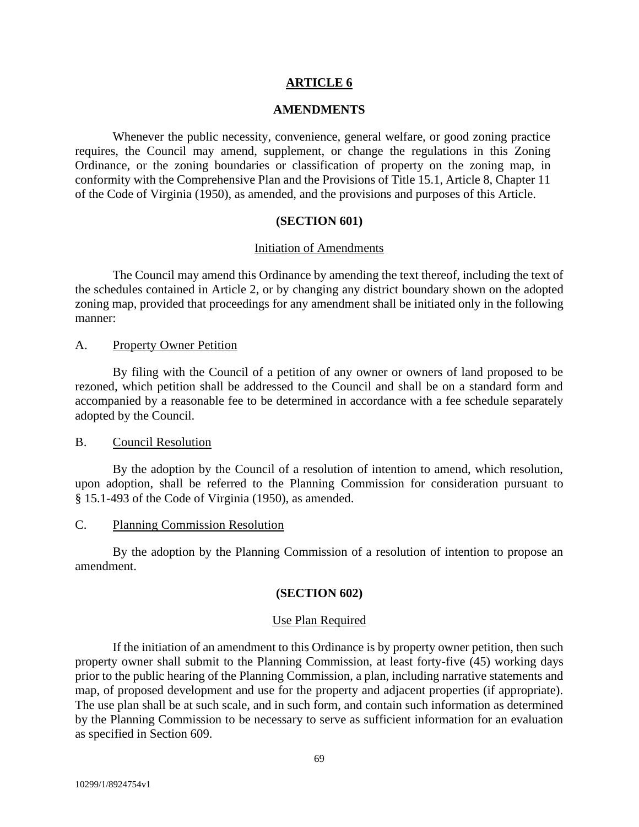### **ARTICLE 6**

#### **AMENDMENTS**

Whenever the public necessity, convenience, general welfare, or good zoning practice requires, the Council may amend, supplement, or change the regulations in this Zoning Ordinance, or the zoning boundaries or classification of property on the zoning map, in conformity with the Comprehensive Plan and the Provisions of Title 15.1, Article 8, Chapter 11 of the Code of Virginia (1950), as amended, and the provisions and purposes of this Article.

#### **(SECTION 601)**

#### Initiation of Amendments

The Council may amend this Ordinance by amending the text thereof, including the text of the schedules contained in Article 2, or by changing any district boundary shown on the adopted zoning map, provided that proceedings for any amendment shall be initiated only in the following manner:

A. Property Owner Petition

By filing with the Council of a petition of any owner or owners of land proposed to be rezoned, which petition shall be addressed to the Council and shall be on a standard form and accompanied by a reasonable fee to be determined in accordance with a fee schedule separately adopted by the Council.

#### B. Council Resolution

By the adoption by the Council of a resolution of intention to amend, which resolution, upon adoption, shall be referred to the Planning Commission for consideration pursuant to § 15.1-493 of the Code of Virginia (1950), as amended.

#### C. Planning Commission Resolution

By the adoption by the Planning Commission of a resolution of intention to propose an amendment.

#### **(SECTION 602)**

#### Use Plan Required

If the initiation of an amendment to this Ordinance is by property owner petition, then such property owner shall submit to the Planning Commission, at least forty-five (45) working days prior to the public hearing of the Planning Commission, a plan, including narrative statements and map, of proposed development and use for the property and adjacent properties (if appropriate). The use plan shall be at such scale, and in such form, and contain such information as determined by the Planning Commission to be necessary to serve as sufficient information for an evaluation as specified in Section 609.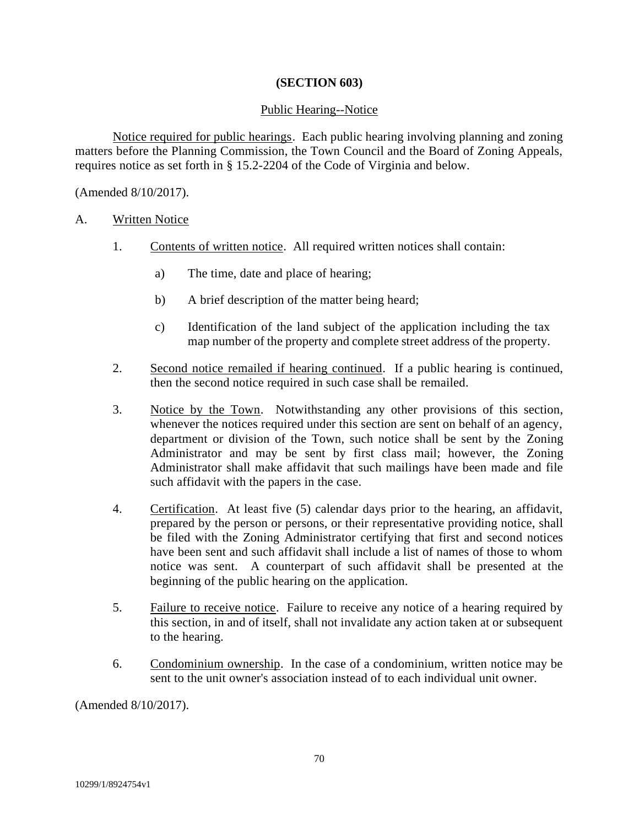## **(SECTION 603)**

## Public Hearing--Notice

Notice required for public hearings. Each public hearing involving planning and zoning matters before the Planning Commission, the Town Council and the Board of Zoning Appeals, requires notice as set forth in § 15.2-2204 of the Code of Virginia and below.

(Amended 8/10/2017).

## A. Written Notice

- 1. Contents of written notice. All required written notices shall contain:
	- a) The time, date and place of hearing;
	- b) A brief description of the matter being heard;
	- c) Identification of the land subject of the application including the tax map number of the property and complete street address of the property.
- 2. Second notice remailed if hearing continued. If a public hearing is continued, then the second notice required in such case shall be remailed.
- 3. Notice by the Town. Notwithstanding any other provisions of this section, whenever the notices required under this section are sent on behalf of an agency, department or division of the Town, such notice shall be sent by the Zoning Administrator and may be sent by first class mail; however, the Zoning Administrator shall make affidavit that such mailings have been made and file such affidavit with the papers in the case.
- 4. Certification. At least five (5) calendar days prior to the hearing, an affidavit, prepared by the person or persons, or their representative providing notice, shall be filed with the Zoning Administrator certifying that first and second notices have been sent and such affidavit shall include a list of names of those to whom notice was sent. A counterpart of such affidavit shall be presented at the beginning of the public hearing on the application.
- 5. Failure to receive notice. Failure to receive any notice of a hearing required by this section, in and of itself, shall not invalidate any action taken at or subsequent to the hearing.
- 6. Condominium ownership. In the case of a condominium, written notice may be sent to the unit owner's association instead of to each individual unit owner.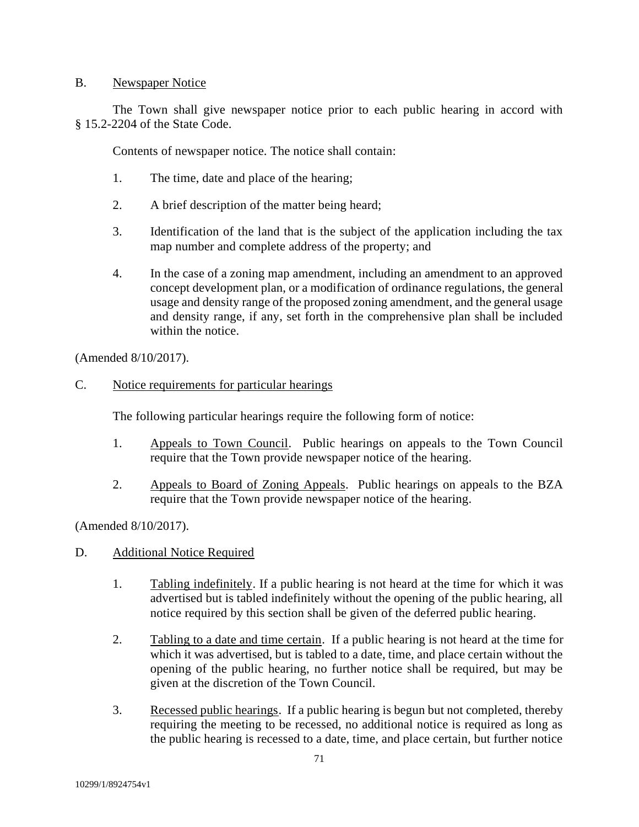## B. Newspaper Notice

The Town shall give newspaper notice prior to each public hearing in accord with § 15.2-2204 of the State Code.

Contents of newspaper notice. The notice shall contain:

- 1. The time, date and place of the hearing;
- 2. A brief description of the matter being heard;
- 3. Identification of the land that is the subject of the application including the tax map number and complete address of the property; and
- 4. In the case of a zoning map amendment, including an amendment to an approved concept development plan, or a modification of ordinance regulations, the general usage and density range of the proposed zoning amendment, and the general usage and density range, if any, set forth in the comprehensive plan shall be included within the notice.

(Amended 8/10/2017).

C. Notice requirements for particular hearings

The following particular hearings require the following form of notice:

- 1. Appeals to Town Council. Public hearings on appeals to the Town Council require that the Town provide newspaper notice of the hearing.
- 2. Appeals to Board of Zoning Appeals. Public hearings on appeals to the BZA require that the Town provide newspaper notice of the hearing.

(Amended 8/10/2017).

- D. Additional Notice Required
	- 1. Tabling indefinitely. If a public hearing is not heard at the time for which it was advertised but is tabled indefinitely without the opening of the public hearing, all notice required by this section shall be given of the deferred public hearing.
	- 2. Tabling to a date and time certain. If a public hearing is not heard at the time for which it was advertised, but is tabled to a date, time, and place certain without the opening of the public hearing, no further notice shall be required, but may be given at the discretion of the Town Council.
	- 3. Recessed public hearings. If a public hearing is begun but not completed, thereby requiring the meeting to be recessed, no additional notice is required as long as the public hearing is recessed to a date, time, and place certain, but further notice

71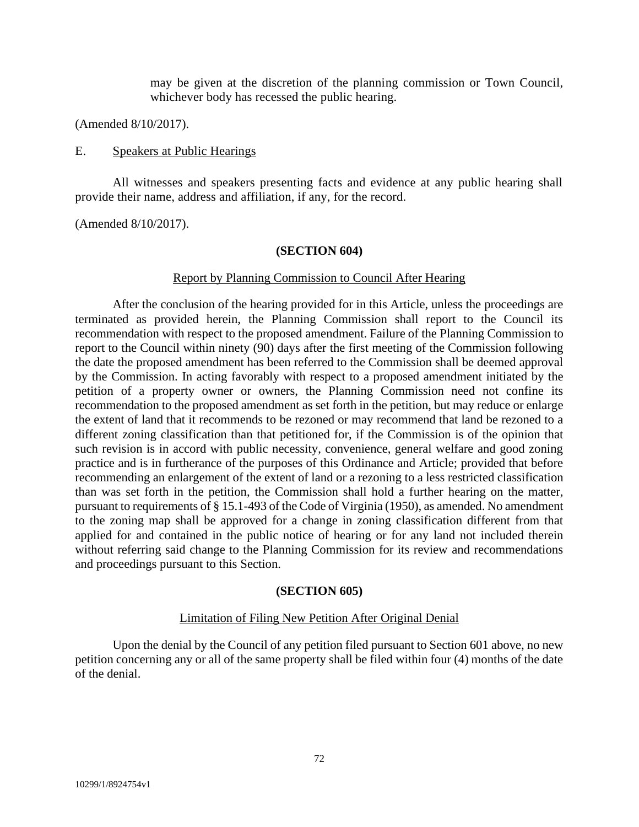may be given at the discretion of the planning commission or Town Council, whichever body has recessed the public hearing.

(Amended 8/10/2017).

#### E. Speakers at Public Hearings

All witnesses and speakers presenting facts and evidence at any public hearing shall provide their name, address and affiliation, if any, for the record.

(Amended 8/10/2017).

#### **(SECTION 604)**

#### Report by Planning Commission to Council After Hearing

After the conclusion of the hearing provided for in this Article, unless the proceedings are terminated as provided herein, the Planning Commission shall report to the Council its recommendation with respect to the proposed amendment. Failure of the Planning Commission to report to the Council within ninety (90) days after the first meeting of the Commission following the date the proposed amendment has been referred to the Commission shall be deemed approval by the Commission. In acting favorably with respect to a proposed amendment initiated by the petition of a property owner or owners, the Planning Commission need not confine its recommendation to the proposed amendment as set forth in the petition, but may reduce or enlarge the extent of land that it recommends to be rezoned or may recommend that land be rezoned to a different zoning classification than that petitioned for, if the Commission is of the opinion that such revision is in accord with public necessity, convenience, general welfare and good zoning practice and is in furtherance of the purposes of this Ordinance and Article; provided that before recommending an enlargement of the extent of land or a rezoning to a less restricted classification than was set forth in the petition, the Commission shall hold a further hearing on the matter, pursuant to requirements of § 15.1-493 of the Code of Virginia (1950), as amended. No amendment to the zoning map shall be approved for a change in zoning classification different from that applied for and contained in the public notice of hearing or for any land not included therein without referring said change to the Planning Commission for its review and recommendations and proceedings pursuant to this Section.

#### **(SECTION 605)**

#### Limitation of Filing New Petition After Original Denial

Upon the denial by the Council of any petition filed pursuant to Section 601 above, no new petition concerning any or all of the same property shall be filed within four (4) months of the date of the denial.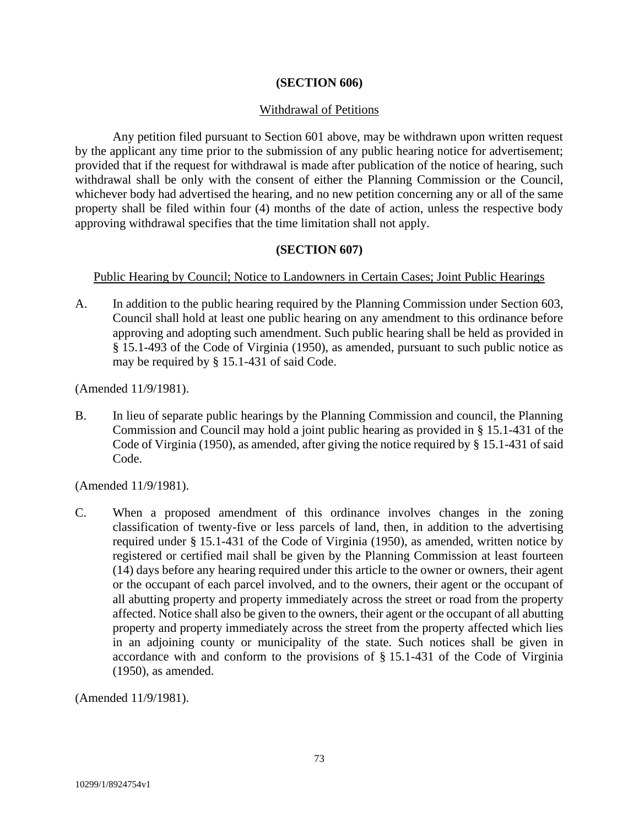# **(SECTION 606)**

# Withdrawal of Petitions

Any petition filed pursuant to Section 601 above, may be withdrawn upon written request by the applicant any time prior to the submission of any public hearing notice for advertisement; provided that if the request for withdrawal is made after publication of the notice of hearing, such withdrawal shall be only with the consent of either the Planning Commission or the Council, whichever body had advertised the hearing, and no new petition concerning any or all of the same property shall be filed within four (4) months of the date of action, unless the respective body approving withdrawal specifies that the time limitation shall not apply.

# **(SECTION 607)**

Public Hearing by Council; Notice to Landowners in Certain Cases; Joint Public Hearings

A. In addition to the public hearing required by the Planning Commission under Section 603, Council shall hold at least one public hearing on any amendment to this ordinance before approving and adopting such amendment. Such public hearing shall be held as provided in § 15.1-493 of the Code of Virginia (1950), as amended, pursuant to such public notice as may be required by § 15.1-431 of said Code.

(Amended 11/9/1981).

B. In lieu of separate public hearings by the Planning Commission and council, the Planning Commission and Council may hold a joint public hearing as provided in § 15.1-431 of the Code of Virginia (1950), as amended, after giving the notice required by § 15.1-431 of said Code.

(Amended 11/9/1981).

C. When a proposed amendment of this ordinance involves changes in the zoning classification of twenty-five or less parcels of land, then, in addition to the advertising required under § 15.1-431 of the Code of Virginia (1950), as amended, written notice by registered or certified mail shall be given by the Planning Commission at least fourteen (14) days before any hearing required under this article to the owner or owners, their agent or the occupant of each parcel involved, and to the owners, their agent or the occupant of all abutting property and property immediately across the street or road from the property affected. Notice shall also be given to the owners, their agent or the occupant of all abutting property and property immediately across the street from the property affected which lies in an adjoining county or municipality of the state. Such notices shall be given in accordance with and conform to the provisions of § 15.1-431 of the Code of Virginia (1950), as amended.

(Amended 11/9/1981).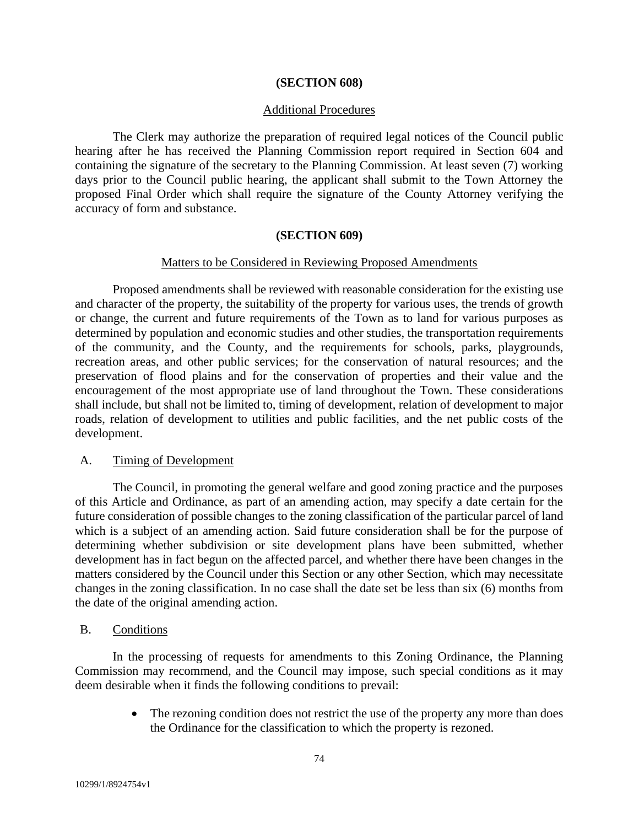### **(SECTION 608)**

#### Additional Procedures

The Clerk may authorize the preparation of required legal notices of the Council public hearing after he has received the Planning Commission report required in Section 604 and containing the signature of the secretary to the Planning Commission. At least seven (7) working days prior to the Council public hearing, the applicant shall submit to the Town Attorney the proposed Final Order which shall require the signature of the County Attorney verifying the accuracy of form and substance.

### **(SECTION 609)**

#### Matters to be Considered in Reviewing Proposed Amendments

Proposed amendments shall be reviewed with reasonable consideration for the existing use and character of the property, the suitability of the property for various uses, the trends of growth or change, the current and future requirements of the Town as to land for various purposes as determined by population and economic studies and other studies, the transportation requirements of the community, and the County, and the requirements for schools, parks, playgrounds, recreation areas, and other public services; for the conservation of natural resources; and the preservation of flood plains and for the conservation of properties and their value and the encouragement of the most appropriate use of land throughout the Town. These considerations shall include, but shall not be limited to, timing of development, relation of development to major roads, relation of development to utilities and public facilities, and the net public costs of the development.

#### A. Timing of Development

The Council, in promoting the general welfare and good zoning practice and the purposes of this Article and Ordinance, as part of an amending action, may specify a date certain for the future consideration of possible changes to the zoning classification of the particular parcel of land which is a subject of an amending action. Said future consideration shall be for the purpose of determining whether subdivision or site development plans have been submitted, whether development has in fact begun on the affected parcel, and whether there have been changes in the matters considered by the Council under this Section or any other Section, which may necessitate changes in the zoning classification. In no case shall the date set be less than six (6) months from the date of the original amending action.

#### B. Conditions

In the processing of requests for amendments to this Zoning Ordinance, the Planning Commission may recommend, and the Council may impose, such special conditions as it may deem desirable when it finds the following conditions to prevail:

> • The rezoning condition does not restrict the use of the property any more than does the Ordinance for the classification to which the property is rezoned.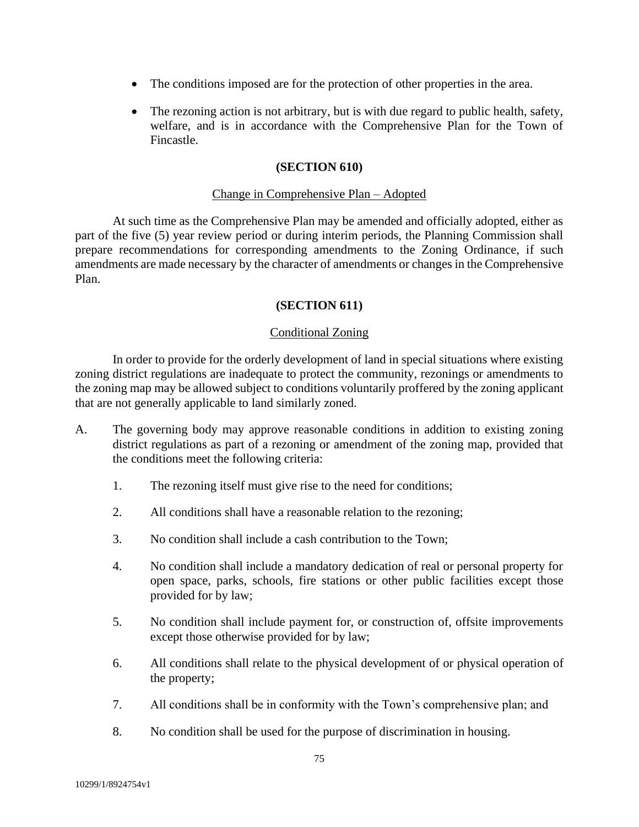- The conditions imposed are for the protection of other properties in the area.
- The rezoning action is not arbitrary, but is with due regard to public health, safety, welfare, and is in accordance with the Comprehensive Plan for the Town of Fincastle.

# **(SECTION 610)**

### Change in Comprehensive Plan – Adopted

At such time as the Comprehensive Plan may be amended and officially adopted, either as part of the five (5) year review period or during interim periods, the Planning Commission shall prepare recommendations for corresponding amendments to the Zoning Ordinance, if such amendments are made necessary by the character of amendments or changes in the Comprehensive Plan.

# **(SECTION 611)**

# Conditional Zoning

In order to provide for the orderly development of land in special situations where existing zoning district regulations are inadequate to protect the community, rezonings or amendments to the zoning map may be allowed subject to conditions voluntarily proffered by the zoning applicant that are not generally applicable to land similarly zoned.

- A. The governing body may approve reasonable conditions in addition to existing zoning district regulations as part of a rezoning or amendment of the zoning map, provided that the conditions meet the following criteria:
	- 1. The rezoning itself must give rise to the need for conditions;
	- 2. All conditions shall have a reasonable relation to the rezoning;
	- 3. No condition shall include a cash contribution to the Town;
	- 4. No condition shall include a mandatory dedication of real or personal property for open space, parks, schools, fire stations or other public facilities except those provided for by law;
	- 5. No condition shall include payment for, or construction of, offsite improvements except those otherwise provided for by law;
	- 6. All conditions shall relate to the physical development of or physical operation of the property;
	- 7. All conditions shall be in conformity with the Town's comprehensive plan; and
	- 8. No condition shall be used for the purpose of discrimination in housing.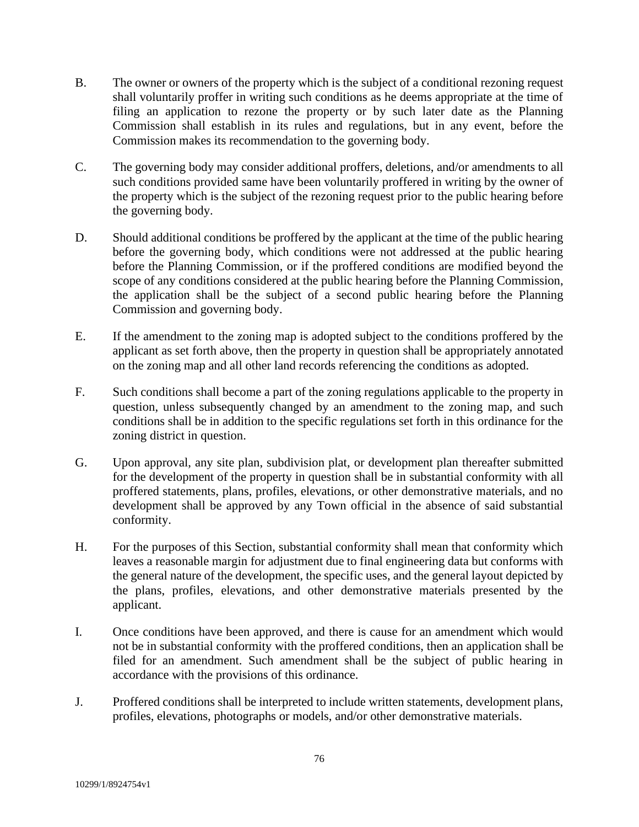- B. The owner or owners of the property which is the subject of a conditional rezoning request shall voluntarily proffer in writing such conditions as he deems appropriate at the time of filing an application to rezone the property or by such later date as the Planning Commission shall establish in its rules and regulations, but in any event, before the Commission makes its recommendation to the governing body.
- C. The governing body may consider additional proffers, deletions, and/or amendments to all such conditions provided same have been voluntarily proffered in writing by the owner of the property which is the subject of the rezoning request prior to the public hearing before the governing body.
- D. Should additional conditions be proffered by the applicant at the time of the public hearing before the governing body, which conditions were not addressed at the public hearing before the Planning Commission, or if the proffered conditions are modified beyond the scope of any conditions considered at the public hearing before the Planning Commission, the application shall be the subject of a second public hearing before the Planning Commission and governing body.
- E. If the amendment to the zoning map is adopted subject to the conditions proffered by the applicant as set forth above, then the property in question shall be appropriately annotated on the zoning map and all other land records referencing the conditions as adopted.
- F. Such conditions shall become a part of the zoning regulations applicable to the property in question, unless subsequently changed by an amendment to the zoning map, and such conditions shall be in addition to the specific regulations set forth in this ordinance for the zoning district in question.
- G. Upon approval, any site plan, subdivision plat, or development plan thereafter submitted for the development of the property in question shall be in substantial conformity with all proffered statements, plans, profiles, elevations, or other demonstrative materials, and no development shall be approved by any Town official in the absence of said substantial conformity.
- H. For the purposes of this Section, substantial conformity shall mean that conformity which leaves a reasonable margin for adjustment due to final engineering data but conforms with the general nature of the development, the specific uses, and the general layout depicted by the plans, profiles, elevations, and other demonstrative materials presented by the applicant.
- I. Once conditions have been approved, and there is cause for an amendment which would not be in substantial conformity with the proffered conditions, then an application shall be filed for an amendment. Such amendment shall be the subject of public hearing in accordance with the provisions of this ordinance.
- J. Proffered conditions shall be interpreted to include written statements, development plans, profiles, elevations, photographs or models, and/or other demonstrative materials.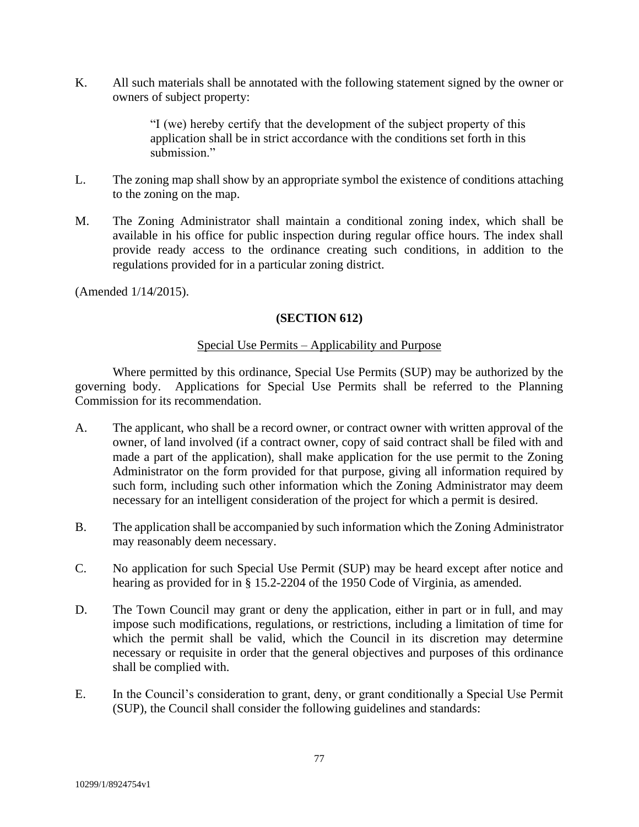K. All such materials shall be annotated with the following statement signed by the owner or owners of subject property:

> "I (we) hereby certify that the development of the subject property of this application shall be in strict accordance with the conditions set forth in this submission."

- L. The zoning map shall show by an appropriate symbol the existence of conditions attaching to the zoning on the map.
- M. The Zoning Administrator shall maintain a conditional zoning index, which shall be available in his office for public inspection during regular office hours. The index shall provide ready access to the ordinance creating such conditions, in addition to the regulations provided for in a particular zoning district.

(Amended 1/14/2015).

# **(SECTION 612)**

### Special Use Permits – Applicability and Purpose

Where permitted by this ordinance, Special Use Permits (SUP) may be authorized by the governing body. Applications for Special Use Permits shall be referred to the Planning Commission for its recommendation.

- A. The applicant, who shall be a record owner, or contract owner with written approval of the owner, of land involved (if a contract owner, copy of said contract shall be filed with and made a part of the application), shall make application for the use permit to the Zoning Administrator on the form provided for that purpose, giving all information required by such form, including such other information which the Zoning Administrator may deem necessary for an intelligent consideration of the project for which a permit is desired.
- B. The application shall be accompanied by such information which the Zoning Administrator may reasonably deem necessary.
- C. No application for such Special Use Permit (SUP) may be heard except after notice and hearing as provided for in § 15.2-2204 of the 1950 Code of Virginia, as amended.
- D. The Town Council may grant or deny the application, either in part or in full, and may impose such modifications, regulations, or restrictions, including a limitation of time for which the permit shall be valid, which the Council in its discretion may determine necessary or requisite in order that the general objectives and purposes of this ordinance shall be complied with.
- E. In the Council's consideration to grant, deny, or grant conditionally a Special Use Permit (SUP), the Council shall consider the following guidelines and standards: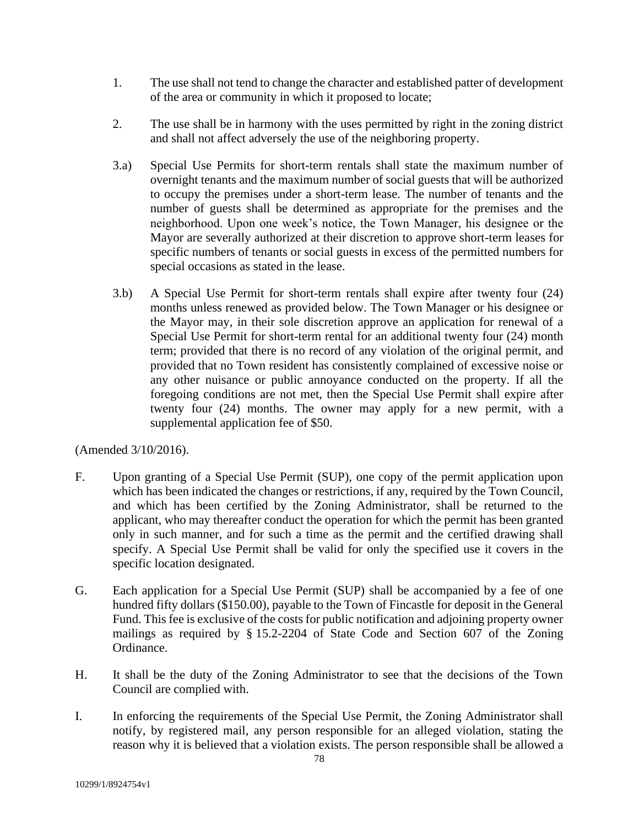- 1. The use shall not tend to change the character and established patter of development of the area or community in which it proposed to locate;
- 2. The use shall be in harmony with the uses permitted by right in the zoning district and shall not affect adversely the use of the neighboring property.
- 3.a) Special Use Permits for short-term rentals shall state the maximum number of overnight tenants and the maximum number of social guests that will be authorized to occupy the premises under a short-term lease. The number of tenants and the number of guests shall be determined as appropriate for the premises and the neighborhood. Upon one week's notice, the Town Manager, his designee or the Mayor are severally authorized at their discretion to approve short-term leases for specific numbers of tenants or social guests in excess of the permitted numbers for special occasions as stated in the lease.
- 3.b) A Special Use Permit for short-term rentals shall expire after twenty four (24) months unless renewed as provided below. The Town Manager or his designee or the Mayor may, in their sole discretion approve an application for renewal of a Special Use Permit for short-term rental for an additional twenty four (24) month term; provided that there is no record of any violation of the original permit, and provided that no Town resident has consistently complained of excessive noise or any other nuisance or public annoyance conducted on the property. If all the foregoing conditions are not met, then the Special Use Permit shall expire after twenty four (24) months. The owner may apply for a new permit, with a supplemental application fee of \$50.

# (Amended 3/10/2016).

- F. Upon granting of a Special Use Permit (SUP), one copy of the permit application upon which has been indicated the changes or restrictions, if any, required by the Town Council, and which has been certified by the Zoning Administrator, shall be returned to the applicant, who may thereafter conduct the operation for which the permit has been granted only in such manner, and for such a time as the permit and the certified drawing shall specify. A Special Use Permit shall be valid for only the specified use it covers in the specific location designated.
- G. Each application for a Special Use Permit (SUP) shall be accompanied by a fee of one hundred fifty dollars (\$150.00), payable to the Town of Fincastle for deposit in the General Fund. This fee is exclusive of the costs for public notification and adjoining property owner mailings as required by § 15.2-2204 of State Code and Section 607 of the Zoning Ordinance.
- H. It shall be the duty of the Zoning Administrator to see that the decisions of the Town Council are complied with.
- 78 I. In enforcing the requirements of the Special Use Permit, the Zoning Administrator shall notify, by registered mail, any person responsible for an alleged violation, stating the reason why it is believed that a violation exists. The person responsible shall be allowed a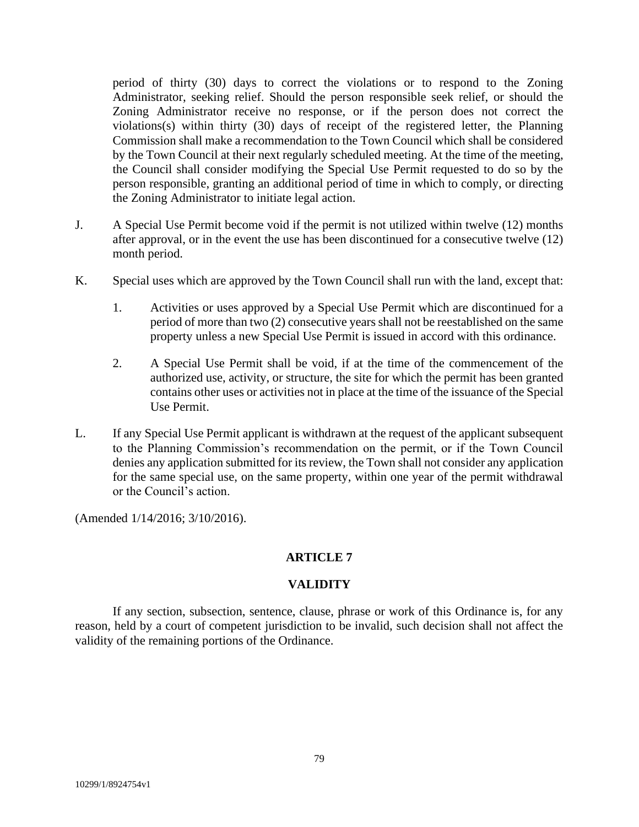period of thirty (30) days to correct the violations or to respond to the Zoning Administrator, seeking relief. Should the person responsible seek relief, or should the Zoning Administrator receive no response, or if the person does not correct the violations(s) within thirty (30) days of receipt of the registered letter, the Planning Commission shall make a recommendation to the Town Council which shall be considered by the Town Council at their next regularly scheduled meeting. At the time of the meeting, the Council shall consider modifying the Special Use Permit requested to do so by the person responsible, granting an additional period of time in which to comply, or directing the Zoning Administrator to initiate legal action.

- J. A Special Use Permit become void if the permit is not utilized within twelve (12) months after approval, or in the event the use has been discontinued for a consecutive twelve (12) month period.
- K. Special uses which are approved by the Town Council shall run with the land, except that:
	- 1. Activities or uses approved by a Special Use Permit which are discontinued for a period of more than two (2) consecutive years shall not be reestablished on the same property unless a new Special Use Permit is issued in accord with this ordinance.
	- 2. A Special Use Permit shall be void, if at the time of the commencement of the authorized use, activity, or structure, the site for which the permit has been granted contains other uses or activities not in place at the time of the issuance of the Special Use Permit.
- L. If any Special Use Permit applicant is withdrawn at the request of the applicant subsequent to the Planning Commission's recommendation on the permit, or if the Town Council denies any application submitted for its review, the Town shall not consider any application for the same special use, on the same property, within one year of the permit withdrawal or the Council's action.

(Amended 1/14/2016; 3/10/2016).

# **ARTICLE 7**

# **VALIDITY**

If any section, subsection, sentence, clause, phrase or work of this Ordinance is, for any reason, held by a court of competent jurisdiction to be invalid, such decision shall not affect the validity of the remaining portions of the Ordinance.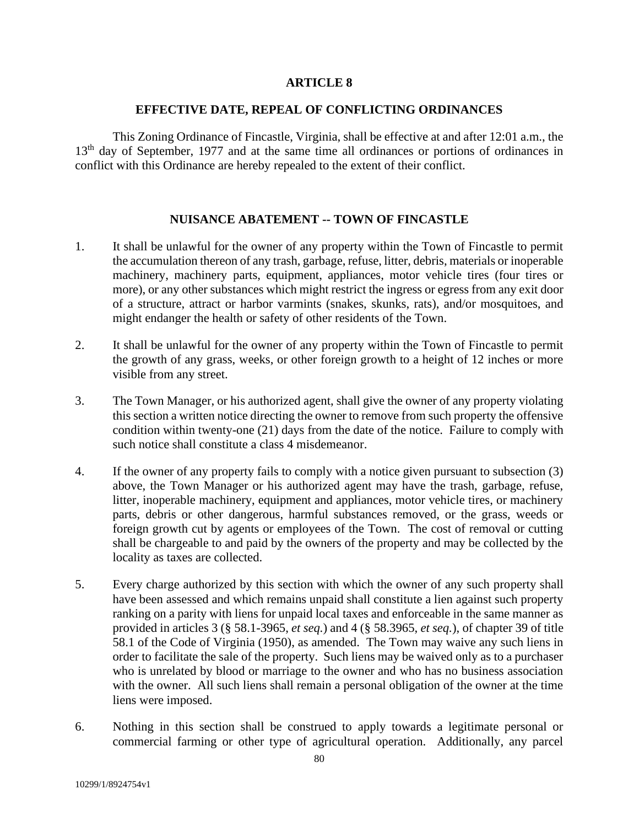### **ARTICLE 8**

### **EFFECTIVE DATE, REPEAL OF CONFLICTING ORDINANCES**

This Zoning Ordinance of Fincastle, Virginia, shall be effective at and after 12:01 a.m., the 13<sup>th</sup> day of September, 1977 and at the same time all ordinances or portions of ordinances in conflict with this Ordinance are hereby repealed to the extent of their conflict.

# **NUISANCE ABATEMENT -- TOWN OF FINCASTLE**

- 1. It shall be unlawful for the owner of any property within the Town of Fincastle to permit the accumulation thereon of any trash, garbage, refuse, litter, debris, materials or inoperable machinery, machinery parts, equipment, appliances, motor vehicle tires (four tires or more), or any other substances which might restrict the ingress or egress from any exit door of a structure, attract or harbor varmints (snakes, skunks, rats), and/or mosquitoes, and might endanger the health or safety of other residents of the Town.
- 2. It shall be unlawful for the owner of any property within the Town of Fincastle to permit the growth of any grass, weeks, or other foreign growth to a height of 12 inches or more visible from any street.
- 3. The Town Manager, or his authorized agent, shall give the owner of any property violating this section a written notice directing the owner to remove from such property the offensive condition within twenty-one (21) days from the date of the notice. Failure to comply with such notice shall constitute a class 4 misdemeanor.
- 4. If the owner of any property fails to comply with a notice given pursuant to subsection (3) above, the Town Manager or his authorized agent may have the trash, garbage, refuse, litter, inoperable machinery, equipment and appliances, motor vehicle tires, or machinery parts, debris or other dangerous, harmful substances removed, or the grass, weeds or foreign growth cut by agents or employees of the Town. The cost of removal or cutting shall be chargeable to and paid by the owners of the property and may be collected by the locality as taxes are collected.
- 5. Every charge authorized by this section with which the owner of any such property shall have been assessed and which remains unpaid shall constitute a lien against such property ranking on a parity with liens for unpaid local taxes and enforceable in the same manner as provided in articles 3 (§ 58.1-3965, *et seq.*) and 4 (§ 58.3965, *et seq.*), of chapter 39 of title 58.1 of the Code of Virginia (1950), as amended. The Town may waive any such liens in order to facilitate the sale of the property. Such liens may be waived only as to a purchaser who is unrelated by blood or marriage to the owner and who has no business association with the owner. All such liens shall remain a personal obligation of the owner at the time liens were imposed.
- 6. Nothing in this section shall be construed to apply towards a legitimate personal or commercial farming or other type of agricultural operation. Additionally, any parcel